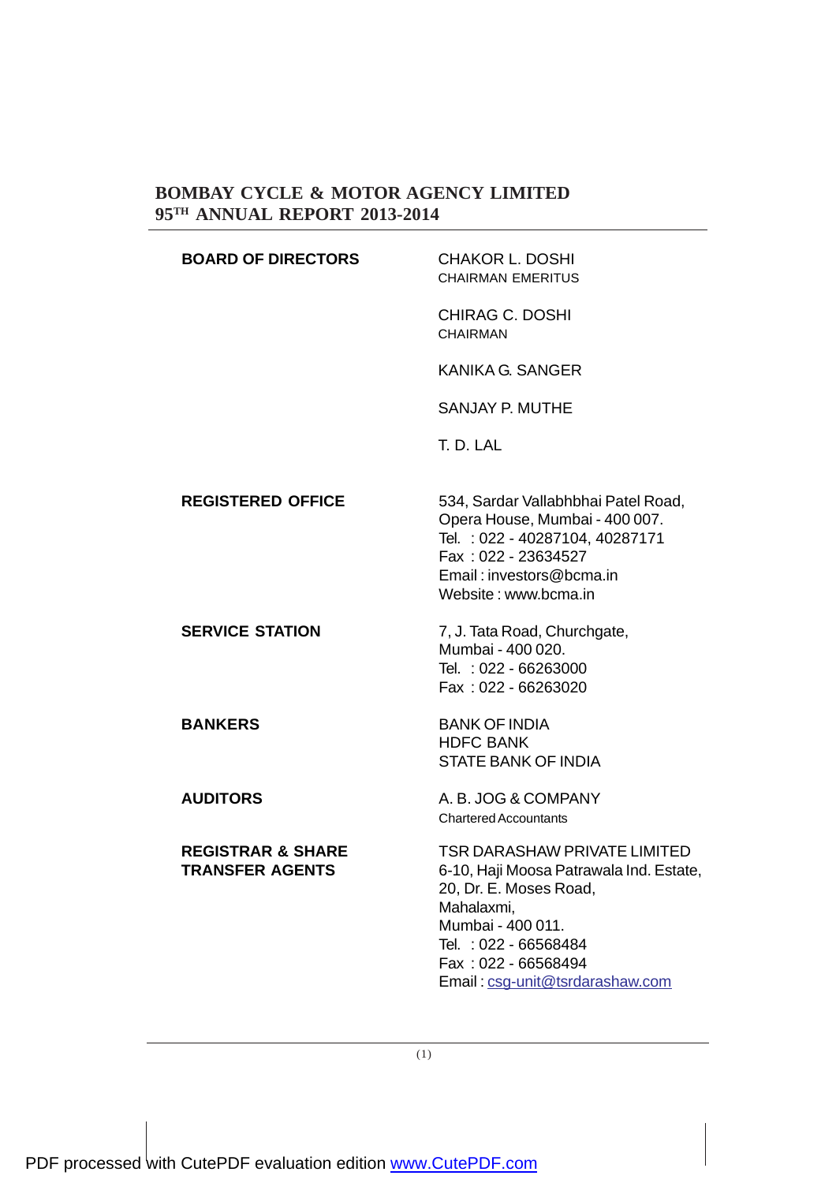| <b>BOARD OF DIRECTORS</b>                              | <b>CHAKOR L. DOSHI</b><br><b>CHAIRMAN EMERITUS</b>                                                                                                                                                                     |  |  |  |
|--------------------------------------------------------|------------------------------------------------------------------------------------------------------------------------------------------------------------------------------------------------------------------------|--|--|--|
|                                                        | <b>CHIRAG C. DOSHI</b><br><b>CHAIRMAN</b>                                                                                                                                                                              |  |  |  |
|                                                        | <b>KANIKA G. SANGER</b>                                                                                                                                                                                                |  |  |  |
|                                                        | SANJAY P. MUTHE                                                                                                                                                                                                        |  |  |  |
|                                                        | T. D. LAL                                                                                                                                                                                                              |  |  |  |
| <b>REGISTERED OFFICE</b>                               | 534, Sardar Vallabhbhai Patel Road,<br>Opera House, Mumbai - 400 007.<br>Tel.: 022 - 40287104, 40287171<br>Fax: 022 - 23634527<br>Email: investors@bcma.in<br>Website: www.bcma.in                                     |  |  |  |
| <b>SERVICE STATION</b>                                 | 7, J. Tata Road, Churchgate,<br>Mumbai - 400 020.<br>Tel.: 022 - 66263000<br>Fax: 022 - 66263020                                                                                                                       |  |  |  |
| <b>BANKERS</b>                                         | <b>BANK OF INDIA</b><br><b>HDFC BANK</b><br><b>STATE BANK OF INDIA</b>                                                                                                                                                 |  |  |  |
| <b>AUDITORS</b>                                        | A. B. JOG & COMPANY<br><b>Chartered Accountants</b>                                                                                                                                                                    |  |  |  |
| <b>REGISTRAR &amp; SHARE</b><br><b>TRANSFER AGENTS</b> | TSR DARASHAW PRIVATE LIMITED<br>6-10, Haji Moosa Patrawala Ind. Estate,<br>20, Dr. E. Moses Road,<br>Mahalaxmi,<br>Mumbai - 400 011.<br>Tel.: 022 - 66568484<br>Fax: 022 - 66568494<br>Email: csg-unit@tsrdarashaw.com |  |  |  |

(1)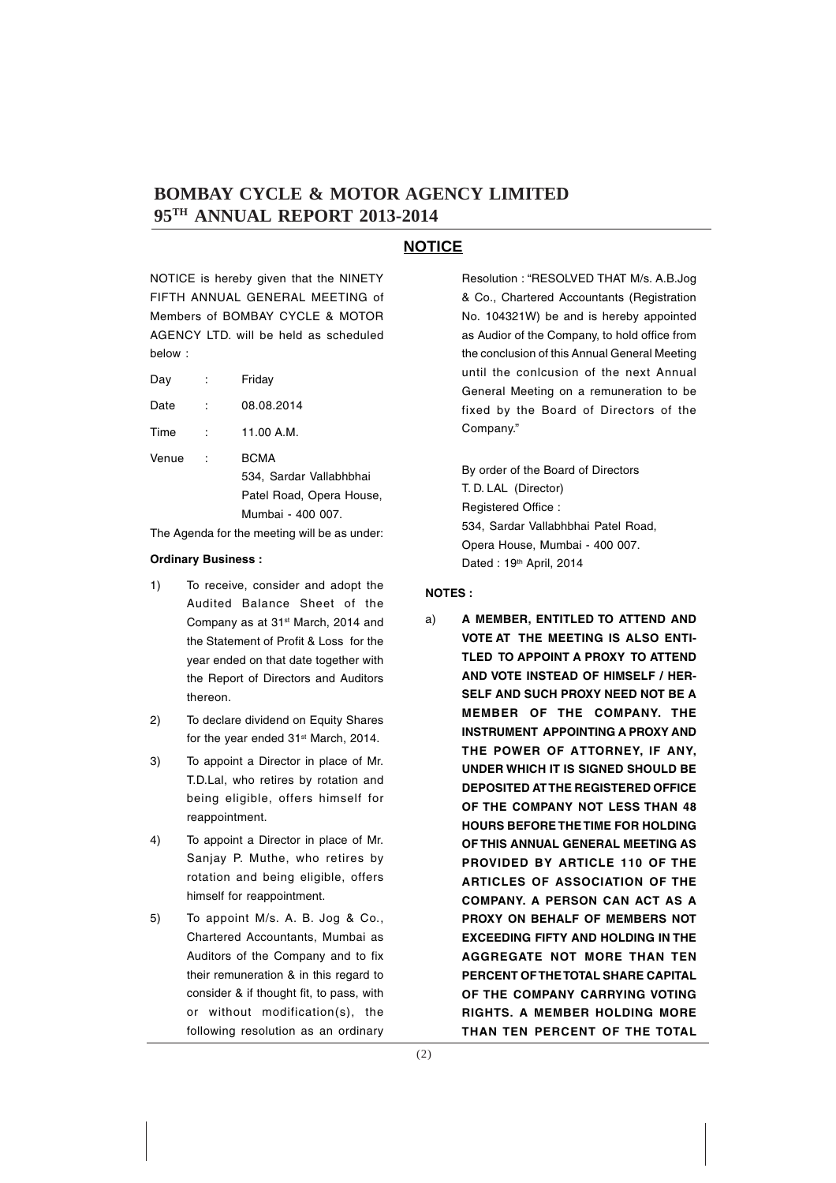#### **NOTICE**

NOTICE is hereby given that the NINETY FIFTH ANNUAL GENERAL MEETING of Members of BOMBAY CYCLE & MOTOR AGENCY LTD. will be held as scheduled below :

| Day | Friday |
|-----|--------|
|     |        |

| Date | 08.08.2014 |
|------|------------|
|      |            |

Time : 11.00 A.M.

Venue : BCMA 534, Sardar Vallabhbhai Patel Road, Opera House, Mumbai - 400 007.

The Agenda for the meeting will be as under:

#### **Ordinary Business :**

- 1) To receive, consider and adopt the Audited Balance Sheet of the Company as at 31st March, 2014 and the Statement of Profit & Loss for the year ended on that date together with the Report of Directors and Auditors thereon.
- 2) To declare dividend on Equity Shares for the year ended 31<sup>st</sup> March, 2014.
- 3) To appoint a Director in place of Mr. T.D.Lal, who retires by rotation and being eligible, offers himself for reappointment.
- 4) To appoint a Director in place of Mr. Sanjay P. Muthe, who retires by rotation and being eligible, offers himself for reappointment.
- 5) To appoint M/s. A. B. Jog & Co., Chartered Accountants, Mumbai as Auditors of the Company and to fix their remuneration & in this regard to consider & if thought fit, to pass, with or without modification(s), the following resolution as an ordinary

Resolution : "RESOLVED THAT M/s. A.B.Jog & Co., Chartered Accountants (Registration No. 104321W) be and is hereby appointed as Audior of the Company, to hold office from the conclusion of this Annual General Meeting until the conlcusion of the next Annual General Meeting on a remuneration to be fixed by the Board of Directors of the Company."

By order of the Board of Directors T. D. LAL (Director) Registered Office : 534, Sardar Vallabhbhai Patel Road, Opera House, Mumbai - 400 007. Dated: 19<sup>th</sup> April, 2014

#### **NOTES :**

a) **A MEMBER, ENTITLED TO ATTEND AND VOTE AT THE MEETING IS ALSO ENTI-TLED TO APPOINT A PROXY TO ATTEND AND VOTE INSTEAD OF HIMSELF / HER-SELF AND SUCH PROXY NEED NOT BE A MEMBER OF THE COMPANY. THE INSTRUMENT APPOINTING A PROXY AND THE POWER OF ATTORNEY, IF ANY, UNDER WHICH IT IS SIGNED SHOULD BE DEPOSITED AT THE REGISTERED OFFICE OF THE COMPANY NOT LESS THAN 48 HOURS BEFORE THE TIME FOR HOLDING OF THIS ANNUAL GENERAL MEETING AS PROVIDED BY ARTICLE 110 OF THE ARTICLES OF ASSOCIATION OF THE COMPANY. A PERSON CAN ACT AS A PROXY ON BEHALF OF MEMBERS NOT EXCEEDING FIFTY AND HOLDING IN THE AGGREGATE NOT MORE THAN TEN PERCENT OF THE TOTAL SHARE CAPITAL OF THE COMPANY CARRYING VOTING RIGHTS. A MEMBER HOLDING MORE THAN TEN PERCENT OF THE TOTAL**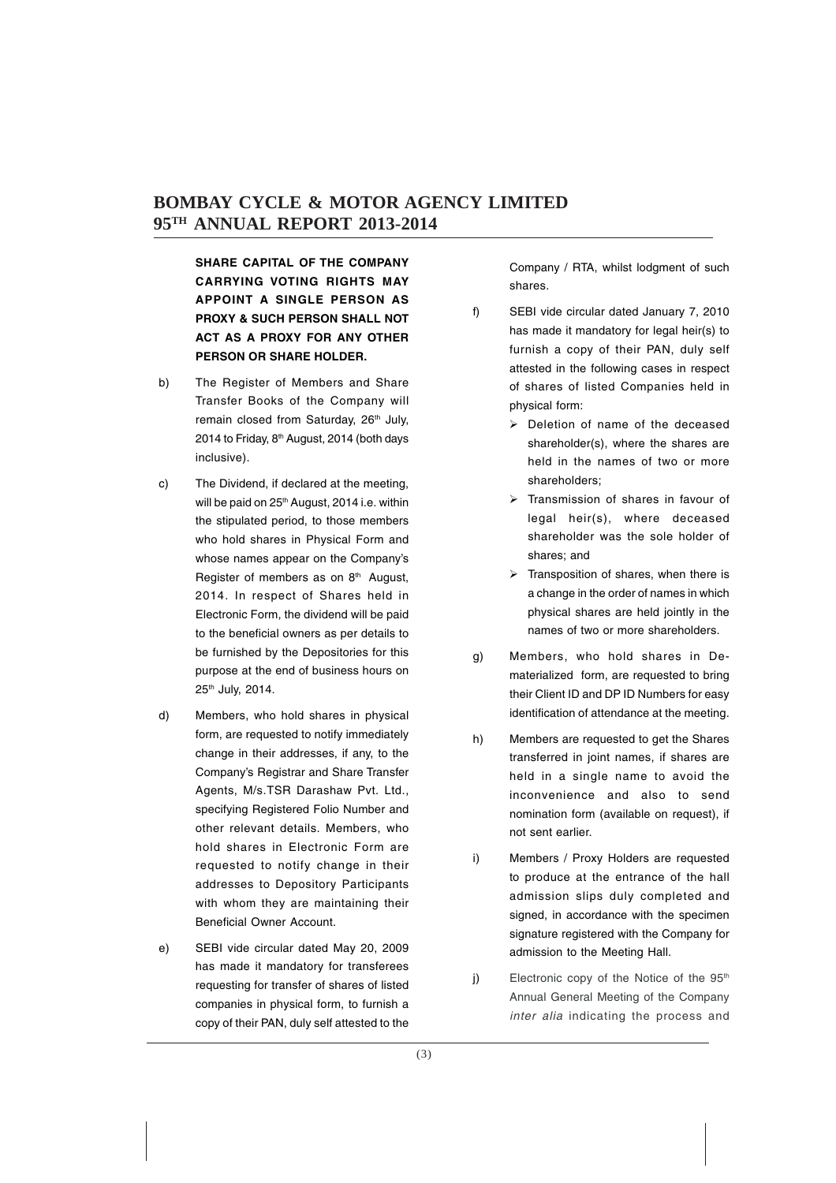**SHARE CAPITAL OF THE COMPANY CARRYING VOTING RIGHTS MAY APPOINT A SINGLE PERSON AS PROXY & SUCH PERSON SHALL NOT ACT AS A PROXY FOR ANY OTHER PERSON OR SHARE HOLDER.**

- b) The Register of Members and Share Transfer Books of the Company will remain closed from Saturday, 26<sup>th</sup> July, 2014 to Friday, 8<sup>th</sup> August, 2014 (both days inclusive).
- c) The Dividend, if declared at the meeting, will be paid on 25<sup>th</sup> August, 2014 i.e. within the stipulated period, to those members who hold shares in Physical Form and whose names appear on the Company's Register of members as on 8<sup>th</sup> August, 2014. In respect of Shares held in Electronic Form, the dividend will be paid to the beneficial owners as per details to be furnished by the Depositories for this purpose at the end of business hours on 25th July, 2014.
- d) Members, who hold shares in physical form, are requested to notify immediately change in their addresses, if any, to the Company's Registrar and Share Transfer Agents, M/s.TSR Darashaw Pvt. Ltd., specifying Registered Folio Number and other relevant details. Members, who hold shares in Electronic Form are requested to notify change in their addresses to Depository Participants with whom they are maintaining their Beneficial Owner Account.
- e) SEBI vide circular dated May 20, 2009 has made it mandatory for transferees requesting for transfer of shares of listed companies in physical form, to furnish a copy of their PAN, duly self attested to the

Company / RTA, whilst lodgment of such shares.

- f) SEBI vide circular dated January 7, 2010 has made it mandatory for legal heir(s) to furnish a copy of their PAN, duly self attested in the following cases in respect of shares of listed Companies held in physical form:
	- $\triangleright$  Deletion of name of the deceased shareholder(s), where the shares are held in the names of two or more shareholders;
	- > Transmission of shares in favour of legal heir(s), where deceased shareholder was the sole holder of shares; and
	- $\triangleright$  Transposition of shares, when there is a change in the order of names in which physical shares are held jointly in the names of two or more shareholders.
- g) Members, who hold shares in Dematerialized form, are requested to bring their Client ID and DP ID Numbers for easy identification of attendance at the meeting.
- h) Members are requested to get the Shares transferred in joint names, if shares are held in a single name to avoid the inconvenience and also to send nomination form (available on request), if not sent earlier.
- i) Members / Proxy Holders are requested to produce at the entrance of the hall admission slips duly completed and signed, in accordance with the specimen signature registered with the Company for admission to the Meeting Hall.
- j) Electronic copy of the Notice of the 95<sup>th</sup> Annual General Meeting of the Company inter alia indicating the process and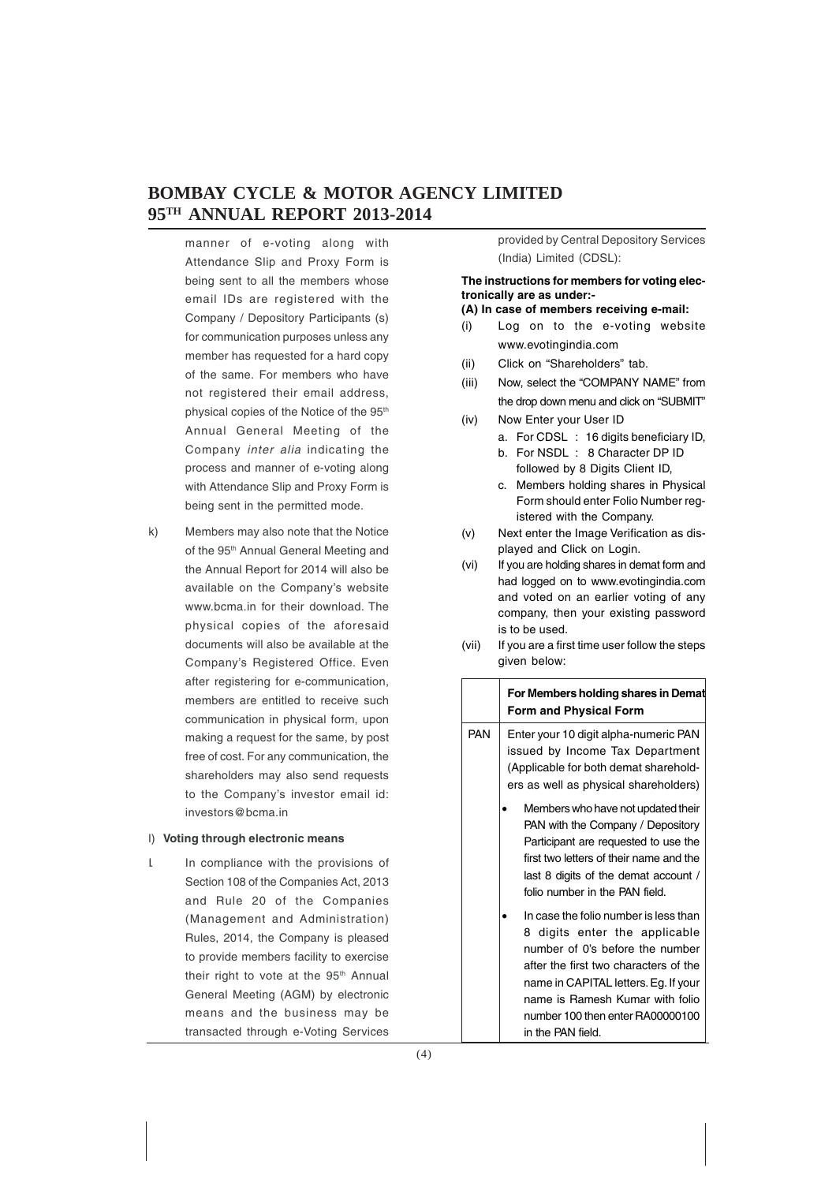manner of e-voting along with Attendance Slip and Proxy Form is being sent to all the members whose email IDs are registered with the Company / Depository Participants (s) for communication purposes unless any member has requested for a hard copy of the same. For members who have not registered their email address, physical copies of the Notice of the 95<sup>th</sup> Annual General Meeting of the Company inter alia indicating the process and manner of e-voting along with Attendance Slip and Proxy Form is being sent in the permitted mode.

k) Members may also note that the Notice of the 95<sup>th</sup> Annual General Meeting and the Annual Report for 2014 will also be available on the Company's website www.bcma.in for their download. The physical copies of the aforesaid documents will also be available at the Company's Registered Office. Even after registering for e-communication, members are entitled to receive such communication in physical form, upon making a request for the same, by post free of cost. For any communication, the shareholders may also send requests to the Company's investor email id: investors@bcma.in

#### l) **Voting through electronic means**

I. In compliance with the provisions of Section 108 of the Companies Act, 2013 and Rule 20 of the Companies (Management and Administration) Rules, 2014, the Company is pleased to provide members facility to exercise their right to vote at the 95<sup>th</sup> Annual General Meeting (AGM) by electronic means and the business may be transacted through e-Voting Services

provided by Central Depository Services (India) Limited (CDSL):

#### **The instructions for members for voting electronically are as under:-**

#### **(A) In case of members receiving e-mail:**

- (i) Log on to the e-voting website www.evotingindia.com
- (ii) Click on "Shareholders" tab.
- (iii) Now, select the "COMPANY NAME" from the drop down menu and click on "SUBMIT"
- (iv) Now Enter your User ID
	- a. For CDSL : 16 digits beneficiary ID,
	- b. For NSDL : 8 Character DP ID followed by 8 Digits Client ID,
	- c. Members holding shares in Physical Form should enter Folio Number registered with the Company.
- (v) Next enter the Image Verification as displayed and Click on Login.
- (vi) If you are holding shares in demat form and had logged on to www.evotingindia.com and voted on an earlier voting of any company, then your existing password is to be used.
- (vii) If you are a first time user follow the steps given below:

|            | For Members holding shares in Demat<br><b>Form and Physical Form</b>                                                                                                                                                                                                                   |  |  |  |  |  |
|------------|----------------------------------------------------------------------------------------------------------------------------------------------------------------------------------------------------------------------------------------------------------------------------------------|--|--|--|--|--|
| <b>PAN</b> | Enter your 10 digit alpha-numeric PAN<br>issued by Income Tax Department<br>(Applicable for both demat sharehold-<br>ers as well as physical shareholders)                                                                                                                             |  |  |  |  |  |
|            | Members who have not updated their<br>PAN with the Company / Depository<br>Participant are requested to use the<br>first two letters of their name and the<br>last 8 digits of the demat account /<br>folio number in the PAN field.                                                   |  |  |  |  |  |
|            | In case the folio number is less than<br>8 digits enter the applicable<br>number of 0's before the number<br>after the first two characters of the<br>name in CAPITAL letters. Eg. If your<br>name is Ramesh Kumar with folio<br>number 100 then enter RA00000100<br>in the PAN field. |  |  |  |  |  |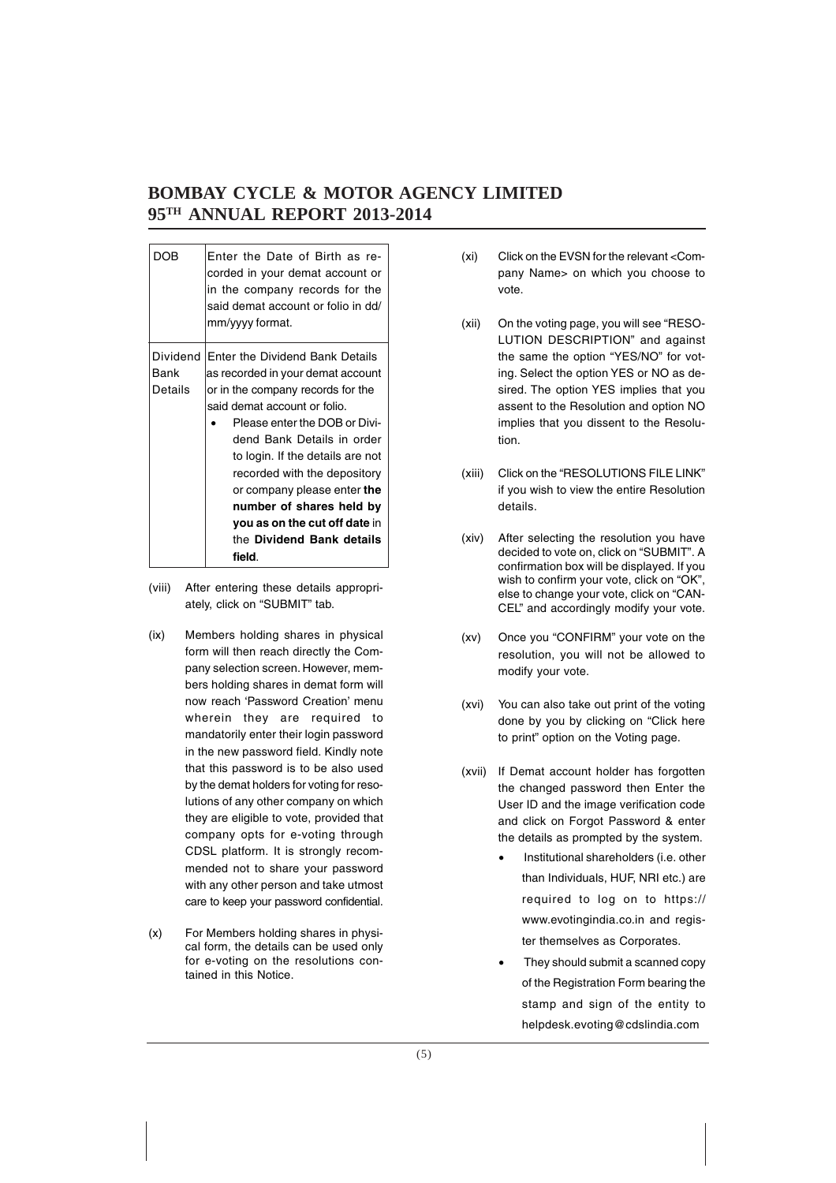| DOB      | Enter the Date of Birth as re-<br>corded in your demat account or<br>in the company records for the<br>said demat account or folio in dd/<br>mm/yyyy format. |  |  |  |  |  |
|----------|--------------------------------------------------------------------------------------------------------------------------------------------------------------|--|--|--|--|--|
| Dividend | Enter the Dividend Bank Details                                                                                                                              |  |  |  |  |  |
| Bank     | as recorded in your demat account                                                                                                                            |  |  |  |  |  |
| Details  | or in the company records for the                                                                                                                            |  |  |  |  |  |
|          | said demat account or folio.                                                                                                                                 |  |  |  |  |  |
|          | Please enter the DOB or Divi-                                                                                                                                |  |  |  |  |  |
|          | dend Bank Details in order                                                                                                                                   |  |  |  |  |  |
|          | to login. If the details are not                                                                                                                             |  |  |  |  |  |
|          | recorded with the depository                                                                                                                                 |  |  |  |  |  |
|          | or company please enter the                                                                                                                                  |  |  |  |  |  |
|          | number of shares held by                                                                                                                                     |  |  |  |  |  |
|          | you as on the cut off date in                                                                                                                                |  |  |  |  |  |
|          | the Dividend Bank details                                                                                                                                    |  |  |  |  |  |
|          | field.                                                                                                                                                       |  |  |  |  |  |
|          |                                                                                                                                                              |  |  |  |  |  |

- (viii) After entering these details appropriately, click on "SUBMIT" tab.
- (ix) Members holding shares in physical form will then reach directly the Company selection screen. However, members holding shares in demat form will now reach 'Password Creation' menu wherein they are required to mandatorily enter their login password in the new password field. Kindly note that this password is to be also used by the demat holders for voting for resolutions of any other company on which they are eligible to vote, provided that company opts for e-voting through CDSL platform. It is strongly recommended not to share your password with any other person and take utmost care to keep your password confidential.
- (x) For Members holding shares in physical form, the details can be used only for e-voting on the resolutions contained in this Notice.
- (xi) Click on the EVSN for the relevant <Company Name> on which you choose to vote.
- (xii) On the voting page, you will see "RESO-LUTION DESCRIPTION" and against the same the option "YES/NO" for voting. Select the option YES or NO as desired. The option YES implies that you assent to the Resolution and option NO implies that you dissent to the Resolution.
- (xiii) Click on the "RESOLUTIONS FILE LINK" if you wish to view the entire Resolution details.
- (xiv) After selecting the resolution you have decided to vote on, click on "SUBMIT". A confirmation box will be displayed. If you wish to confirm your vote, click on "OK", else to change your vote, click on "CAN-CEL" and accordingly modify your vote.
- (xv) Once you "CONFIRM" your vote on the resolution, you will not be allowed to modify your vote.
- (xvi) You can also take out print of the voting done by you by clicking on "Click here to print" option on the Voting page.
- (xvii) If Demat account holder has forgotten the changed password then Enter the User ID and the image verification code and click on Forgot Password & enter the details as prompted by the system.
	- Institutional shareholders (i.e. other than Individuals, HUF, NRI etc.) are required to log on to https:// www.evotingindia.co.in and register themselves as Corporates.
	- They should submit a scanned copy of the Registration Form bearing the stamp and sign of the entity to helpdesk.evoting@cdslindia.com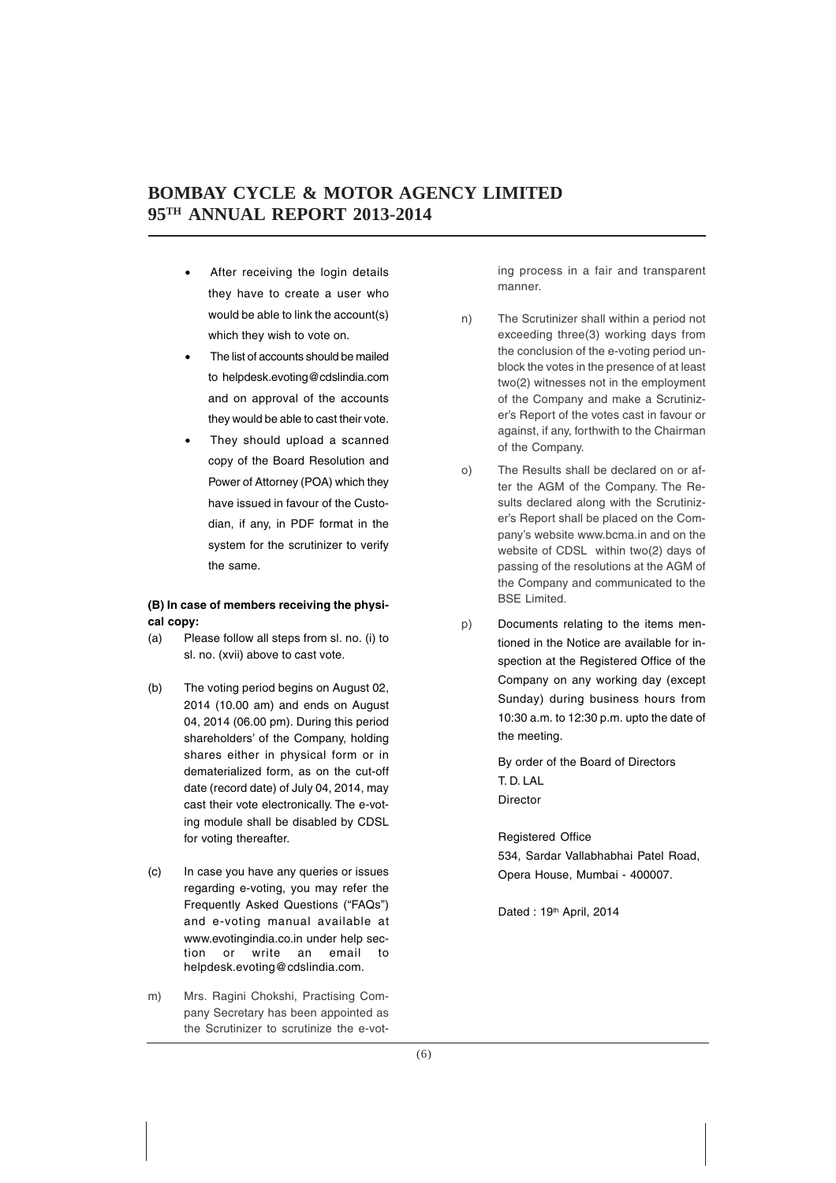- After receiving the login details they have to create a user who would be able to link the account(s) which they wish to vote on.
- The list of accounts should be mailed to helpdesk.evoting@cdslindia.com and on approval of the accounts they would be able to cast their vote.
- They should upload a scanned copy of the Board Resolution and Power of Attorney (POA) which they have issued in favour of the Custodian, if any, in PDF format in the system for the scrutinizer to verify the same.

#### **(B) In case of members receiving the physical copy:**

- (a) Please follow all steps from sl. no. (i) to sl. no. (xvii) above to cast vote.
- (b) The voting period begins on August 02, 2014 (10.00 am) and ends on August 04, 2014 (06.00 pm). During this period shareholders' of the Company, holding shares either in physical form or in dematerialized form, as on the cut-off date (record date) of July 04, 2014, may cast their vote electronically. The e-voting module shall be disabled by CDSL for voting thereafter.
- (c) In case you have any queries or issues regarding e-voting, you may refer the Frequently Asked Questions ("FAQs") and e-voting manual available at www.evotingindia.co.in under help section or write an email to helpdesk.evoting@cdslindia.com.
- m) Mrs. Ragini Chokshi, Practising Company Secretary has been appointed as the Scrutinizer to scrutinize the e-vot-

ing process in a fair and transparent manner.

- n) The Scrutinizer shall within a period not exceeding three(3) working days from the conclusion of the e-voting period unblock the votes in the presence of at least two(2) witnesses not in the employment of the Company and make a Scrutinizer's Report of the votes cast in favour or against, if any, forthwith to the Chairman of the Company.
- o) The Results shall be declared on or after the AGM of the Company. The Results declared along with the Scrutinizer's Report shall be placed on the Company's website www.bcma.in and on the website of CDSL within two(2) days of passing of the resolutions at the AGM of the Company and communicated to the BSE Limited.
- p) Documents relating to the items mentioned in the Notice are available for inspection at the Registered Office of the Company on any working day (except Sunday) during business hours from 10:30 a.m. to 12:30 p.m. upto the date of the meeting.

By order of the Board of Directors T. D. LAL Director

Registered Office 534, Sardar Vallabhabhai Patel Road, Opera House, Mumbai - 400007.

Dated : 19<sup>th</sup> April, 2014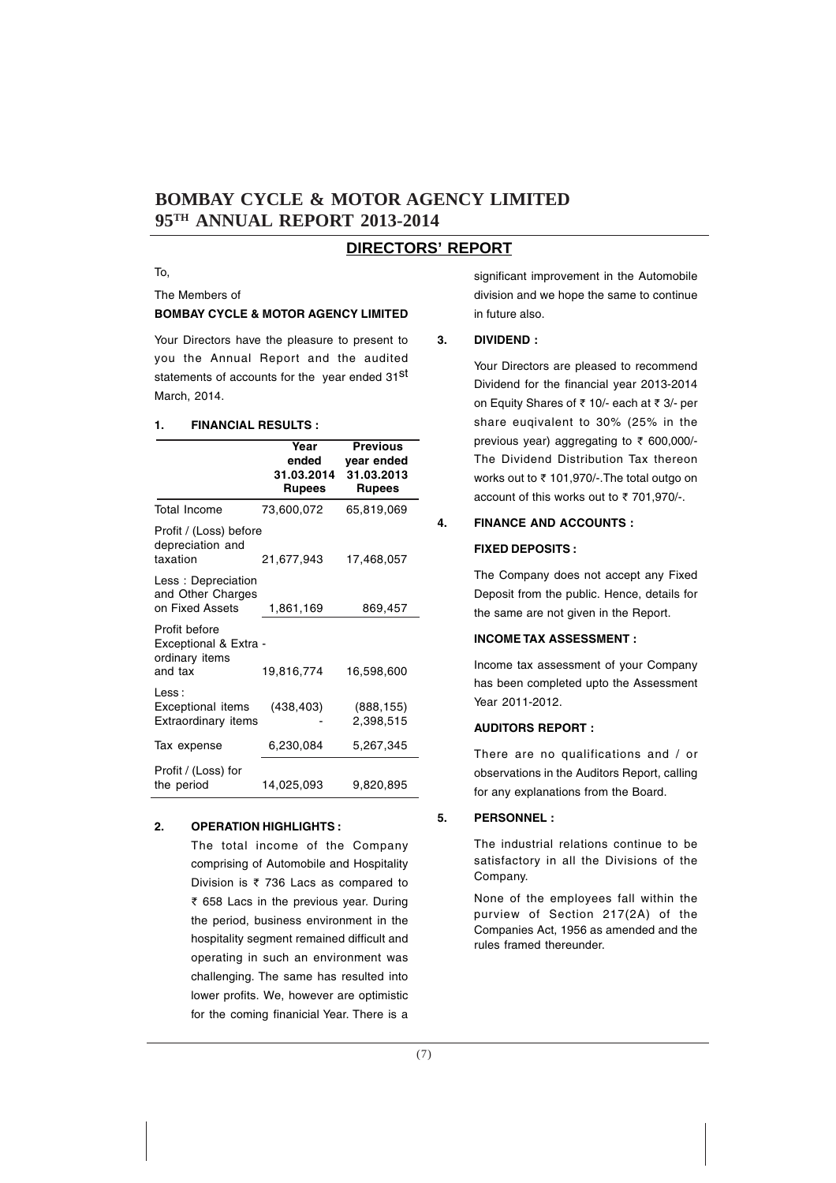#### **DIRECTORS' REPORT**

To,

The Members of

#### **BOMBAY CYCLE & MOTOR AGENCY LIMITED**

Your Directors have the pleasure to present to you the Annual Report and the audited statements of accounts for the year ended 31st March, 2014.

#### **1. FINANCIAL RESULTS :**

|                                                                     | Year                                 | <b>Previous</b>                           |
|---------------------------------------------------------------------|--------------------------------------|-------------------------------------------|
|                                                                     | ended<br>31.03.2014<br><b>Rupees</b> | year ended<br>31.03.2013<br><b>Rupees</b> |
| Total Income                                                        | 73,600,072                           | 65,819,069                                |
| Profit / (Loss) before<br>depreciation and<br>taxation              | 21,677,943                           | 17,468,057                                |
| Less: Depreciation<br>and Other Charges<br>on Fixed Assets          | 1,861,169                            | 869,457                                   |
| Profit before<br>Exceptional & Extra -<br>ordinary items<br>and tax | 19,816,774                           | 16,598,600                                |
| Less :<br><b>Exceptional items</b><br>Extraordinary items           | (438, 403)                           | (888, 155)<br>2,398,515                   |
| Tax expense                                                         | 6,230,084                            | 5,267,345                                 |
| Profit / (Loss) for<br>the period                                   | 14,025,093                           | 9,820,895                                 |

#### **2. OPERATION HIGHLIGHTS :**

The total income of the Company comprising of Automobile and Hospitality Division is  $\overline{\tau}$  736 Lacs as compared to { 658 Lacs in the previous year. During the period, business environment in the hospitality segment remained difficult and operating in such an environment was challenging. The same has resulted into lower profits. We, however are optimistic for the coming finanicial Year. There is a

significant improvement in the Automobile division and we hope the same to continue in future also.

#### **3. DIVIDEND :**

Your Directors are pleased to recommend Dividend for the financial year 2013-2014 on Equity Shares of ₹ 10/- each at ₹ 3/- per share euqivalent to 30% (25% in the previous year) aggregating to  $\bar{\tau}$  600,000/-The Dividend Distribution Tax thereon works out to ₹ 101,970/-. The total outgo on account of this works out to  $\bar{\tau}$  701,970/-.

#### **4. FINANCE AND ACCOUNTS : FIXED DEPOSITS :**

The Company does not accept any Fixed Deposit from the public. Hence, details for the same are not given in the Report.

#### **INCOME TAX ASSESSMENT :**

Income tax assessment of your Company has been completed upto the Assessment Year 2011-2012.

#### **AUDITORS REPORT :**

There are no qualifications and / or observations in the Auditors Report, calling for any explanations from the Board.

#### **5. PERSONNEL :**

The industrial relations continue to be satisfactory in all the Divisions of the Company.

None of the employees fall within the purview of Section 217(2A) of the Companies Act, 1956 as amended and the rules framed thereunder.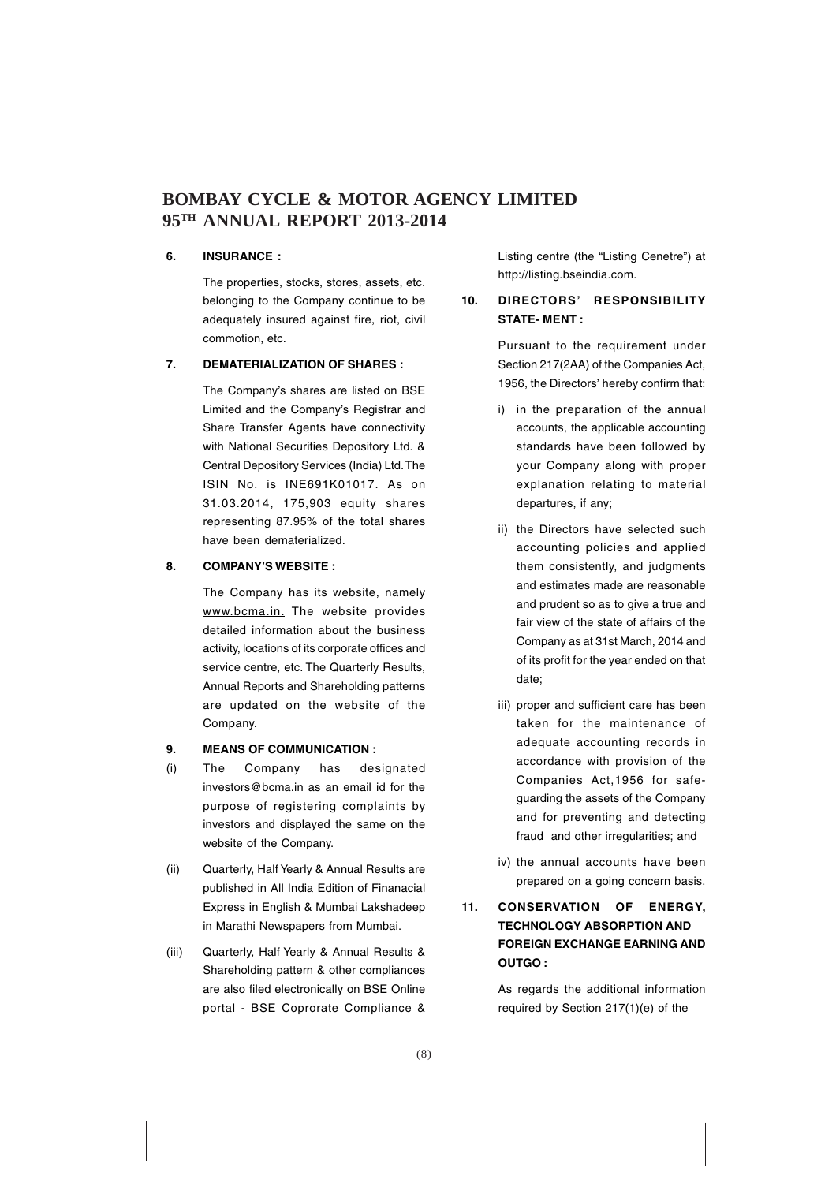#### **6. INSURANCE :**

The properties, stocks, stores, assets, etc. belonging to the Company continue to be adequately insured against fire, riot, civil commotion, etc.

#### **7. DEMATERIALIZATION OF SHARES :**

The Company's shares are listed on BSE Limited and the Company's Registrar and Share Transfer Agents have connectivity with National Securities Depository Ltd. & Central Depository Services (India) Ltd. The ISIN No. is INE691K01017. As on 31.03.2014, 175,903 equity shares representing 87.95% of the total shares have been dematerialized.

#### **8. COMPANY'S WEBSITE :**

The Company has its website, namely www.bcma.in. The website provides detailed information about the business activity, locations of its corporate offices and service centre, etc. The Quarterly Results, Annual Reports and Shareholding patterns are updated on the website of the Company.

#### **9. MEANS OF COMMUNICATION :**

- (i) The Company has designated investors@bcma.in as an email id for the purpose of registering complaints by investors and displayed the same on the website of the Company.
- (ii) Quarterly, Half Yearly & Annual Results are published in All India Edition of Finanacial Express in English & Mumbai Lakshadeep in Marathi Newspapers from Mumbai.
- (iii) Quarterly, Half Yearly & Annual Results & Shareholding pattern & other compliances are also filed electronically on BSE Online portal - BSE Coprorate Compliance &

Listing centre (the "Listing Cenetre") at http://listing.bseindia.com.

#### **10. DIRECTORS' RESPONSIBILITY STATE- MENT :**

Pursuant to the requirement under Section 217(2AA) of the Companies Act, 1956, the Directors' hereby confirm that:

- i) in the preparation of the annual accounts, the applicable accounting standards have been followed by your Company along with proper explanation relating to material departures, if any;
- ii) the Directors have selected such accounting policies and applied them consistently, and judgments and estimates made are reasonable and prudent so as to give a true and fair view of the state of affairs of the Company as at 31st March, 2014 and of its profit for the year ended on that date;
- iii) proper and sufficient care has been taken for the maintenance of adequate accounting records in accordance with provision of the Companies Act,1956 for safeguarding the assets of the Company and for preventing and detecting fraud and other irregularities; and
- iv) the annual accounts have been prepared on a going concern basis.

#### **11. CONSERVATION OF ENERGY, TECHNOLOGY ABSORPTION AND FOREIGN EXCHANGE EARNING AND OUTGO :**

As regards the additional information required by Section 217(1)(e) of the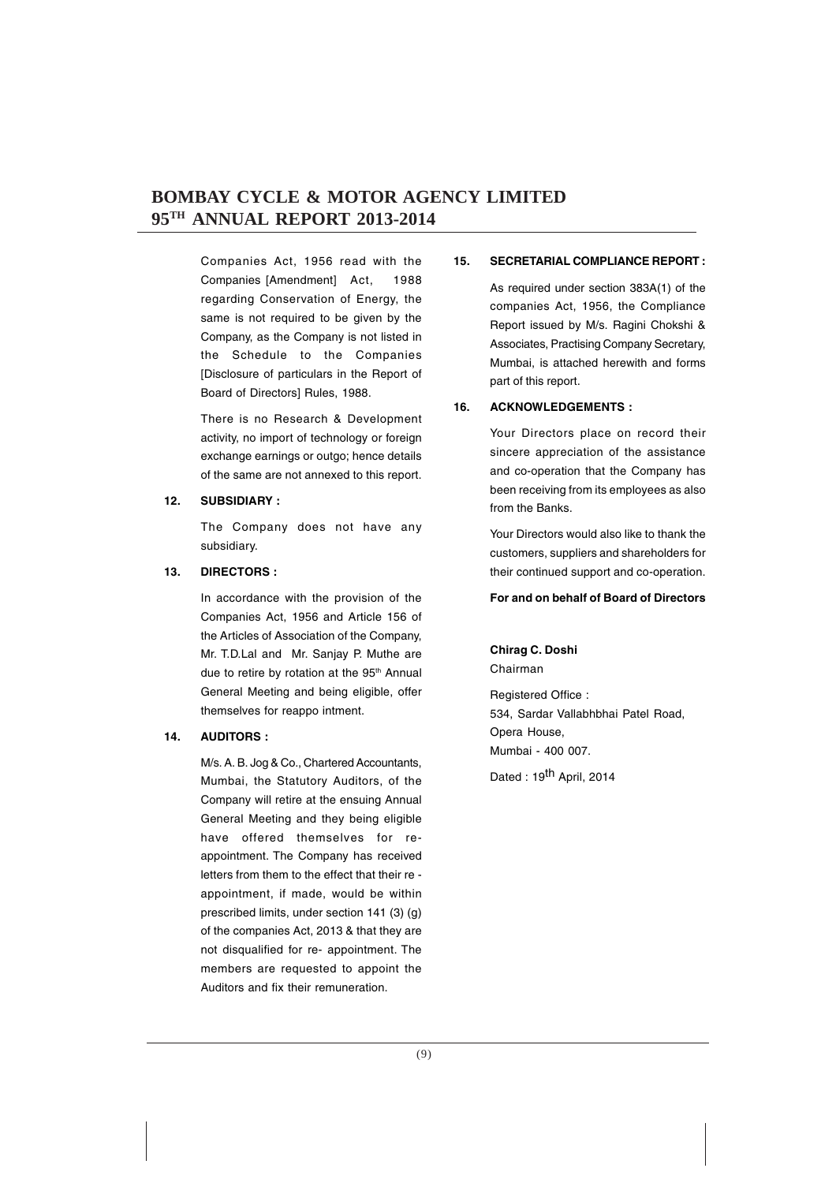Companies Act, 1956 read with the Companies [Amendment] Act, 1988 regarding Conservation of Energy, the same is not required to be given by the Company, as the Company is not listed in the Schedule to the Companies [Disclosure of particulars in the Report of Board of Directors] Rules, 1988.

There is no Research & Development activity, no import of technology or foreign exchange earnings or outgo; hence details of the same are not annexed to this report.

#### **12. SUBSIDIARY :**

The Company does not have any subsidiary.

#### **13. DIRECTORS :**

In accordance with the provision of the Companies Act, 1956 and Article 156 of the Articles of Association of the Company, Mr. T.D.Lal and Mr. Sanjay P. Muthe are due to retire by rotation at the 95<sup>th</sup> Annual General Meeting and being eligible, offer themselves for reappo intment.

#### **14. AUDITORS :**

M/s. A. B. Jog & Co., Chartered Accountants, Mumbai, the Statutory Auditors, of the Company will retire at the ensuing Annual General Meeting and they being eligible have offered themselves for reappointment. The Company has received letters from them to the effect that their re appointment, if made, would be within prescribed limits, under section 141 (3) (g) of the companies Act, 2013 & that they are not disqualified for re- appointment. The members are requested to appoint the Auditors and fix their remuneration.

#### **15. SECRETARIAL COMPLIANCE REPORT :**

As required under section 383A(1) of the companies Act, 1956, the Compliance Report issued by M/s. Ragini Chokshi & Associates, Practising Company Secretary, Mumbai, is attached herewith and forms part of this report.

#### **16. ACKNOWLEDGEMENTS :**

Your Directors place on record their sincere appreciation of the assistance and co-operation that the Company has been receiving from its employees as also from the Banks.

Your Directors would also like to thank the customers, suppliers and shareholders for their continued support and co-operation.

#### **For and on behalf of Board of Directors**

# **Chirag C. Doshi**

Chairman

Registered Office : 534, Sardar Vallabhbhai Patel Road, Opera House, Mumbai - 400 007.

Dated : 19<sup>th</sup> April, 2014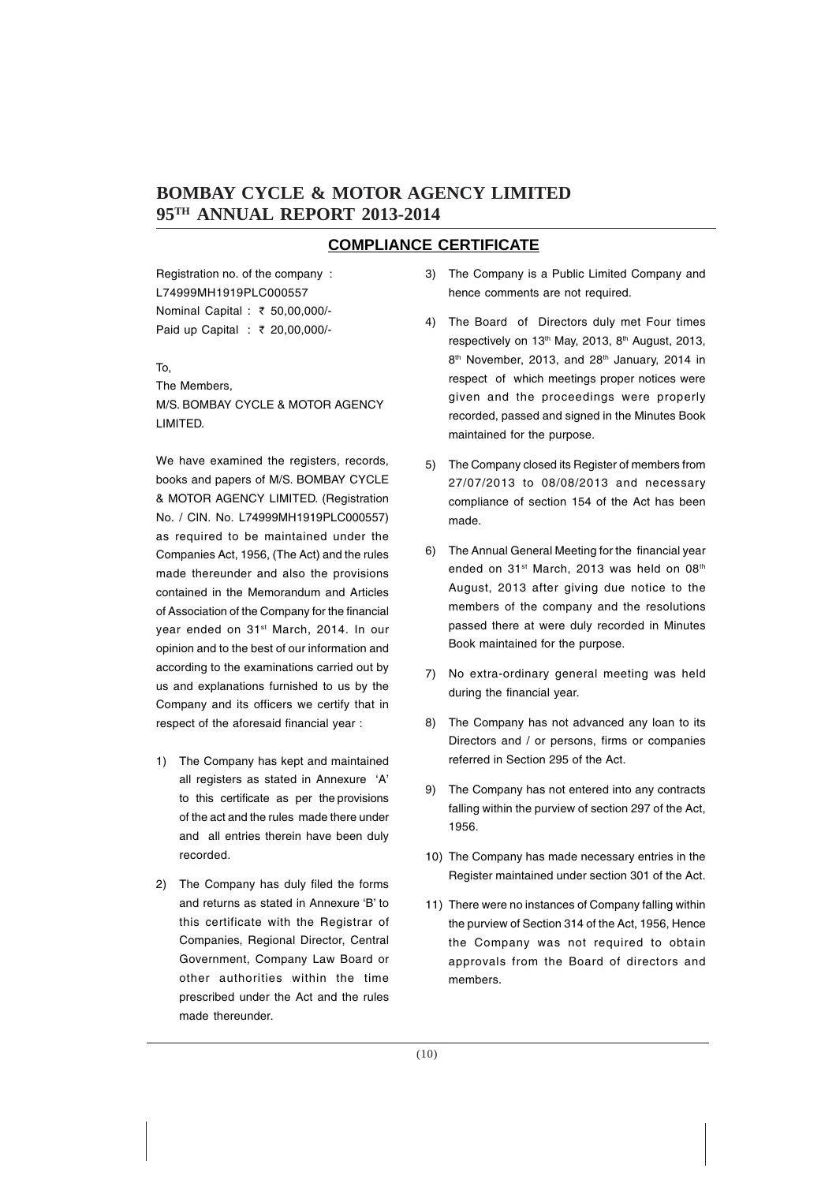#### **COMPLIANCE CERTIFICATE**

Registration no. of the company : L74999MH1919PLC000557 Nominal Capital : ₹ 50,00,000/-Paid up Capital : ₹ 20,00,000/-

#### To,

The Members, M/S. BOMBAY CYCLE & MOTOR AGENCY LIMITED.

We have examined the registers, records, books and papers of M/S. BOMBAY CYCLE & MOTOR AGENCY LIMITED. (Registration No. / CIN. No. L74999MH1919PLC000557) as required to be maintained under the Companies Act, 1956, (The Act) and the rules made thereunder and also the provisions contained in the Memorandum and Articles of Association of the Company for the financial year ended on 31<sup>st</sup> March, 2014. In our opinion and to the best of our information and according to the examinations carried out by us and explanations furnished to us by the Company and its officers we certify that in respect of the aforesaid financial year :

- 1) The Company has kept and maintained all registers as stated in Annexure 'A' to this certificate as per the provisions of the act and the rules made there under and all entries therein have been duly recorded.
- 2) The Company has duly filed the forms and returns as stated in Annexure 'B' to this certificate with the Registrar of Companies, Regional Director, Central Government, Company Law Board or other authorities within the time prescribed under the Act and the rules made thereunder.
- 3) The Company is a Public Limited Company and hence comments are not required.
- 4) The Board of Directors duly met Four times respectively on 13<sup>th</sup> May, 2013, 8<sup>th</sup> August, 2013, 8<sup>th</sup> November, 2013, and 28<sup>th</sup> January, 2014 in respect of which meetings proper notices were given and the proceedings were properly recorded, passed and signed in the Minutes Book maintained for the purpose.
- 5) The Company closed its Register of members from 27/07/2013 to 08/08/2013 and necessary compliance of section 154 of the Act has been made.
- 6) The Annual General Meeting for the financial year ended on 31<sup>st</sup> March, 2013 was held on 08<sup>th</sup> August, 2013 after giving due notice to the members of the company and the resolutions passed there at were duly recorded in Minutes Book maintained for the purpose.
- 7) No extra-ordinary general meeting was held during the financial year.
- 8) The Company has not advanced any loan to its Directors and / or persons, firms or companies referred in Section 295 of the Act.
- 9) The Company has not entered into any contracts falling within the purview of section 297 of the Act, 1956.
- 10) The Company has made necessary entries in the Register maintained under section 301 of the Act.
- 11) There were no instances of Company falling within the purview of Section 314 of the Act, 1956, Hence the Company was not required to obtain approvals from the Board of directors and members.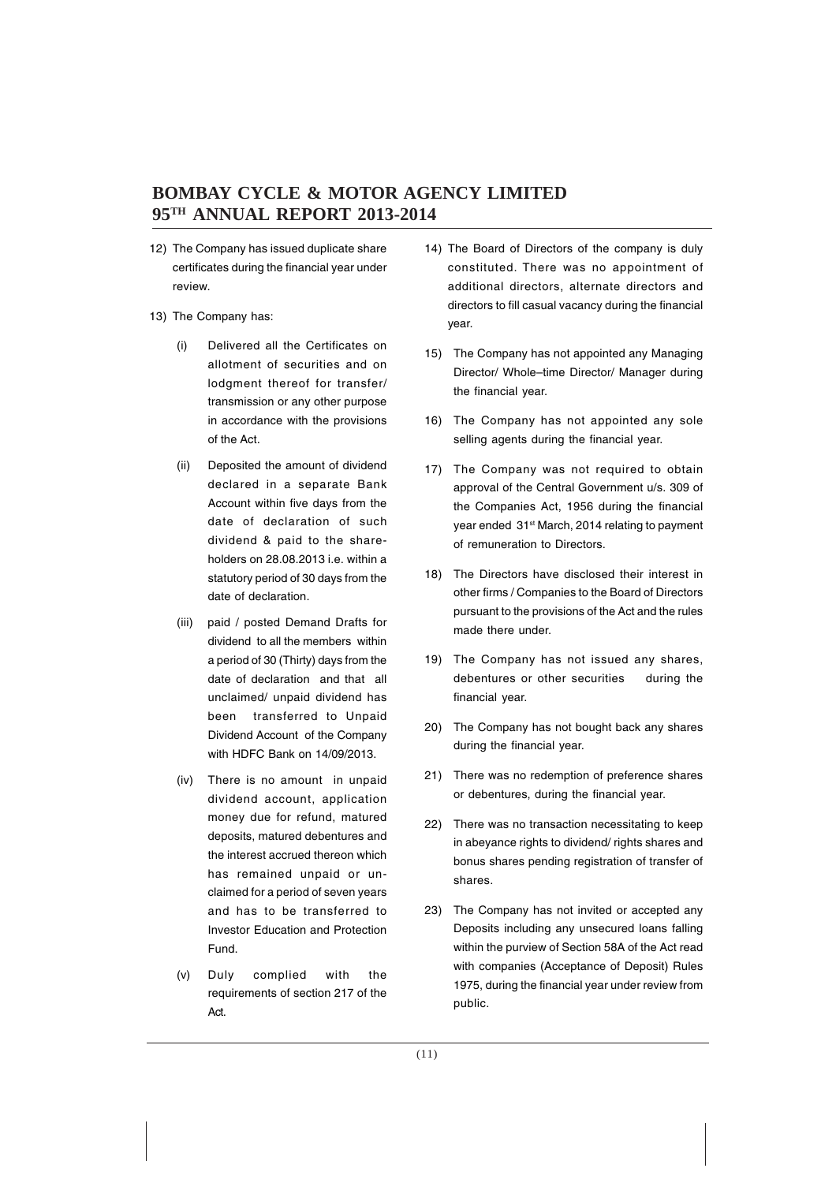- 12) The Company has issued duplicate share certificates during the financial year under review.
- 13) The Company has:
	- (i) Delivered all the Certificates on allotment of securities and on lodgment thereof for transfer/ transmission or any other purpose in accordance with the provisions of the Act.
	- (ii) Deposited the amount of dividend declared in a separate Bank Account within five days from the date of declaration of such dividend & paid to the shareholders on 28.08.2013 i.e. within a statutory period of 30 days from the date of declaration.
	- (iii) paid / posted Demand Drafts for dividend to all the members within a period of 30 (Thirty) days from the date of declaration and that all unclaimed/ unpaid dividend has been transferred to Unpaid Dividend Account of the Company with HDFC Bank on 14/09/2013.
	- (iv) There is no amount in unpaid dividend account, application money due for refund, matured deposits, matured debentures and the interest accrued thereon which has remained unpaid or unclaimed for a period of seven years and has to be transferred to Investor Education and Protection Fund.
	- (v) Duly complied with the requirements of section 217 of the Act.
- 14) The Board of Directors of the company is duly constituted. There was no appointment of additional directors, alternate directors and directors to fill casual vacancy during the financial year.
- 15) The Company has not appointed any Managing Director/ Whole–time Director/ Manager during the financial year.
- 16) The Company has not appointed any sole selling agents during the financial year.
- 17) The Company was not required to obtain approval of the Central Government u/s. 309 of the Companies Act, 1956 during the financial year ended 31<sup>st</sup> March, 2014 relating to payment of remuneration to Directors.
- 18) The Directors have disclosed their interest in other firms / Companies to the Board of Directors pursuant to the provisions of the Act and the rules made there under.
- 19) The Company has not issued any shares, debentures or other securities during the financial year.
- 20) The Company has not bought back any shares during the financial year.
- 21) There was no redemption of preference shares or debentures, during the financial year.
- 22) There was no transaction necessitating to keep in abeyance rights to dividend/ rights shares and bonus shares pending registration of transfer of shares.
- 23) The Company has not invited or accepted any Deposits including any unsecured loans falling within the purview of Section 58A of the Act read with companies (Acceptance of Deposit) Rules 1975, during the financial year under review from public.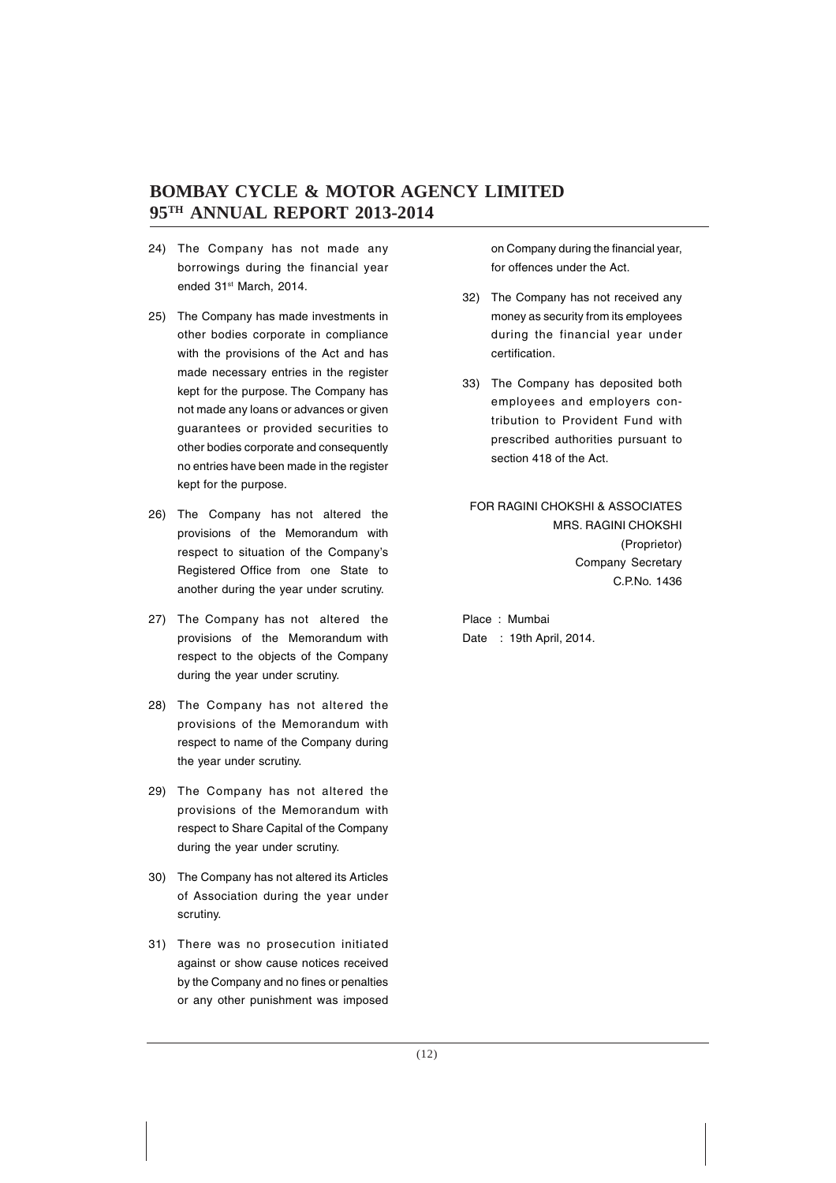- 24) The Company has not made any borrowings during the financial year ended 31st March, 2014.
- 25) The Company has made investments in other bodies corporate in compliance with the provisions of the Act and has made necessary entries in the register kept for the purpose. The Company has not made any loans or advances or given guarantees or provided securities to other bodies corporate and consequently no entries have been made in the register kept for the purpose.
- 26) The Company has not altered the provisions of the Memorandum with respect to situation of the Company's Registered Office from one State to another during the year under scrutiny.
- 27) The Company has not altered the provisions of the Memorandum with respect to the objects of the Company during the year under scrutiny.
- 28) The Company has not altered the provisions of the Memorandum with respect to name of the Company during the year under scrutiny.
- 29) The Company has not altered the provisions of the Memorandum with respect to Share Capital of the Company during the year under scrutiny.
- 30) The Company has not altered its Articles of Association during the year under scrutiny.
- 31) There was no prosecution initiated against or show cause notices received by the Company and no fines or penalties or any other punishment was imposed

on Company during the financial year, for offences under the Act.

- 32) The Company has not received any money as security from its employees during the financial year under certification.
- 33) The Company has deposited both employees and employers contribution to Provident Fund with prescribed authorities pursuant to section 418 of the Act.

FOR RAGINI CHOKSHI & ASSOCIATES MRS. RAGINI CHOKSHI (Proprietor) Company Secretary C.P.No. 1436

Place : Mumbai Date : 19th April, 2014.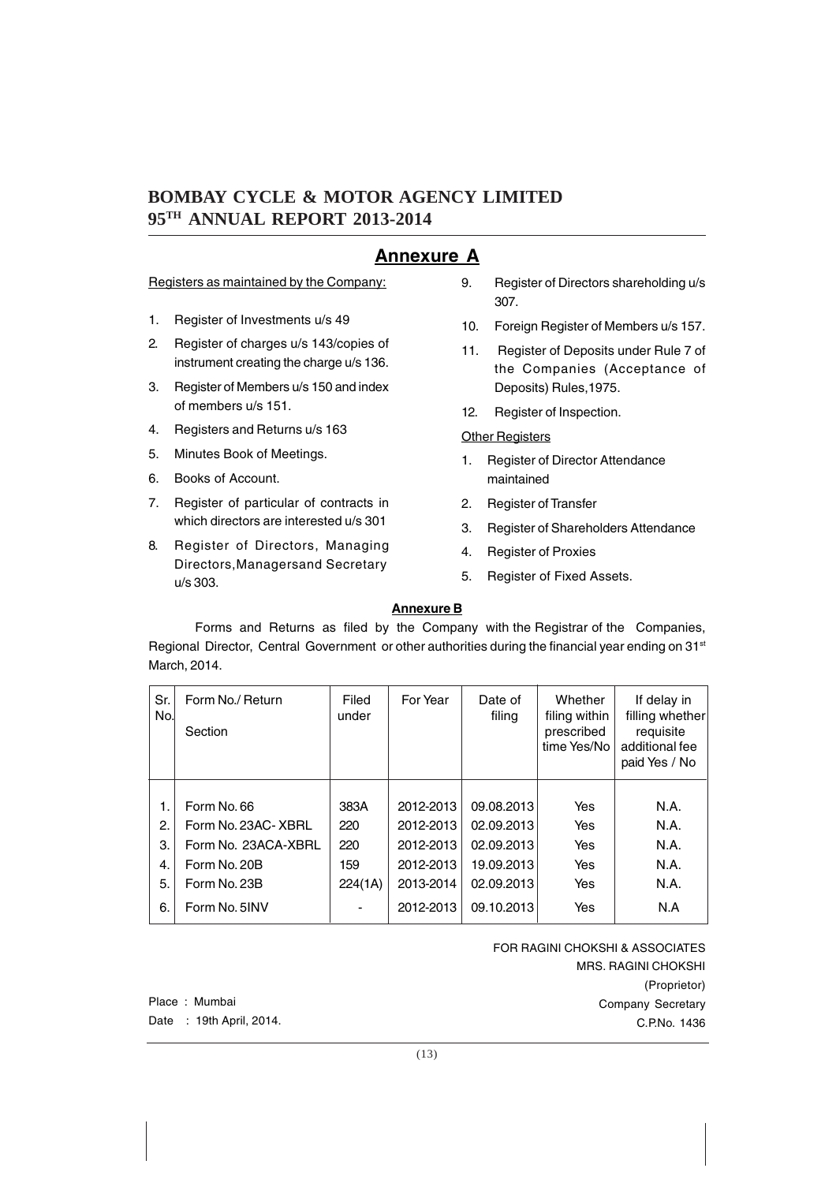# **Annexure A**

Registers as maintained by the Company:

- 1. Register of Investments u/s 49
- 2. Register of charges u/s 143/copies of instrument creating the charge u/s 136.
- 3. Register of Members u/s 150 and index of members u/s 151.
- 4. Registers and Returns u/s 163
- 5. Minutes Book of Meetings.
- 6. Books of Account.
- 7. Register of particular of contracts in which directors are interested u/s 301
- 8. Register of Directors, Managing Directors,Managersand Secretary u/s 303.
- 9. Register of Directors shareholding u/s 307.
- 10. Foreign Register of Members u/s 157.
- 11. Register of Deposits under Rule 7 of the Companies (Acceptance of Deposits) Rules,1975.
- 12. Register of Inspection.

#### **Other Registers**

- 1. Register of Director Attendance maintained
- 2. Register of Transfer
- 3. Register of Shareholders Attendance
- 4. Register of Proxies
- 5. Register of Fixed Assets.

#### **Annexure B**

Forms and Returns as filed by the Company with the Registrar of the Companies, Regional Director, Central Government or other authorities during the financial year ending on 31<sup>st</sup> March, 2014.

| Sr.<br>No. | Form No./ Return<br>Section | Filed<br>under           | For Year  | Date of<br>filing | Whether<br>filing within<br>prescribed<br>time Yes/No | If delay in<br>filling whether<br>requisite<br>additional fee<br>paid Yes / No |
|------------|-----------------------------|--------------------------|-----------|-------------------|-------------------------------------------------------|--------------------------------------------------------------------------------|
|            |                             |                          |           |                   |                                                       |                                                                                |
| 1.         | Form No. 66                 | 383A                     | 2012-2013 | 09.08.2013        | Yes                                                   | N.A.                                                                           |
| 2.         | Form No. 23AC-XBRL          | 220                      | 2012-2013 | 02.09.2013        | Yes                                                   | N.A.                                                                           |
| 3.         | Form No. 23ACA-XBRL         | 220                      | 2012-2013 | 02.09.2013        | Yes                                                   | N.A.                                                                           |
| 4.         | Form No. 20B                | 159                      | 2012-2013 | 19.09.2013        | Yes                                                   | N.A.                                                                           |
| 5.         | Form No. 23B                | 224(1A)                  | 2013-2014 | 02.09.2013        | Yes                                                   | N.A.                                                                           |
| 6.         | Form No. 5INV               | $\overline{\phantom{a}}$ | 2012-2013 | 09.10.2013        | Yes                                                   | N.A                                                                            |

FOR RAGINI CHOKSHI & ASSOCIATES MRS. RAGINI CHOKSHI (Proprietor) Company Secretary C.P.No. 1436

Place : Mumbai Date : 19th April, 2014.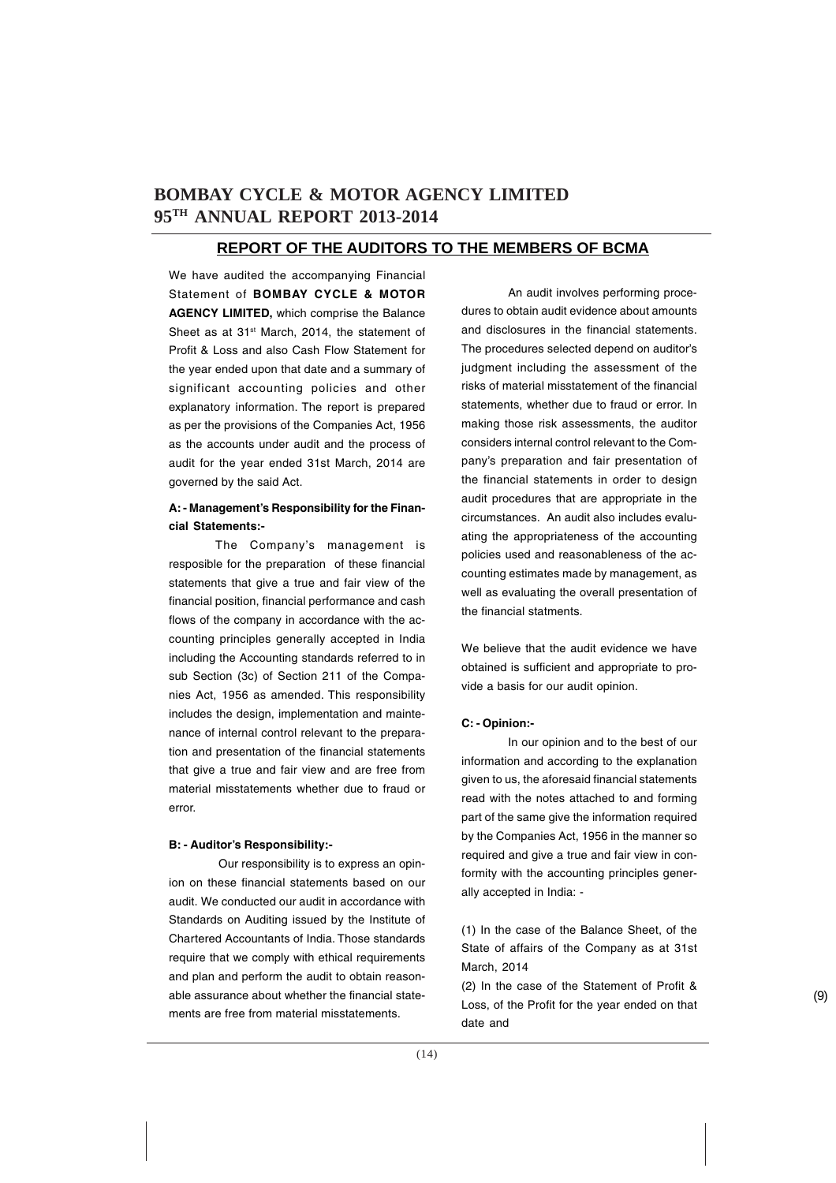#### **REPORT OF THE AUDITORS TO THE MEMBERS OF BCMA**

We have audited the accompanying Financial Statement of **BOMBAY CYCLE & MOTOR AGENCY LIMITED,** which comprise the Balance Sheet as at 31<sup>st</sup> March, 2014, the statement of Profit & Loss and also Cash Flow Statement for the year ended upon that date and a summary of significant accounting policies and other explanatory information. The report is prepared as per the provisions of the Companies Act, 1956 as the accounts under audit and the process of audit for the year ended 31st March, 2014 are governed by the said Act.

#### **A: - Management's Responsibility for the Financial Statements:-**

The Company's management is resposible for the preparation of these financial statements that give a true and fair view of the financial position, financial performance and cash flows of the company in accordance with the accounting principles generally accepted in India including the Accounting standards referred to in sub Section (3c) of Section 211 of the Companies Act, 1956 as amended. This responsibility includes the design, implementation and maintenance of internal control relevant to the preparation and presentation of the financial statements that give a true and fair view and are free from material misstatements whether due to fraud or error.

#### **B: - Auditor's Responsibility:-**

 Our responsibility is to express an opinion on these financial statements based on our audit. We conducted our audit in accordance with Standards on Auditing issued by the Institute of Chartered Accountants of India. Those standards require that we comply with ethical requirements and plan and perform the audit to obtain reasonable assurance about whether the financial statements are free from material misstatements.

An audit involves performing procedures to obtain audit evidence about amounts and disclosures in the financial statements. The procedures selected depend on auditor's judgment including the assessment of the risks of material misstatement of the financial statements, whether due to fraud or error. In making those risk assessments, the auditor considers internal control relevant to the Company's preparation and fair presentation of the financial statements in order to design audit procedures that are appropriate in the circumstances. An audit also includes evaluating the appropriateness of the accounting policies used and reasonableness of the accounting estimates made by management, as well as evaluating the overall presentation of the financial statments.

We believe that the audit evidence we have obtained is sufficient and appropriate to provide a basis for our audit opinion.

#### **C: - Opinion:-**

In our opinion and to the best of our information and according to the explanation given to us, the aforesaid financial statements read with the notes attached to and forming part of the same give the information required by the Companies Act, 1956 in the manner so required and give a true and fair view in conformity with the accounting principles generally accepted in India: -

(1) In the case of the Balance Sheet, of the State of affairs of the Company as at 31st March, 2014

(2) In the case of the Statement of Profit & Loss, of the Profit for the year ended on that date and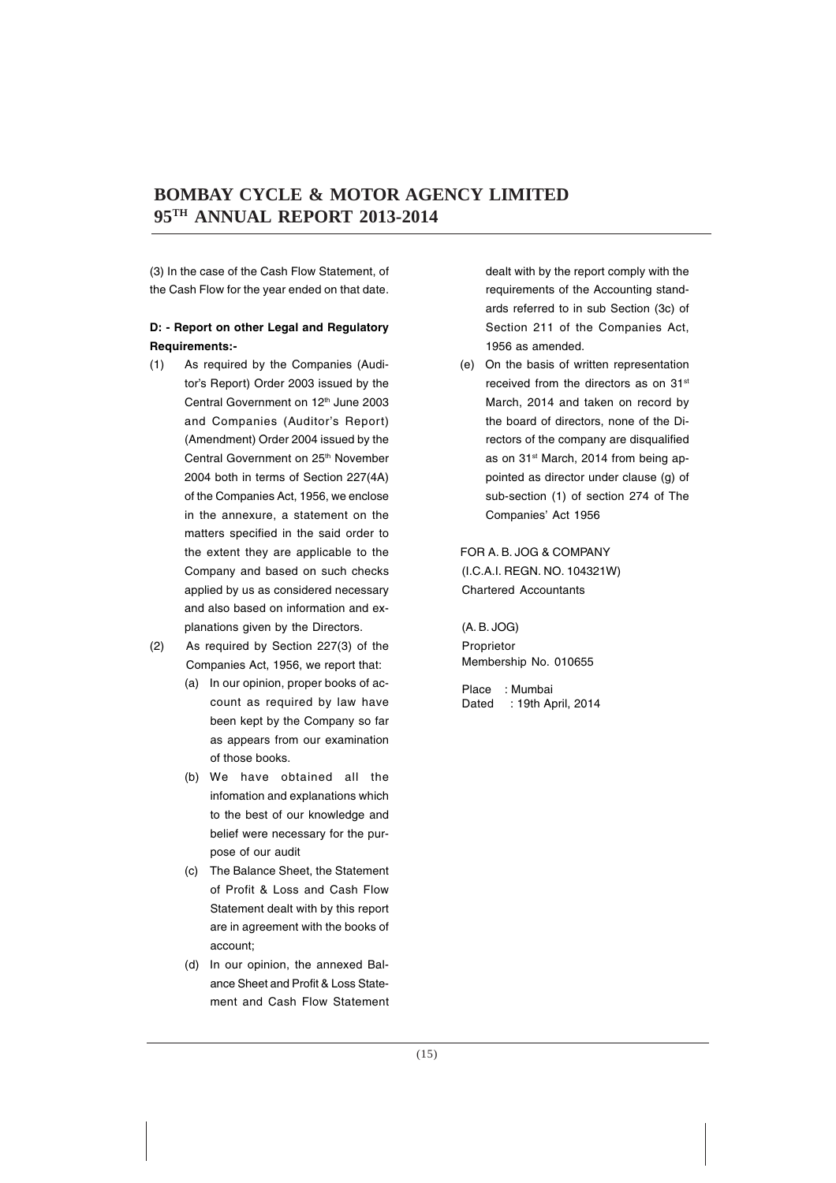(3) In the case of the Cash Flow Statement, of the Cash Flow for the year ended on that date.

#### **D: - Report on other Legal and Regulatory Requirements:-**

- (1) As required by the Companies (Auditor's Report) Order 2003 issued by the Central Government on 12<sup>th</sup> June 2003 and Companies (Auditor's Report) (Amendment) Order 2004 issued by the Central Government on 25<sup>th</sup> November 2004 both in terms of Section 227(4A) of the Companies Act, 1956, we enclose in the annexure, a statement on the matters specified in the said order to the extent they are applicable to the Company and based on such checks applied by us as considered necessary and also based on information and explanations given by the Directors.
- (2) As required by Section 227(3) of the Companies Act, 1956, we report that:
	- (a) In our opinion, proper books of account as required by law have been kept by the Company so far as appears from our examination of those books.
	- (b) We have obtained all the infomation and explanations which to the best of our knowledge and belief were necessary for the purpose of our audit
	- (c) The Balance Sheet, the Statement of Profit & Loss and Cash Flow Statement dealt with by this report are in agreement with the books of account;
	- (d) In our opinion, the annexed Balance Sheet and Profit & Loss Statement and Cash Flow Statement

dealt with by the report comply with the requirements of the Accounting standards referred to in sub Section (3c) of Section 211 of the Companies Act, 1956 as amended.

(e) On the basis of written representation received from the directors as on 31st March, 2014 and taken on record by the board of directors, none of the Directors of the company are disqualified as on 31<sup>st</sup> March, 2014 from being appointed as director under clause (g) of sub-section (1) of section 274 of The Companies' Act 1956

 FOR A. B. JOG & COMPANY (I.C.A.I. REGN. NO. 104321W) Chartered Accountants

(A. B. JOG) Proprietor Membership No. 010655

Place : Mumbai Dated : 19th April, 2014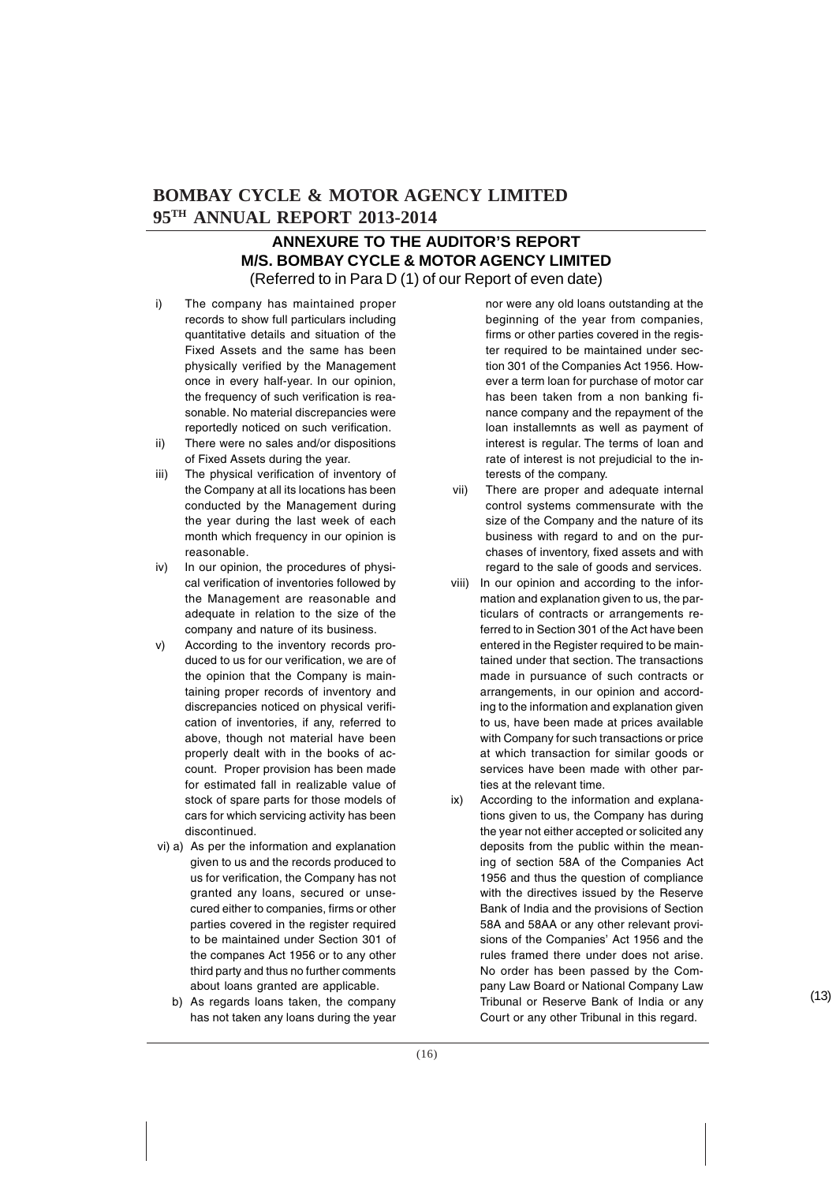### **ANNEXURE TO THE AUDITOR'S REPORT M/S. BOMBAY CYCLE & MOTOR AGENCY LIMITED** (Referred to in Para D (1) of our Report of even date)

- i) The company has maintained proper records to show full particulars including quantitative details and situation of the Fixed Assets and the same has been physically verified by the Management once in every half-year. In our opinion, the frequency of such verification is reasonable. No material discrepancies were reportedly noticed on such verification.
- ii) There were no sales and/or dispositions of Fixed Assets during the year.
- iii) The physical verification of inventory of the Company at all its locations has been conducted by the Management during the year during the last week of each month which frequency in our opinion is reasonable.
- iv) In our opinion, the procedures of physical verification of inventories followed by the Management are reasonable and adequate in relation to the size of the company and nature of its business.
- v) According to the inventory records produced to us for our verification, we are of the opinion that the Company is maintaining proper records of inventory and discrepancies noticed on physical verification of inventories, if any, referred to above, though not material have been properly dealt with in the books of account. Proper provision has been made for estimated fall in realizable value of stock of spare parts for those models of cars for which servicing activity has been discontinued.
- vi) a) As per the information and explanation given to us and the records produced to us for verification, the Company has not granted any loans, secured or unsecured either to companies, firms or other parties covered in the register required to be maintained under Section 301 of the companes Act 1956 or to any other third party and thus no further comments about loans granted are applicable.
	- b) As regards loans taken, the company has not taken any loans during the year

nor were any old loans outstanding at the beginning of the year from companies, firms or other parties covered in the register required to be maintained under section 301 of the Companies Act 1956. However a term loan for purchase of motor car has been taken from a non banking finance company and the repayment of the loan installemnts as well as payment of interest is regular. The terms of loan and rate of interest is not prejudicial to the interests of the company.

- vii) There are proper and adequate internal control systems commensurate with the size of the Company and the nature of its business with regard to and on the purchases of inventory, fixed assets and with regard to the sale of goods and services.
- viii) In our opinion and according to the information and explanation given to us, the particulars of contracts or arrangements referred to in Section 301 of the Act have been entered in the Register required to be maintained under that section. The transactions made in pursuance of such contracts or arrangements, in our opinion and according to the information and explanation given to us, have been made at prices available with Company for such transactions or price at which transaction for similar goods or services have been made with other parties at the relevant time.
- ix) According to the information and explanations given to us, the Company has during the year not either accepted or solicited any deposits from the public within the meaning of section 58A of the Companies Act 1956 and thus the question of compliance with the directives issued by the Reserve Bank of India and the provisions of Section 58A and 58AA or any other relevant provisions of the Companies' Act 1956 and the rules framed there under does not arise. No order has been passed by the Company Law Board or National Company Law Tribunal or Reserve Bank of India or any Court or any other Tribunal in this regard.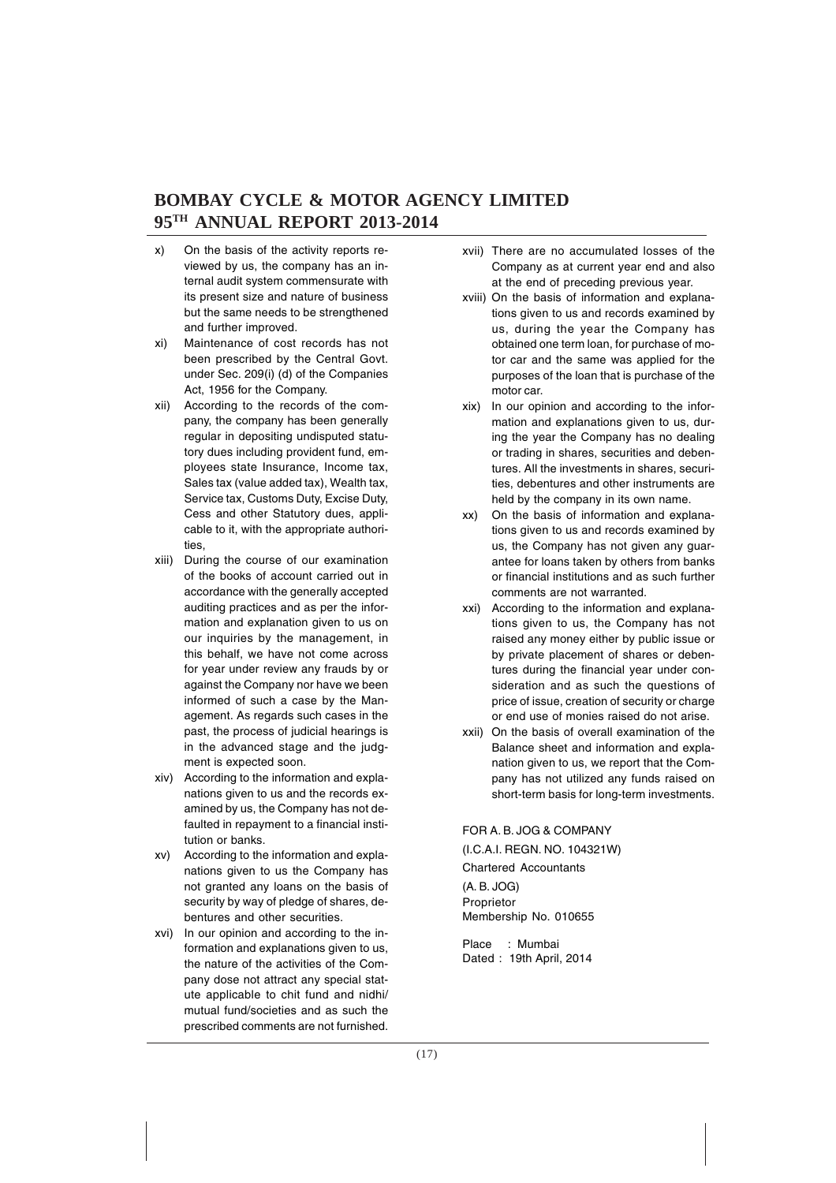- x) On the basis of the activity reports reviewed by us, the company has an internal audit system commensurate with its present size and nature of business but the same needs to be strengthened and further improved.
- xi) Maintenance of cost records has not been prescribed by the Central Govt. under Sec. 209(i) (d) of the Companies Act, 1956 for the Company.
- xii) According to the records of the company, the company has been generally regular in depositing undisputed statutory dues including provident fund, employees state Insurance, Income tax, Sales tax (value added tax), Wealth tax, Service tax, Customs Duty, Excise Duty, Cess and other Statutory dues, applicable to it, with the appropriate authorities,
- xiii) During the course of our examination of the books of account carried out in accordance with the generally accepted auditing practices and as per the information and explanation given to us on our inquiries by the management, in this behalf, we have not come across for year under review any frauds by or against the Company nor have we been informed of such a case by the Management. As regards such cases in the past, the process of judicial hearings is in the advanced stage and the judgment is expected soon.
- xiv) According to the information and explanations given to us and the records examined by us, the Company has not defaulted in repayment to a financial institution or banks.
- xv) According to the information and explanations given to us the Company has not granted any loans on the basis of security by way of pledge of shares, debentures and other securities.
- xvi) In our opinion and according to the information and explanations given to us, the nature of the activities of the Company dose not attract any special statute applicable to chit fund and nidhi/ mutual fund/societies and as such the prescribed comments are not furnished.
- xvii) There are no accumulated losses of the Company as at current year end and also at the end of preceding previous year.
- xviii) On the basis of information and explanations given to us and records examined by us, during the year the Company has obtained one term loan, for purchase of motor car and the same was applied for the purposes of the loan that is purchase of the motor car.
- xix) In our opinion and according to the information and explanations given to us, during the year the Company has no dealing or trading in shares, securities and debentures. All the investments in shares, securities, debentures and other instruments are held by the company in its own name.
- xx) On the basis of information and explanations given to us and records examined by us, the Company has not given any guarantee for loans taken by others from banks or financial institutions and as such further comments are not warranted.
- xxi) According to the information and explanations given to us, the Company has not raised any money either by public issue or by private placement of shares or debentures during the financial year under consideration and as such the questions of price of issue, creation of security or charge or end use of monies raised do not arise.
- xxii) On the basis of overall examination of the Balance sheet and information and explanation given to us, we report that the Company has not utilized any funds raised on short-term basis for long-term investments.

FOR A. B. JOG & COMPANY (I.C.A.I. REGN. NO. 104321W) Chartered Accountants (A. B. JOG) Proprietor Membership No. 010655

Place : Mumbai Dated : 19th April, 2014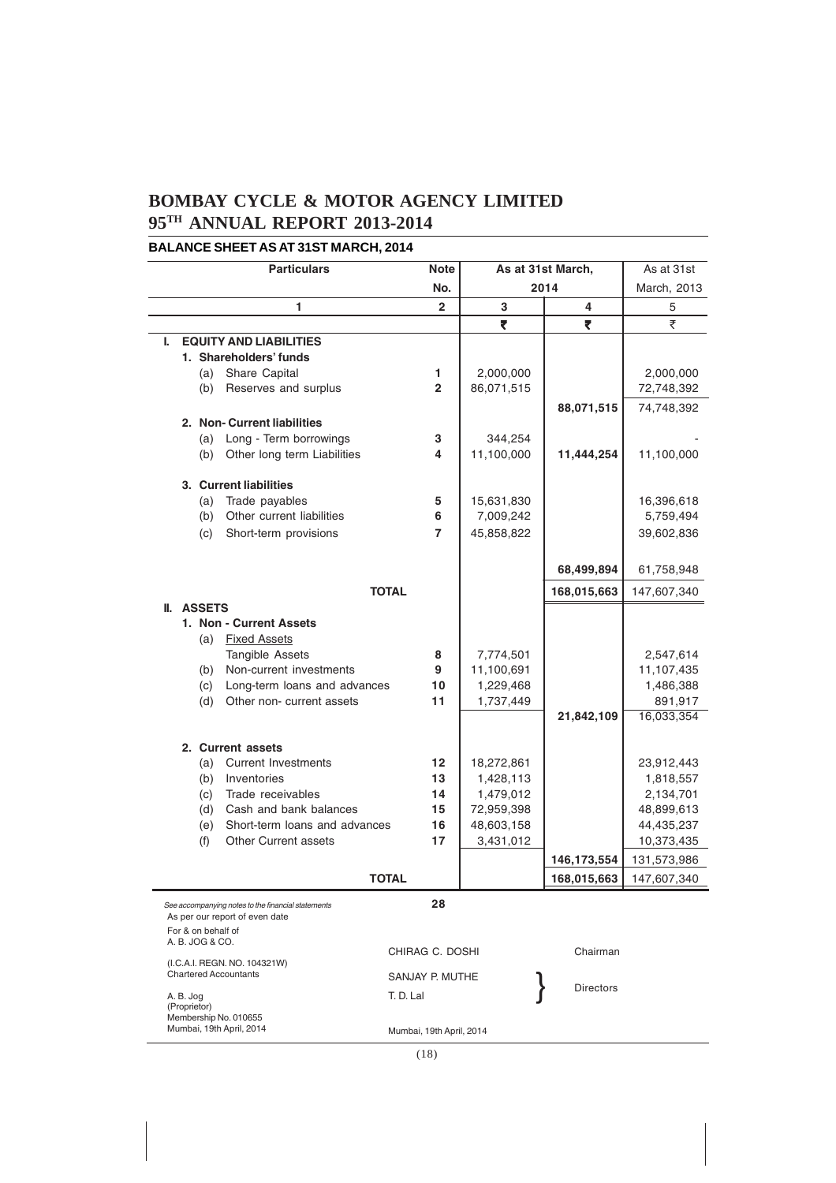#### **BALANCE SHEET AS AT 31ST MARCH, 2014**

|   | <b>Particulars</b>                                           | <b>Note</b>              |            | As at 31st March, | As at 31st            |
|---|--------------------------------------------------------------|--------------------------|------------|-------------------|-----------------------|
|   |                                                              | No.                      | 2014       |                   | March, 2013           |
|   | 1                                                            | $\overline{2}$           | 3          | 4                 | 5                     |
|   |                                                              |                          | ₹          | ₹                 | ₹                     |
| L | <b>EQUITY AND LIABILITIES</b>                                |                          |            |                   |                       |
|   | 1. Shareholders' funds                                       |                          |            |                   |                       |
|   | (a) Share Capital                                            | 1.                       | 2,000,000  |                   | 2,000,000             |
|   | Reserves and surplus<br>(b)                                  | $\overline{2}$           | 86,071,515 |                   | 72,748,392            |
|   |                                                              |                          |            | 88,071,515        | 74,748,392            |
|   | 2. Non- Current liabilities                                  |                          |            |                   |                       |
|   | Long - Term borrowings<br>(a)                                | 3                        | 344,254    |                   |                       |
|   | Other long term Liabilities<br>(b)                           | 4                        | 11,100,000 | 11,444,254        | 11,100,000            |
|   | 3. Current liabilities                                       |                          |            |                   |                       |
|   | Trade payables<br>(a)                                        | 5                        | 15,631,830 |                   | 16,396,618            |
|   | Other current liabilities<br>(b)                             | 6                        | 7,009,242  |                   | 5,759,494             |
|   | (c)<br>Short-term provisions                                 | 7                        | 45,858,822 |                   | 39,602,836            |
|   |                                                              |                          |            |                   |                       |
|   |                                                              |                          |            | 68,499,894        | 61,758,948            |
|   | <b>TOTAL</b>                                                 |                          |            | 168,015,663       | 147,607,340           |
|   | <b>II. ASSETS</b>                                            |                          |            |                   |                       |
|   | 1. Non - Current Assets                                      |                          |            |                   |                       |
|   | <b>Fixed Assets</b><br>(a)                                   |                          |            |                   |                       |
|   | Tangible Assets                                              | 8                        | 7,774,501  |                   | 2,547,614             |
|   | Non-current investments<br>(b)                               | 9                        | 11,100,691 |                   | 11,107,435            |
|   | Long-term loans and advances<br>(c)                          | 10                       | 1,229,468  |                   | 1,486,388             |
|   | (d)<br>Other non- current assets                             | 11                       | 1,737,449  | 21,842,109        | 891,917<br>16,033,354 |
|   |                                                              |                          |            |                   |                       |
|   | 2. Current assets                                            |                          |            |                   |                       |
|   | <b>Current Investments</b><br>(a)                            | 12                       | 18,272,861 |                   | 23,912,443            |
|   | (b)<br>Inventories                                           | 13                       | 1,428,113  |                   | 1,818,557             |
|   | (c)<br>Trade receivables                                     | 14                       | 1,479,012  |                   | 2,134,701             |
|   | Cash and bank balances<br>(d)                                | 15                       | 72,959,398 |                   | 48,899,613            |
|   | Short-term loans and advances<br>(e)                         | 16                       | 48,603,158 |                   | 44,435,237            |
|   | <b>Other Current assets</b><br>(f)                           | 17                       | 3,431,012  |                   | 10,373,435            |
|   |                                                              |                          |            | 146, 173, 554     | 131,573,986           |
|   | <b>TOTAL</b>                                                 |                          |            | 168,015,663       | 147,607,340           |
|   | See accompanying notes to the financial statements           | 28                       |            |                   |                       |
|   | As per our report of even date                               |                          |            |                   |                       |
|   | For & on behalf of<br>A. B. JOG & CO.                        |                          |            |                   |                       |
|   |                                                              | CHIRAG C. DOSHI          |            | Chairman          |                       |
|   | (I.C.A.I. REGN. NO. 104321W)<br><b>Chartered Accountants</b> | SANJAY P. MUTHE          |            |                   |                       |
|   | A. B. Jog<br>T. D. Lal                                       |                          |            | <b>Directors</b>  |                       |
|   | (Proprietor)                                                 |                          |            |                   |                       |
|   | Membership No. 010655<br>Mumbai, 19th April, 2014            | Mumbai, 19th April, 2014 |            |                   |                       |
|   |                                                              |                          |            |                   |                       |

(18)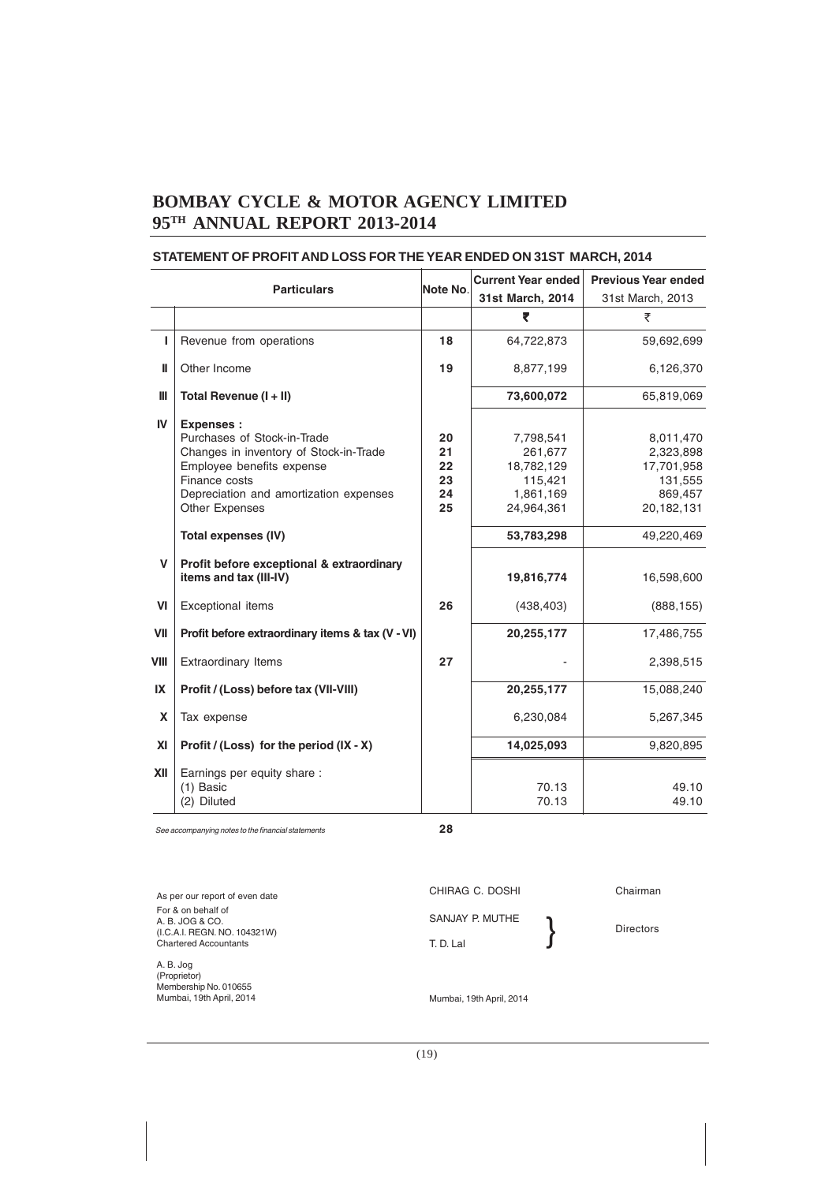|              | <b>Particulars</b>                                                                                                                                                                                         | Note No.                         | <b>Current Year ended</b><br>31st March, 2014                            | <b>Previous Year ended</b><br>31st March, 2013                           |
|--------------|------------------------------------------------------------------------------------------------------------------------------------------------------------------------------------------------------------|----------------------------------|--------------------------------------------------------------------------|--------------------------------------------------------------------------|
|              |                                                                                                                                                                                                            |                                  | ₹                                                                        | ₹                                                                        |
| П            | Revenue from operations                                                                                                                                                                                    | 18                               | 64,722,873                                                               | 59,692,699                                                               |
| Ш            | Other Income                                                                                                                                                                                               | 19                               | 8,877,199                                                                | 6,126,370                                                                |
| Ш            | Total Revenue (I + II)                                                                                                                                                                                     |                                  | 73,600,072                                                               | 65,819,069                                                               |
| IV           | <b>Expenses:</b><br>Purchases of Stock-in-Trade<br>Changes in inventory of Stock-in-Trade<br>Employee benefits expense<br>Finance costs<br>Depreciation and amortization expenses<br><b>Other Expenses</b> | 20<br>21<br>22<br>23<br>24<br>25 | 7,798,541<br>261,677<br>18,782,129<br>115,421<br>1,861,169<br>24,964,361 | 8,011,470<br>2,323,898<br>17,701,958<br>131,555<br>869,457<br>20,182,131 |
|              | Total expenses (IV)                                                                                                                                                                                        |                                  | 53,783,298                                                               | 49,220,469                                                               |
| $\mathsf{V}$ | Profit before exceptional & extraordinary<br>items and tax (III-IV)                                                                                                                                        |                                  | 19,816,774                                                               | 16,598,600                                                               |
| VI           | Exceptional items                                                                                                                                                                                          | 26                               | (438, 403)                                                               | (888, 155)                                                               |
| VII          | Profit before extraordinary items & tax (V - VI)                                                                                                                                                           |                                  | 20,255,177                                                               | 17,486,755                                                               |
| VIII         | <b>Extraordinary Items</b>                                                                                                                                                                                 | 27                               |                                                                          | 2,398,515                                                                |
| IX           | Profit / (Loss) before tax (VII-VIII)                                                                                                                                                                      |                                  | 20,255,177                                                               | 15,088,240                                                               |
| X            | Tax expense                                                                                                                                                                                                |                                  | 6,230,084                                                                | 5,267,345                                                                |
| XI           | Profit / (Loss) for the period $(IX - X)$                                                                                                                                                                  |                                  | 14,025,093                                                               | 9,820,895                                                                |
| XII          | Earnings per equity share :<br>$(1)$ Basic<br>(2) Diluted                                                                                                                                                  |                                  | 70.13<br>70.13                                                           | 49.10<br>49.10                                                           |

#### **STATEMENT OF PROFIT AND LOSS FOR THE YEAR ENDED ON 31ST MARCH, 2014**

See accompanying notes to the financial statements **28**

| As per our report of even date                                                 | CHIRAG C. DOSHI          | Chairman         |
|--------------------------------------------------------------------------------|--------------------------|------------------|
| For & on behalf of<br>A. B. JOG & CO.<br>(I.C.A.I. REGN. NO. 104321W)          | SANJAY P. MUTHE          | <b>Directors</b> |
| <b>Chartered Accountants</b>                                                   | T. D. Lal                |                  |
| A. B. Jog<br>(Proprietor)<br>Membership No. 010655<br>Mumbai, 19th April, 2014 | Mumbai, 19th April, 2014 |                  |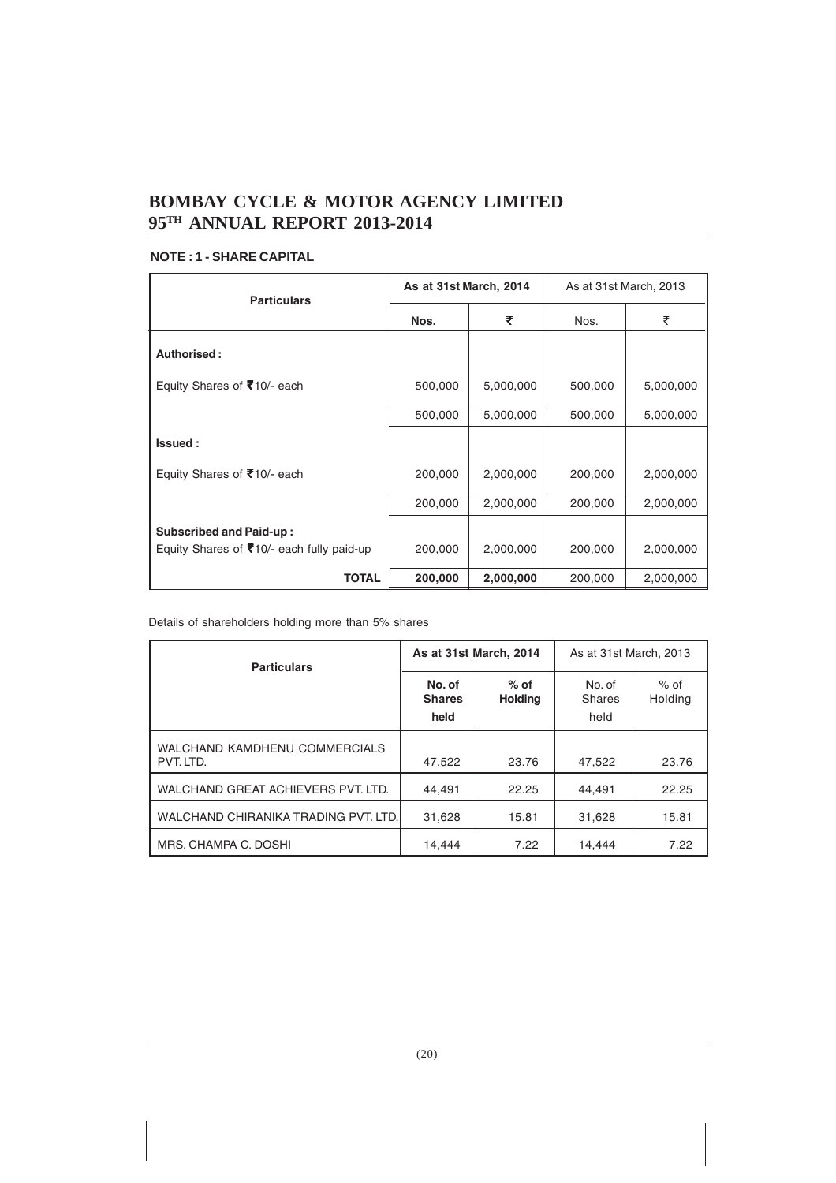#### **NOTE : 1 - SHARE CAPITAL**

| <b>Particulars</b>                                                          |         | As at 31st March, 2014 |         | As at 31st March, 2013 |  |
|-----------------------------------------------------------------------------|---------|------------------------|---------|------------------------|--|
|                                                                             | Nos.    | ₹                      | Nos.    | ₹                      |  |
| Authorised:                                                                 |         |                        |         |                        |  |
| Equity Shares of ₹10/- each                                                 | 500,000 | 5,000,000              | 500,000 | 5,000,000              |  |
|                                                                             | 500,000 | 5,000,000              | 500,000 | 5,000,000              |  |
| Issued:                                                                     |         |                        |         |                        |  |
| Equity Shares of ₹10/- each                                                 | 200,000 | 2,000,000              | 200,000 | 2,000,000              |  |
|                                                                             | 200,000 | 2,000,000              | 200,000 | 2,000,000              |  |
| <b>Subscribed and Paid-up:</b><br>Equity Shares of ₹10/- each fully paid-up | 200,000 | 2,000,000              | 200,000 | 2,000,000              |  |
| TOTAL                                                                       | 200,000 | 2,000,000              | 200,000 | 2,000,000              |  |

Details of shareholders holding more than 5% shares

| <b>Particulars</b>                         | As at 31st March, 2014          |                          | As at 31st March, 2013          |                   |
|--------------------------------------------|---------------------------------|--------------------------|---------------------------------|-------------------|
|                                            | No. of<br><b>Shares</b><br>held | $%$ of<br><b>Holding</b> | No. of<br><b>Shares</b><br>held | $%$ of<br>Holding |
| WALCHAND KAMDHENU COMMERCIALS<br>PVT. LTD. | 47,522                          | 23.76                    | 47.522                          | 23.76             |
| WALCHAND GREAT ACHIEVERS PVT. LTD.         | 44.491                          | 22.25                    | 44.491                          | 22.25             |
| WALCHAND CHIRANIKA TRADING PVT. LTD.       | 31,628                          | 15.81                    | 31,628                          | 15.81             |
| MRS. CHAMPA C. DOSHI                       | 14,444                          | 7.22                     | 14.444                          | 7.22              |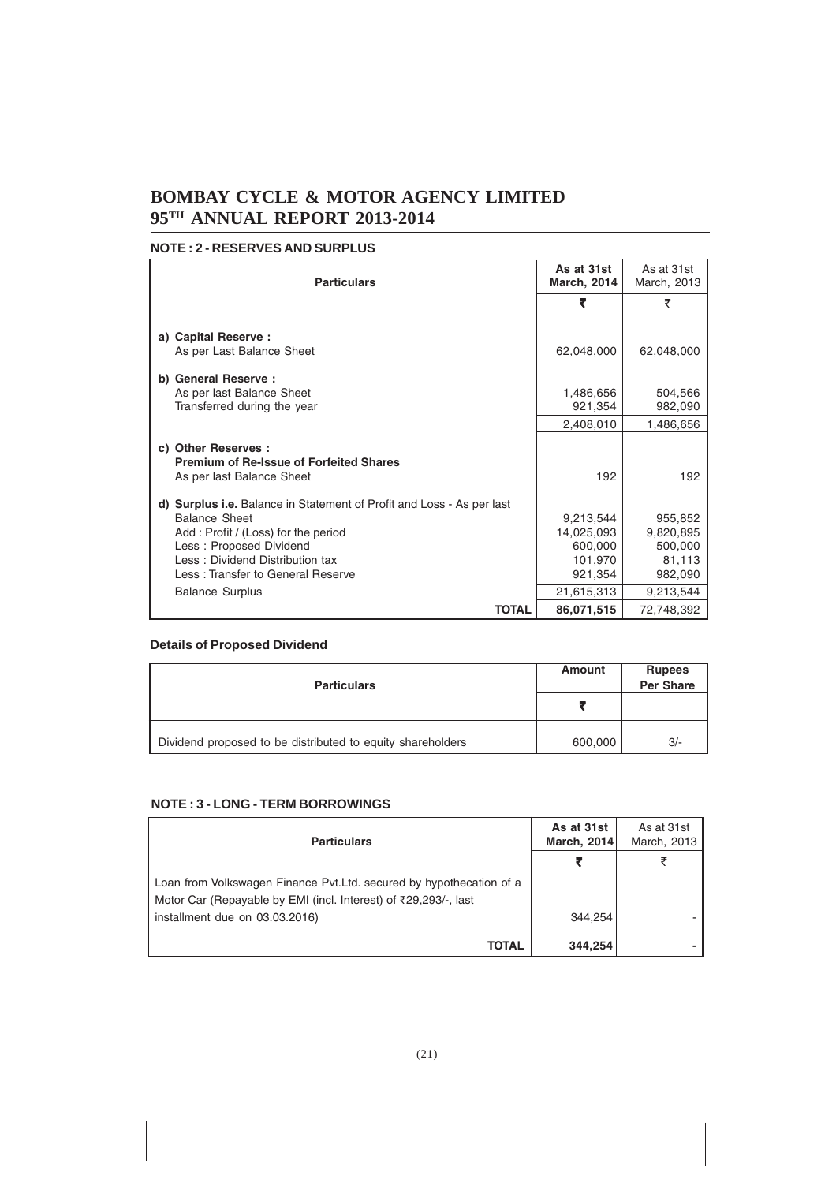#### **NOTE : 2 - RESERVES AND SURPLUS**

| <b>Particulars</b>                                                                                                                                                                                                                                                | As at 31st<br><b>March, 2014</b>                                       | As at 31st<br>March, 2013                                         |
|-------------------------------------------------------------------------------------------------------------------------------------------------------------------------------------------------------------------------------------------------------------------|------------------------------------------------------------------------|-------------------------------------------------------------------|
|                                                                                                                                                                                                                                                                   | ₹                                                                      | ₹                                                                 |
| a) Capital Reserve :<br>As per Last Balance Sheet                                                                                                                                                                                                                 | 62,048,000                                                             | 62,048,000                                                        |
| b) General Reserve :<br>As per last Balance Sheet<br>Transferred during the year                                                                                                                                                                                  | 1,486,656<br>921,354                                                   | 504,566<br>982,090                                                |
|                                                                                                                                                                                                                                                                   | 2,408,010                                                              | 1,486,656                                                         |
| c) Other Reserves :<br><b>Premium of Re-Issue of Forfeited Shares</b><br>As per last Balance Sheet                                                                                                                                                                | 192                                                                    | 192                                                               |
| d) Surplus i.e. Balance in Statement of Profit and Loss - As per last<br><b>Balance Sheet</b><br>Add: Profit / (Loss) for the period<br>Less: Proposed Dividend<br>Less: Dividend Distribution tax<br>Less: Transfer to General Reserve<br><b>Balance Surplus</b> | 9,213,544<br>14,025,093<br>600,000<br>101,970<br>921,354<br>21,615,313 | 955,852<br>9,820,895<br>500,000<br>81,113<br>982,090<br>9,213,544 |
| <b>TOTAL</b>                                                                                                                                                                                                                                                      | 86,071,515                                                             | 72,748,392                                                        |

#### **Details of Proposed Dividend**

| <b>Particulars</b>                                         | Amount  | <b>Rupees</b><br><b>Per Share</b> |
|------------------------------------------------------------|---------|-----------------------------------|
|                                                            |         |                                   |
| Dividend proposed to be distributed to equity shareholders | 600,000 | $3/-$                             |

#### **NOTE : 3 - LONG - TERM BORROWINGS**

| <b>Particulars</b>                                                   | As at 31st<br><b>March, 2014</b> | As at 31st<br>March, 2013 |
|----------------------------------------------------------------------|----------------------------------|---------------------------|
|                                                                      |                                  |                           |
| Loan from Volkswagen Finance Pvt. Ltd. secured by hypothecation of a |                                  |                           |
| Motor Car (Repayable by EMI (incl. Interest) of ₹29,293/-, last      |                                  |                           |
| installment due on 03.03.2016)                                       | 344.254                          |                           |
| <b>TOTAL</b>                                                         | 344.254                          |                           |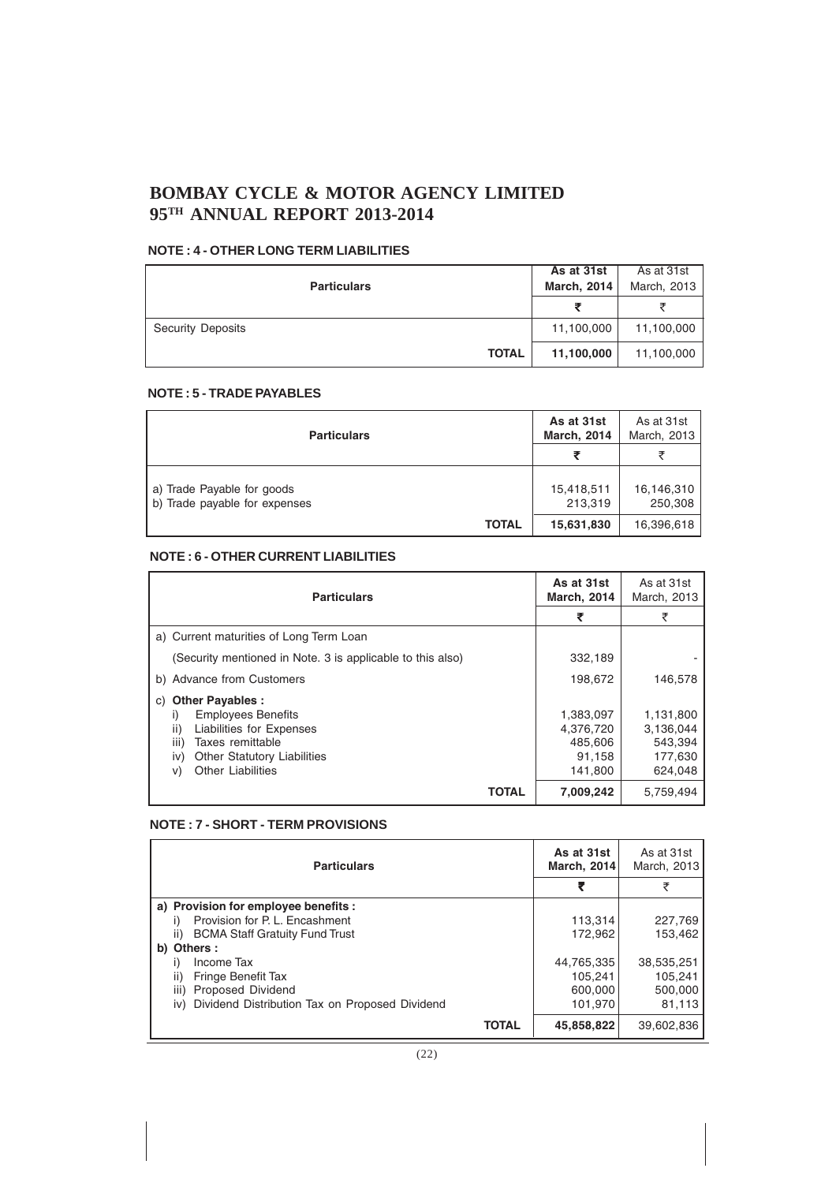#### **NOTE : 4 - OTHER LONG TERM LIABILITIES**

| <b>Particulars</b>       | As at 31st<br><b>March, 2014</b> | As at 31st<br>March, 2013 |
|--------------------------|----------------------------------|---------------------------|
|                          |                                  |                           |
| <b>Security Deposits</b> | 11,100,000                       | 11,100,000                |
| <b>TOTAL</b>             | 11,100,000                       | 11,100,000                |

#### **NOTE : 5 - TRADE PAYABLES**

| <b>Particulars</b>                                          | As at 31st<br><b>March, 2014</b> | As at 31st<br>March, 2013 |
|-------------------------------------------------------------|----------------------------------|---------------------------|
|                                                             |                                  |                           |
| a) Trade Payable for goods<br>b) Trade payable for expenses | 15,418,511<br>213,319            | 16,146,310<br>250,308     |
| <b>TOTAL</b>                                                | 15,631,830                       | 16,396,618                |

#### **NOTE : 6 - OTHER CURRENT LIABILITIES**

| <b>Particulars</b>                                                                                                                                                                                            | As at 31st<br><b>March, 2014</b>                       | As at 31st<br>March, 2013                               |
|---------------------------------------------------------------------------------------------------------------------------------------------------------------------------------------------------------------|--------------------------------------------------------|---------------------------------------------------------|
|                                                                                                                                                                                                               | ₹                                                      | ₹                                                       |
| a) Current maturities of Long Term Loan                                                                                                                                                                       |                                                        |                                                         |
| (Security mentioned in Note. 3 is applicable to this also)                                                                                                                                                    | 332,189                                                |                                                         |
| b) Advance from Customers                                                                                                                                                                                     | 198,672                                                | 146.578                                                 |
| <b>Other Payables:</b><br>C)<br><b>Employees Benefits</b><br>I)<br>ii)<br>Liabilities for Expenses<br>iii)<br>Taxes remittable<br><b>Other Statutory Liabilities</b><br>iv)<br><b>Other Liabilities</b><br>V) | 1,383,097<br>4,376,720<br>485,606<br>91,158<br>141,800 | 1,131,800<br>3,136,044<br>543,394<br>177,630<br>624.048 |
| TOTAL                                                                                                                                                                                                         | 7,009,242                                              | 5,759,494                                               |

#### **NOTE : 7 - SHORT - TERM PROVISIONS**

| <b>Particulars</b>                                    | As at 31st<br><b>March. 2014</b> | As at 31st<br>March, 2013 |
|-------------------------------------------------------|----------------------------------|---------------------------|
|                                                       |                                  | ₹                         |
| a) Provision for employee benefits :                  |                                  |                           |
| Provision for P. L. Encashment<br>i)                  | 113,314                          | 227,769                   |
| ii)<br><b>BCMA Staff Gratuity Fund Trust</b>          | 172.962                          | 153.462                   |
| b) Others :                                           |                                  |                           |
| Income Tax                                            | 44,765,335                       | 38,535,251                |
| Fringe Benefit Tax<br>ii)                             | 105.241                          | 105.241                   |
| Proposed Dividend<br>iii)                             | 600,000                          | 500,000                   |
| Dividend Distribution Tax on Proposed Dividend<br>iv) | 101,970                          | 81.113                    |
| <b>TOTAL</b>                                          | 45.858.822                       | 39.602.836                |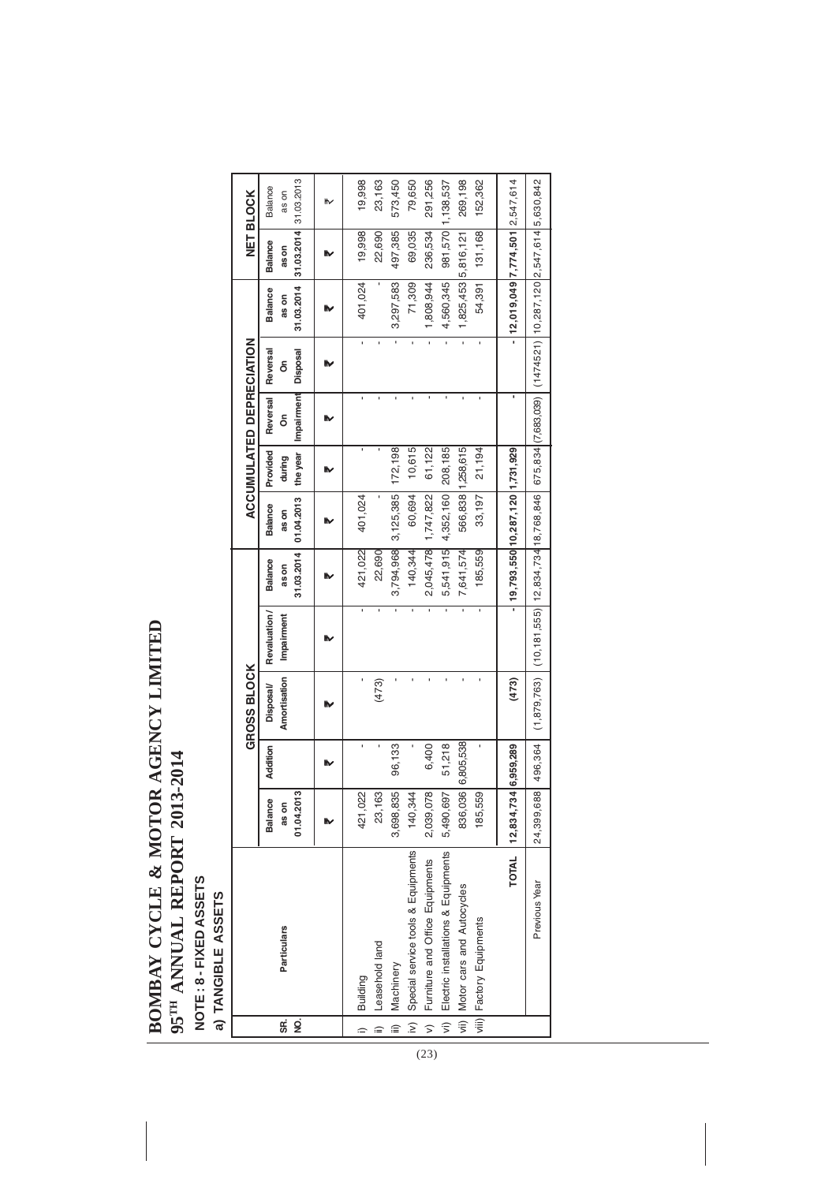# BOMBAY CYCLE & MOTOR AGENCY LIMITED **BOMBAY CYCLE & MOTOR AGENCY LIMITED** 95TH ANNUAL REPORT 2013-2014 **95TH ANNUAL REPORT 2013-2014**

NOTE : 8 - FIXED ASSETS<br>a) TANGIBLE ASSETS **NOTE : 8 - FIXED ASSETS**

**a) TANGIBLE ASSETS**

|                          | a) islamate use is                  |                                    |                   |                                 |                                                                                                                       |                                       |                                         |                                |                             |                           |                                       |                                      |                                  |  |
|--------------------------|-------------------------------------|------------------------------------|-------------------|---------------------------------|-----------------------------------------------------------------------------------------------------------------------|---------------------------------------|-----------------------------------------|--------------------------------|-----------------------------|---------------------------|---------------------------------------|--------------------------------------|----------------------------------|--|
|                          |                                     |                                    |                   | <b>GROSS BLOCK</b>              |                                                                                                                       |                                       |                                         |                                | ACCUMULATED DEPRECIATION    |                           |                                       |                                      | NET BLOCK                        |  |
| SË,<br>g                 | Particulars                         | ო<br>Balance<br>01.04.201<br>as on | Addition          | Amortisation<br><b>Disposal</b> | Revaluation/<br>Impairment                                                                                            | 31.03.2014<br><b>Balance</b><br>as on | 01.04.2013<br><b>Balance</b><br>ason    | Provided<br>the year<br>during | Impairment<br>Reversal<br>å | Reversal<br>Disposal<br>δ | 31.03.2014<br><b>Balance</b><br>as on | 31.03.2014<br><b>Balance</b><br>ason | 31.03.2013<br>Balance<br>5<br>as |  |
|                          |                                     |                                    |                   |                                 |                                                                                                                       |                                       |                                         |                                |                             |                           |                                       |                                      |                                  |  |
| $\hat{=}$                | Building                            | 421,022                            | ı                 | ı                               | ı                                                                                                                     | 421,022                               | 401,024                                 |                                | ï                           | ï                         | 401,024                               | 19,998                               | 19,998                           |  |
| ≘                        | Leasehold land                      | ო<br>23,16                         | ı                 | (473)                           | ı                                                                                                                     | 22,690                                | ı                                       |                                | ı                           | ï                         |                                       | 22,690                               | 23,163                           |  |
| $\equiv$                 | Machinery                           | 3,698,835                          | 96,133            |                                 | ï                                                                                                                     |                                       | 3,794,968 3,125,385                     | 172,198                        | ı                           |                           | 3,297,583                             | 497,385                              | 573,450                          |  |
| $\vert \tilde{y} \vert$  | Special service tools & Equipments  | 140,344                            |                   | ï                               | ī                                                                                                                     | 140, 344                              | 60,694                                  | 10,615                         | ï                           |                           | 71,309                                | 69,035                               | 79,650                           |  |
|                          | v) Furniture and Office Equipments  | $\infty$<br>2,039,07               | 6,400             | ï                               | ï                                                                                                                     |                                       | 2,045,478 1,747,822                     | 61,122                         |                             | ī                         | 1,808,944                             | 236,534                              | 291,256                          |  |
| $\vert$ $\overline{z}$ ) | Electric installations & Equipments | 5,490,697                          | 51,218            | ï                               |                                                                                                                       | 5,541,915                             | 4,352,160 208,185                       |                                |                             |                           | 4,560,345                             | 981,570 1,138,537                    |                                  |  |
|                          | vii) Motor cars and Autocycles      |                                    | 836,036 6,805,538 | ï                               |                                                                                                                       | 7,641,574                             |                                         | 566,838 1,258,615              | ı                           |                           | 1,825,453 5,816,121                   |                                      | 269,198                          |  |
|                          | viii) Factory Equipments            | თ<br>185,55                        |                   |                                 |                                                                                                                       | 185,559                               | 33,197                                  | 21,194                         |                             |                           | 54,391                                | 131,168                              | 152,362                          |  |
|                          | <b>TOTAL</b>                        | 12,834,73                          | 4 6,959,289       | (473)                           |                                                                                                                       |                                       | -   19,793,550   10,287,120   1,731,929 |                                |                             |                           | $-12,019,049$  7,774,501   2,547,614  |                                      |                                  |  |
|                          | Previous Year                       | 24,399,688                         | 496,364           |                                 | (1,879,763) [(10,181,555)] 12,834,734 18,768,846 [ 675,834 [(7,683,039) [ (1474521) [10,287,120 [2,547,614 [5,630,842 |                                       |                                         |                                |                             |                           |                                       |                                      |                                  |  |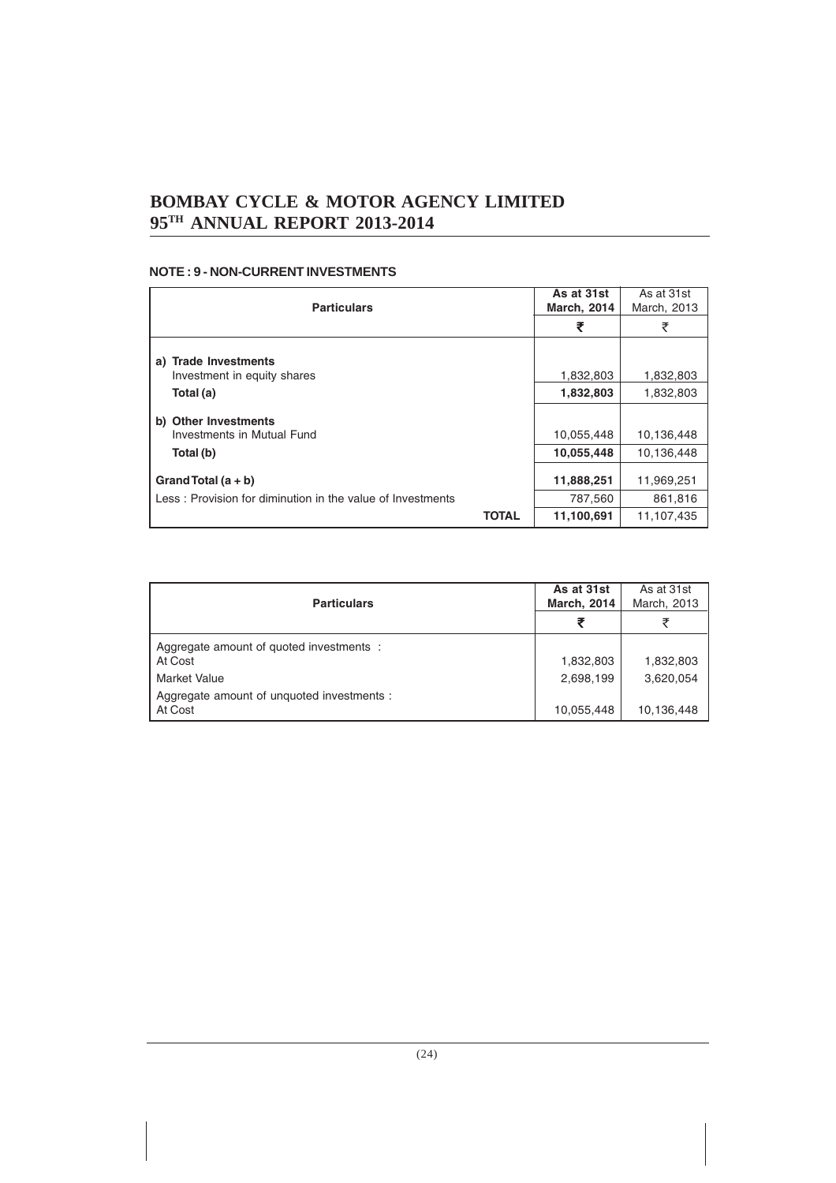#### **NOTE : 9 - NON-CURRENT INVESTMENTS**

| <b>Particulars</b>                                                                  | As at 31st<br><b>March, 2014</b> | As at 31st<br>March, 2013 |
|-------------------------------------------------------------------------------------|----------------------------------|---------------------------|
|                                                                                     | ₹                                | ₹                         |
| a) Trade Investments                                                                |                                  |                           |
| Investment in equity shares                                                         | 1,832,803                        | 1,832,803                 |
| Total (a)                                                                           | 1,832,803                        | 1,832,803                 |
| <b>Other Investments</b><br>b)<br>Investments in Mutual Fund                        | 10,055,448                       | 10,136,448                |
| Total (b)                                                                           | 10,055,448                       | 10.136.448                |
| Grand Total $(a + b)$<br>Less: Provision for diminution in the value of Investments | 11,888,251<br>787,560            | 11,969,251<br>861,816     |
| <b>TOTAL</b>                                                                        | 11,100,691                       | 11,107,435                |

| <b>Particulars</b>                                    | As at 31st<br><b>March, 2014</b> | As at 31st<br>March, 2013 |
|-------------------------------------------------------|----------------------------------|---------------------------|
|                                                       |                                  |                           |
| Aggregate amount of guoted investments :<br>At Cost   | 1,832,803                        | 1,832,803                 |
| <b>Market Value</b>                                   | 2,698,199                        | 3,620,054                 |
| Aggregate amount of unquoted investments :<br>At Cost | 10,055,448                       | 10,136,448                |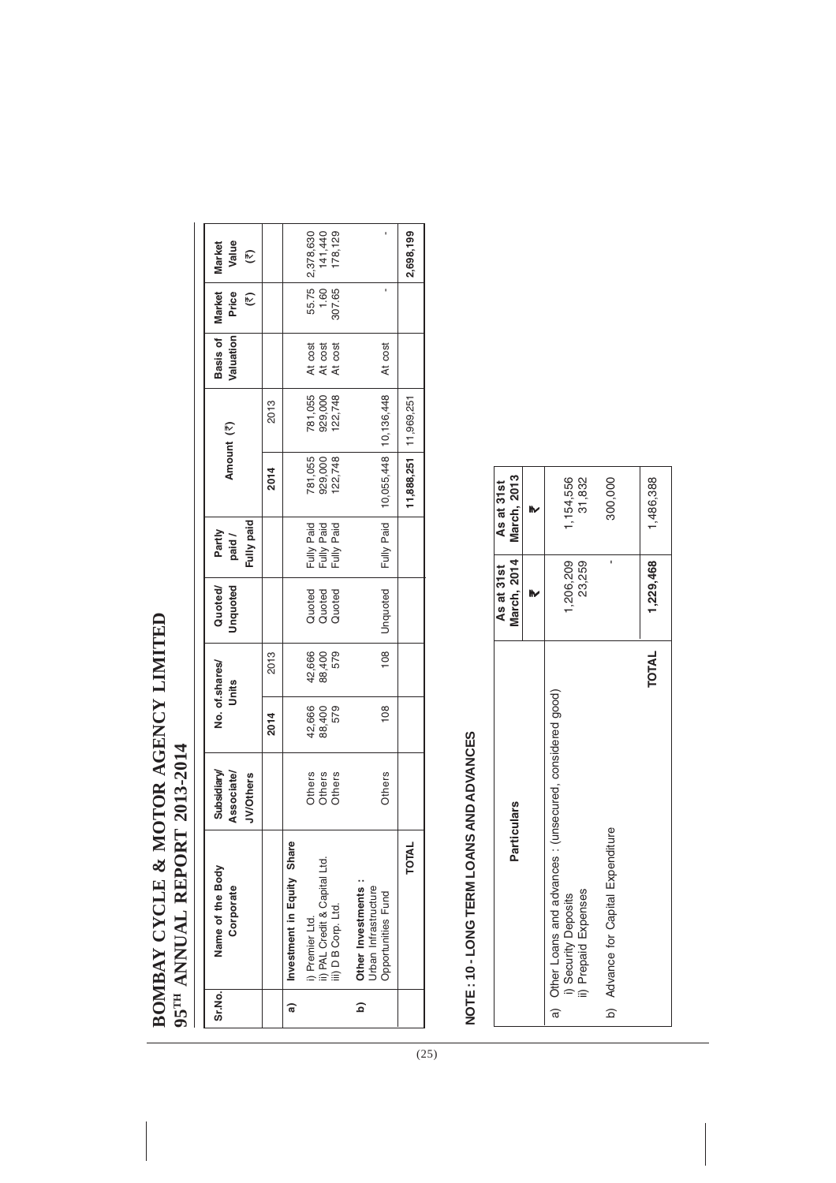# BOMBAY CYCLE & MOTOR AGENCY LIMITED **BOMBAY CYCLE & MOTOR AGENCY LIMITED 95<sup>TH</sup> ANNUAL REPORT 2013-2014 TH ANNUAL REPORT 2013-2014**

| Name of the Body | Subsidiary/                                                                                                                                                                                     |                                                    |                                 | Quoted/                                                              | Partly                                                    |                      |                    |                                                                              |                  | <b>Market</b><br>Value                                                 |
|------------------|-------------------------------------------------------------------------------------------------------------------------------------------------------------------------------------------------|----------------------------------------------------|---------------------------------|----------------------------------------------------------------------|-----------------------------------------------------------|----------------------|--------------------|------------------------------------------------------------------------------|------------------|------------------------------------------------------------------------|
|                  | <b>JV/Others</b>                                                                                                                                                                                |                                                    |                                 |                                                                      | Fully paid                                                |                      |                    |                                                                              | $(\overline{z})$ | $\widehat{\epsilon}$                                                   |
|                  |                                                                                                                                                                                                 | 2014                                               | 2013                            |                                                                      |                                                           | 2014                 | 2013               |                                                                              |                  |                                                                        |
|                  |                                                                                                                                                                                                 |                                                    |                                 |                                                                      |                                                           |                      |                    |                                                                              |                  |                                                                        |
|                  |                                                                                                                                                                                                 | 42,666                                             |                                 |                                                                      | Fully Paid                                                | 781,055              | 781,055            | At cost                                                                      |                  | 2,378,630                                                              |
|                  |                                                                                                                                                                                                 |                                                    |                                 |                                                                      | Fully Paid                                                |                      |                    | At cost                                                                      |                  | 141,440                                                                |
|                  |                                                                                                                                                                                                 |                                                    |                                 |                                                                      | Fully Paid                                                |                      | 122,748            | At cost                                                                      |                  | 178,129                                                                |
|                  |                                                                                                                                                                                                 |                                                    |                                 |                                                                      |                                                           |                      |                    |                                                                              |                  |                                                                        |
|                  |                                                                                                                                                                                                 |                                                    |                                 |                                                                      |                                                           |                      |                    |                                                                              |                  |                                                                        |
|                  |                                                                                                                                                                                                 |                                                    |                                 |                                                                      |                                                           |                      |                    |                                                                              |                  |                                                                        |
| <b>TOTAL</b>     |                                                                                                                                                                                                 |                                                    |                                 |                                                                      |                                                           |                      |                    |                                                                              |                  | 2,698,199                                                              |
|                  | Investment in Equity Share<br>ii) PAL Credit & Capital Ltd.<br>Other Investments:<br>Corporate<br>Urban Infrastructure<br>Opportunities Fund<br>iii) D B Corp. Ltd.<br>) Premier Ltd.<br>Sr.No. | Associate/<br>Others<br>Others<br>Others<br>Others | $\frac{80}{1}$<br>88,400<br>579 | $\frac{80}{1}$<br>42,666<br>88,400<br>579<br>No. of.shares/<br>Units | <b>Unquoted</b><br>Unquoted<br>Quoted<br>Quoted<br>Quoted | Fully Paid<br>paid / | 929,000<br>122,748 | 10,055,448   10,136,448<br>929,000<br>$1,888,251$   11,969,251<br>Amount (₹) | At cost          | 55.75<br>Basis of   Market<br>$1.60-1$<br>307.65<br>Price<br>Valuation |

# NOTE: 10-LONG TERM LOANS AND ADVANCES **NOTE : 10 - LONG TERM LOANS AND ADVANCES**

|                                                                                                                | As at 31st          | As at 31st                |
|----------------------------------------------------------------------------------------------------------------|---------------------|---------------------------|
| <b>Particulars</b>                                                                                             |                     | March, 2014   March, 2013 |
|                                                                                                                |                     |                           |
| a) Other Loans and advances : (unsecured, considered good)<br>ii) Prepaid Expenses<br><b>Security Deposits</b> | 1,206,209<br>23,259 | 1,154,556<br>31,832       |
| b) Advance for Capital Expenditure                                                                             |                     | 300,000                   |
| <b>TOTAL</b>                                                                                                   | 1,229,468           | 1,486,388                 |

 $(25)$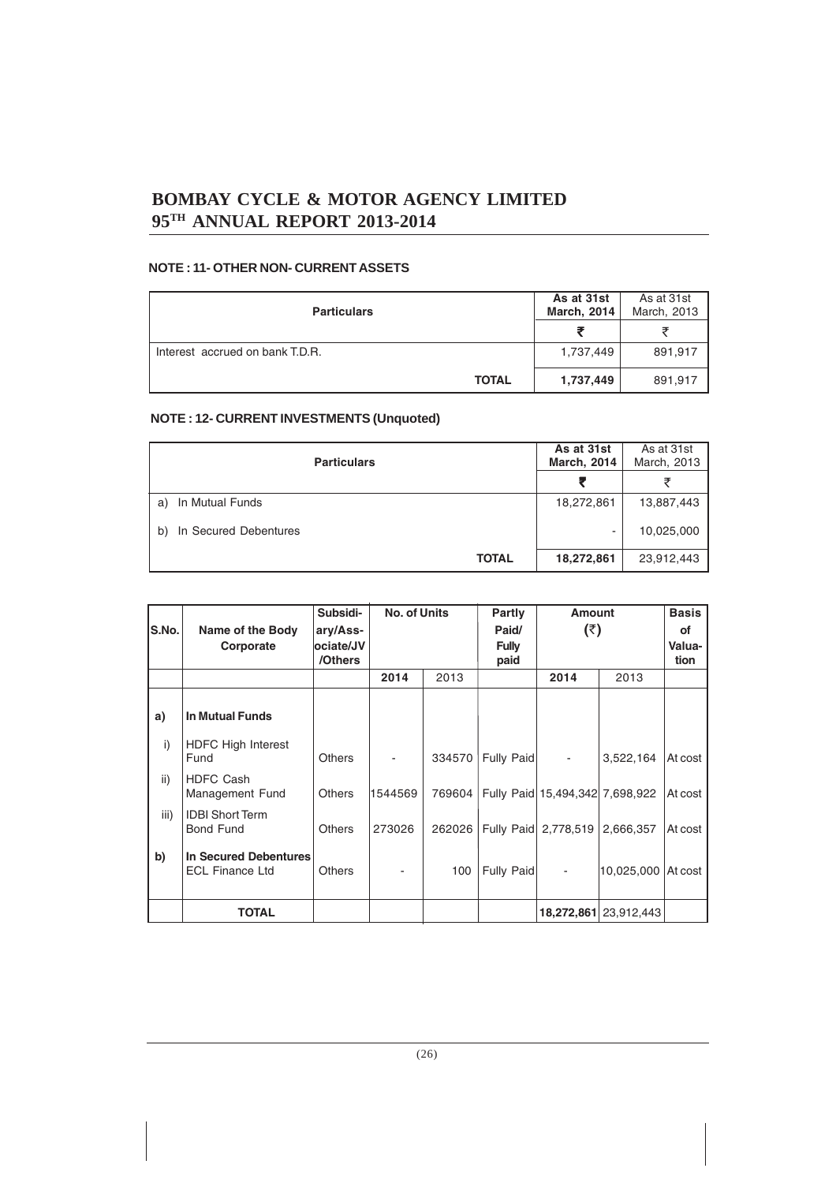#### **NOTE : 11- OTHER NON- CURRENT ASSETS**

| <b>Particulars</b>              | As at 31st<br><b>March, 2014</b> | As at 31st<br>March, 2013 |
|---------------------------------|----------------------------------|---------------------------|
|                                 |                                  |                           |
| Interest accrued on bank T.D.R. | 1,737,449                        | 891,917                   |
| <b>TOTAL</b>                    | 1,737,449                        | 891,917                   |

#### **NOTE : 12- CURRENT INVESTMENTS (Unquoted)**

| <b>Particulars</b>          | As at 31st<br><b>March, 2014</b> | As at 31st<br>March, 2013 |
|-----------------------------|----------------------------------|---------------------------|
|                             |                                  |                           |
| In Mutual Funds<br>a)       | 18,272,861                       | 13,887,443                |
| In Secured Debentures<br>b) | ۰                                | 10,025,000                |
| <b>TOTAL</b>                | 18,272,861                       | 23,912,443                |

|       |                                                 | Subsidi-      | <b>No. of Units</b> |        | <b>Partly</b> | <b>Amount</b>                   |                       | <b>Basis</b> |
|-------|-------------------------------------------------|---------------|---------------------|--------|---------------|---------------------------------|-----------------------|--------------|
| S.No. | Name of the Body                                | ary/Ass-      |                     |        | Paid/         | (3)                             |                       | of           |
|       | Corporate                                       | ociate/JV     |                     |        | <b>Fully</b>  |                                 |                       | Valua-       |
|       |                                                 | /Others       |                     |        | paid          |                                 |                       | tion         |
|       |                                                 |               | 2014                | 2013   |               | 2014                            | 2013                  |              |
|       |                                                 |               |                     |        |               |                                 |                       |              |
| a)    | <b>In Mutual Funds</b>                          |               |                     |        |               |                                 |                       |              |
| i)    | <b>HDFC High Interest</b><br>Fund               | <b>Others</b> |                     | 334570 | Fully Paid    |                                 | 3,522,164             | At cost      |
|       |                                                 |               |                     |        |               |                                 |                       |              |
| ii)   | <b>HDFC Cash</b><br>Management Fund             | <b>Others</b> | 1544569             | 769604 |               | Fully Paid 15,494,342 7,698,922 |                       | At cost      |
| iii)  | <b>IDBI Short Term</b><br><b>Bond Fund</b>      | <b>Others</b> | 273026              | 262026 |               |                                 | 2,666,357             | At cost      |
|       |                                                 |               |                     |        |               | Fully Paid 2,778,519            |                       |              |
| b)    | In Secured Debentures<br><b>ECL Finance Ltd</b> | <b>Others</b> |                     | 100    | Fully Paid    |                                 | 10,025,000 At cost    |              |
|       |                                                 |               |                     |        |               |                                 |                       |              |
|       | <b>TOTAL</b>                                    |               |                     |        |               |                                 | 18,272,861 23,912,443 |              |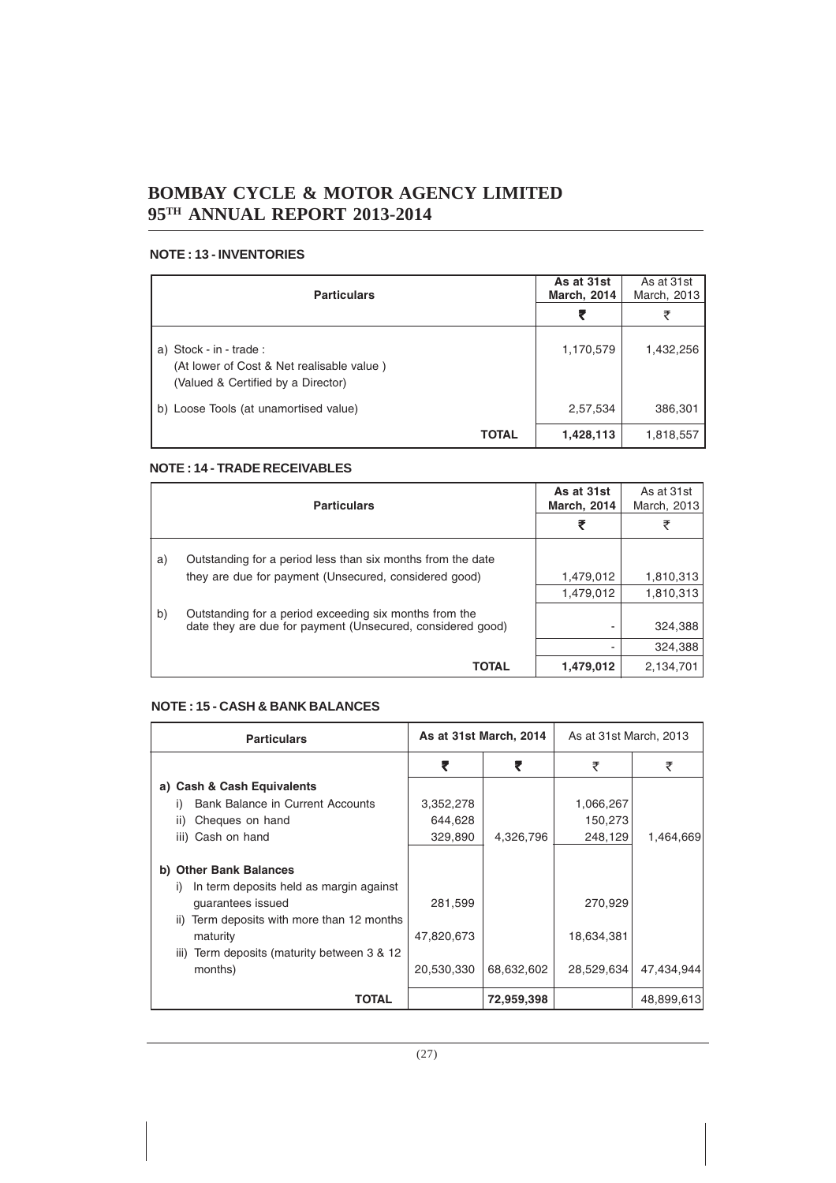#### **NOTE : 13 - INVENTORIES**

| <b>Particulars</b>                                                                                         | As at 31st<br><b>March, 2014</b> | As at 31st<br>March, 2013 |
|------------------------------------------------------------------------------------------------------------|----------------------------------|---------------------------|
|                                                                                                            | ₹                                | ₹                         |
| a) Stock - in - trade :<br>(At lower of Cost & Net realisable value)<br>(Valued & Certified by a Director) | 1,170,579                        | 1,432,256                 |
| b) Loose Tools (at unamortised value)                                                                      | 2,57,534                         | 386,301                   |
| <b>TOTAL</b>                                                                                               | 1,428,113                        | 1,818,557                 |

#### **NOTE : 14 - TRADE RECEIVABLES**

|    | <b>Particulars</b>                                                                                                   | As at 31st<br><b>March, 2014</b> | As at 31st<br>March, 2013 |
|----|----------------------------------------------------------------------------------------------------------------------|----------------------------------|---------------------------|
|    |                                                                                                                      |                                  | ₹                         |
| a) | Outstanding for a period less than six months from the date                                                          |                                  |                           |
|    | they are due for payment (Unsecured, considered good)                                                                | 1,479,012                        | 1,810,313                 |
|    |                                                                                                                      | 1,479,012                        | 1,810,313                 |
| b) | Outstanding for a period exceeding six months from the<br>date they are due for payment (Unsecured, considered good) |                                  | 324,388                   |
|    |                                                                                                                      |                                  | 324,388                   |
|    | <b>TOTAL</b>                                                                                                         | 1,479,012                        | 2,134,701                 |

#### **NOTE : 15 - CASH & BANK BALANCES**

| <b>Particulars</b>                                                  | As at 31st March, 2014 |            | As at 31st March, 2013 |            |
|---------------------------------------------------------------------|------------------------|------------|------------------------|------------|
|                                                                     | ₹                      | ₹          | ₹                      | ₹          |
| a) Cash & Cash Equivalents                                          |                        |            |                        |            |
| Bank Balance in Current Accounts<br>$\mathbf{I}$                    | 3,352,278              |            | 1,066,267              |            |
| Cheques on hand<br>ii)                                              | 644,628                |            | 150,273                |            |
| iii) Cash on hand                                                   | 329,890                | 4,326,796  | 248,129                | 1,464,669  |
| <b>Other Bank Balances</b><br>b)                                    |                        |            |                        |            |
| In term deposits held as margin against<br>i)                       |                        |            |                        |            |
| quarantees issued                                                   | 281,599                |            | 270,929                |            |
| Term deposits with more than 12 months<br>ii)                       |                        |            |                        |            |
| maturity                                                            | 47,820,673             |            | 18,634,381             |            |
| Term deposits (maturity between 3 & 12<br>$\overline{\mathsf{III}}$ |                        |            |                        |            |
| months)                                                             | 20,530,330             | 68,632,602 | 28,529,634             | 47,434,944 |
| TOTAL                                                               |                        | 72,959,398 |                        | 48,899,613 |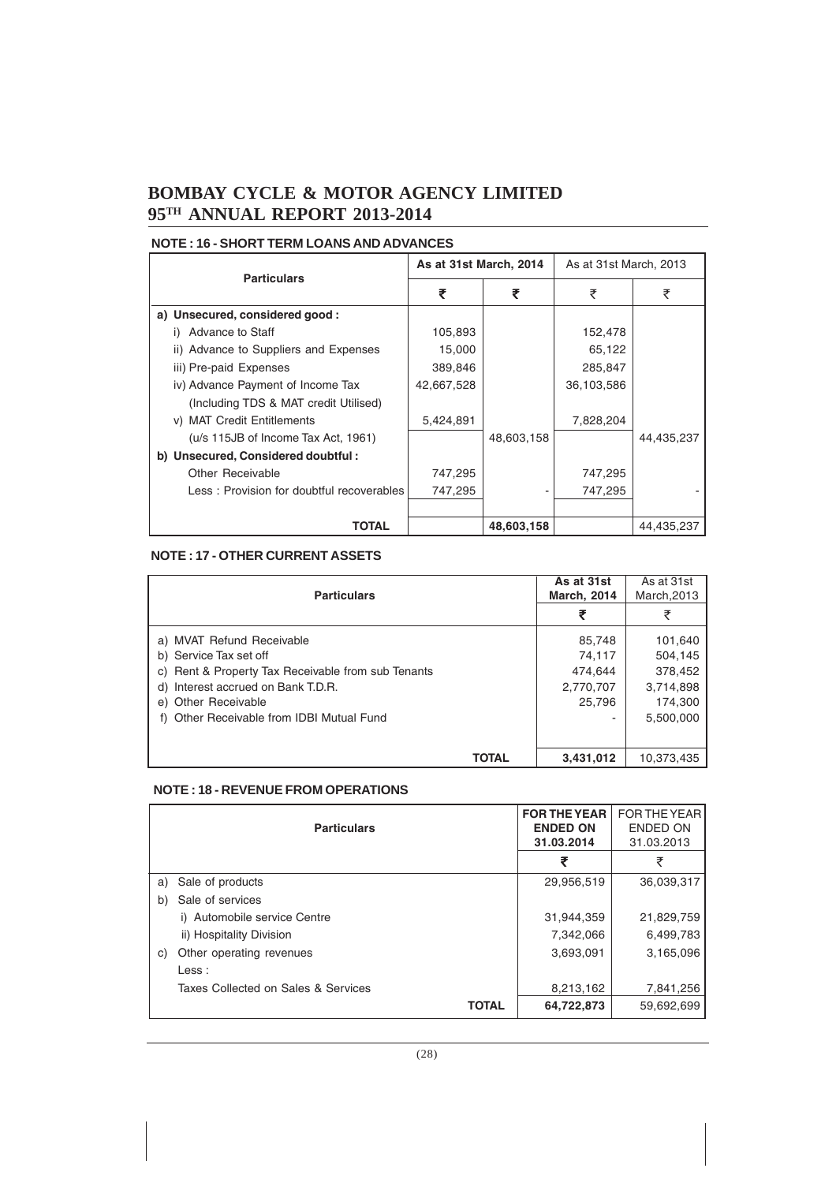#### **NOTE : 16 - SHORT TERM LOANS AND ADVANCES**

| <b>Particulars</b>                        |            | As at 31st March, 2014<br>As at 31st March, 2013 |            |            |
|-------------------------------------------|------------|--------------------------------------------------|------------|------------|
|                                           | ₹          |                                                  | ₹          | ₹          |
| a) Unsecured, considered good:            |            |                                                  |            |            |
| Advance to Staff                          | 105,893    |                                                  | 152,478    |            |
| ii) Advance to Suppliers and Expenses     | 15,000     |                                                  | 65,122     |            |
| iii) Pre-paid Expenses                    | 389,846    |                                                  | 285,847    |            |
| iv) Advance Payment of Income Tax         | 42,667,528 |                                                  | 36,103,586 |            |
| (Including TDS & MAT credit Utilised)     |            |                                                  |            |            |
| v) MAT Credit Entitlements                | 5,424,891  |                                                  | 7,828,204  |            |
| (u/s 115JB of Income Tax Act, 1961)       |            | 48,603,158                                       |            | 44,435,237 |
| b) Unsecured, Considered doubtful:        |            |                                                  |            |            |
| <b>Other Receivable</b>                   | 747,295    |                                                  | 747,295    |            |
| Less: Provision for doubtful recoverables | 747,295    |                                                  | 747,295    |            |
|                                           |            |                                                  |            |            |
| TOTAL                                     |            | 48,603,158                                       |            | 44,435,237 |

#### **NOTE : 17 - OTHER CURRENT ASSETS**

|                                                    | As at 31st         | As at 31st  |
|----------------------------------------------------|--------------------|-------------|
| <b>Particulars</b>                                 | <b>March, 2014</b> | March, 2013 |
|                                                    | ₹                  | ₹           |
| a) MVAT Refund Receivable                          | 85,748             | 101,640     |
| b) Service Tax set off                             | 74,117             | 504,145     |
| c) Rent & Property Tax Receivable from sub Tenants | 474.644            | 378,452     |
| Interest accrued on Bank T.D.R.<br>d)              | 2,770,707          | 3,714,898   |
| e) Other Receivable                                | 25,796             | 174,300     |
| f) Other Receivable from IDBI Mutual Fund          |                    | 5,500,000   |
|                                                    |                    |             |
| TOTAL                                              | 3,431,012          | 10.373.435  |

#### **NOTE : 18 - REVENUE FROM OPERATIONS**

|    | <b>Particulars</b>                  |              | <b>FOR THE YEAR</b><br><b>ENDED ON</b><br>31.03.2014 | <b>FOR THE YEAR</b><br><b>ENDED ON</b><br>31.03.2013 |
|----|-------------------------------------|--------------|------------------------------------------------------|------------------------------------------------------|
|    |                                     |              |                                                      | ₹                                                    |
| a) | Sale of products                    |              | 29,956,519                                           | 36.039.317                                           |
| b) | Sale of services                    |              |                                                      |                                                      |
|    | i) Automobile service Centre        |              | 31,944,359                                           | 21,829,759                                           |
|    | ii) Hospitality Division            |              | 7,342,066                                            | 6,499,783                                            |
| C) | Other operating revenues            |              | 3,693,091                                            | 3,165,096                                            |
|    | Less :                              |              |                                                      |                                                      |
|    | Taxes Collected on Sales & Services |              | 8,213,162                                            | 7,841,256                                            |
|    |                                     | <b>TOTAL</b> | 64,722,873                                           | 59,692,699                                           |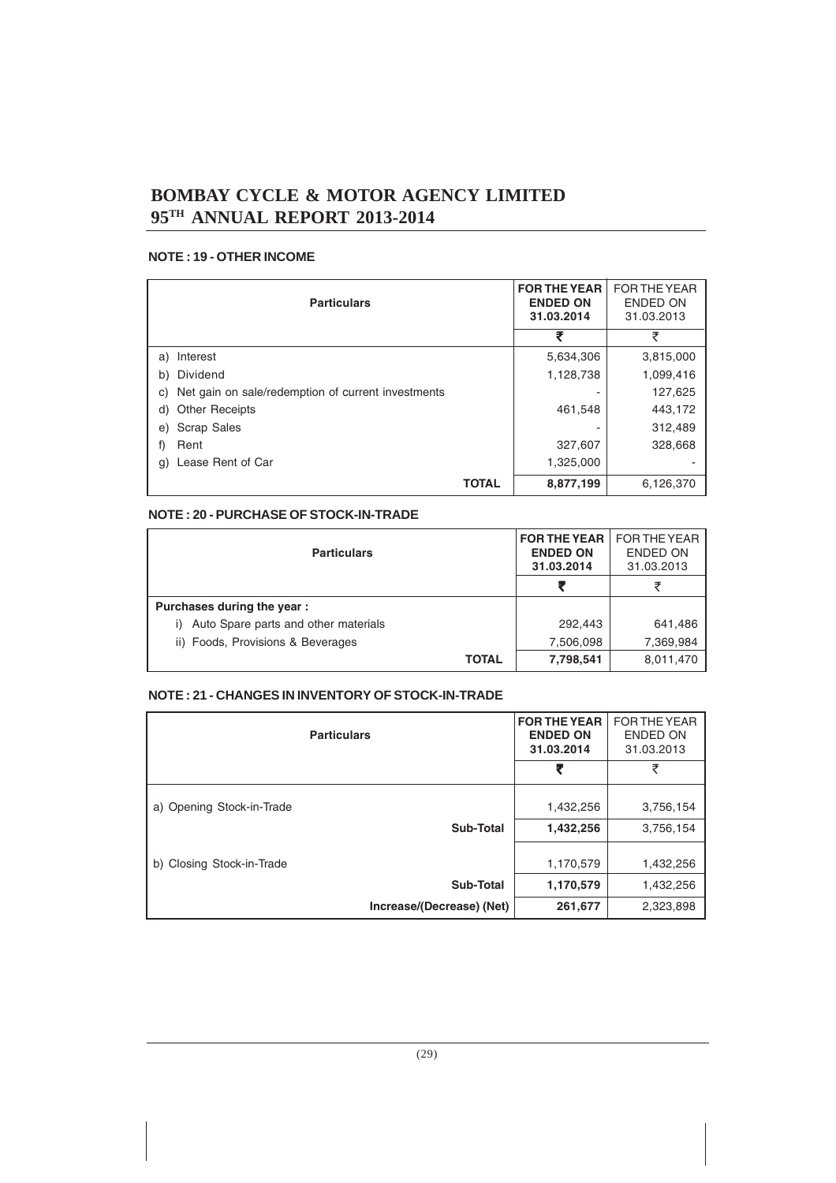#### **NOTE : 19 - OTHER INCOME**

|    | <b>Particulars</b>                                 | <b>FOR THE YEAR</b><br><b>ENDED ON</b><br>31.03.2014 | FOR THE YEAR<br>ENDED ON<br>31.03.2013 |           |
|----|----------------------------------------------------|------------------------------------------------------|----------------------------------------|-----------|
|    |                                                    |                                                      | ₹                                      | ₹         |
| a) | Interest                                           |                                                      | 5,634,306                              | 3,815,000 |
| b) | Dividend                                           |                                                      | 1,128,738                              | 1,099,416 |
| C) | Net gain on sale/redemption of current investments |                                                      |                                        | 127,625   |
| d) | <b>Other Receipts</b>                              |                                                      | 461,548                                | 443,172   |
| e) | <b>Scrap Sales</b>                                 |                                                      |                                        | 312,489   |
| f) | Rent                                               |                                                      | 327,607                                | 328,668   |
| g) | Lease Rent of Car                                  |                                                      | 1,325,000                              |           |
|    |                                                    | <b>TOTAL</b>                                         | 8,877,199                              | 6,126,370 |

#### **NOTE : 20 - PURCHASE OF STOCK-IN-TRADE**

| <b>Particulars</b>                         | <b>FOR THE YEAR</b><br><b>ENDED ON</b><br>31.03.2014 | FOR THE YEAR<br>ENDED ON<br>31.03.2013 |
|--------------------------------------------|------------------------------------------------------|----------------------------------------|
|                                            |                                                      |                                        |
| Purchases during the year:                 |                                                      |                                        |
| Auto Spare parts and other materials<br>i) | 292,443                                              | 641,486                                |
| ii) Foods, Provisions & Beverages          | 7,506,098                                            | 7,369,984                              |
| <b>TOTAL</b>                               | 7,798,541                                            | 8,011,470                              |

#### **NOTE : 21 - CHANGES IN INVENTORY OF STOCK-IN-TRADE**

| <b>Particulars</b>        |                           | <b>FOR THE YEAR</b><br><b>ENDED ON</b><br>31.03.2014 | <b>FOR THE YEAR</b><br>ENDED ON<br>31.03.2013 |
|---------------------------|---------------------------|------------------------------------------------------|-----------------------------------------------|
|                           |                           | ₹                                                    | ₹                                             |
| a) Opening Stock-in-Trade |                           | 1,432,256                                            | 3,756,154                                     |
|                           | Sub-Total                 | 1,432,256                                            | 3,756,154                                     |
| b) Closing Stock-in-Trade |                           | 1,170,579                                            | 1,432,256                                     |
|                           | Sub-Total                 | 1,170,579                                            | 1,432,256                                     |
|                           | Increase/(Decrease) (Net) | 261,677                                              | 2,323,898                                     |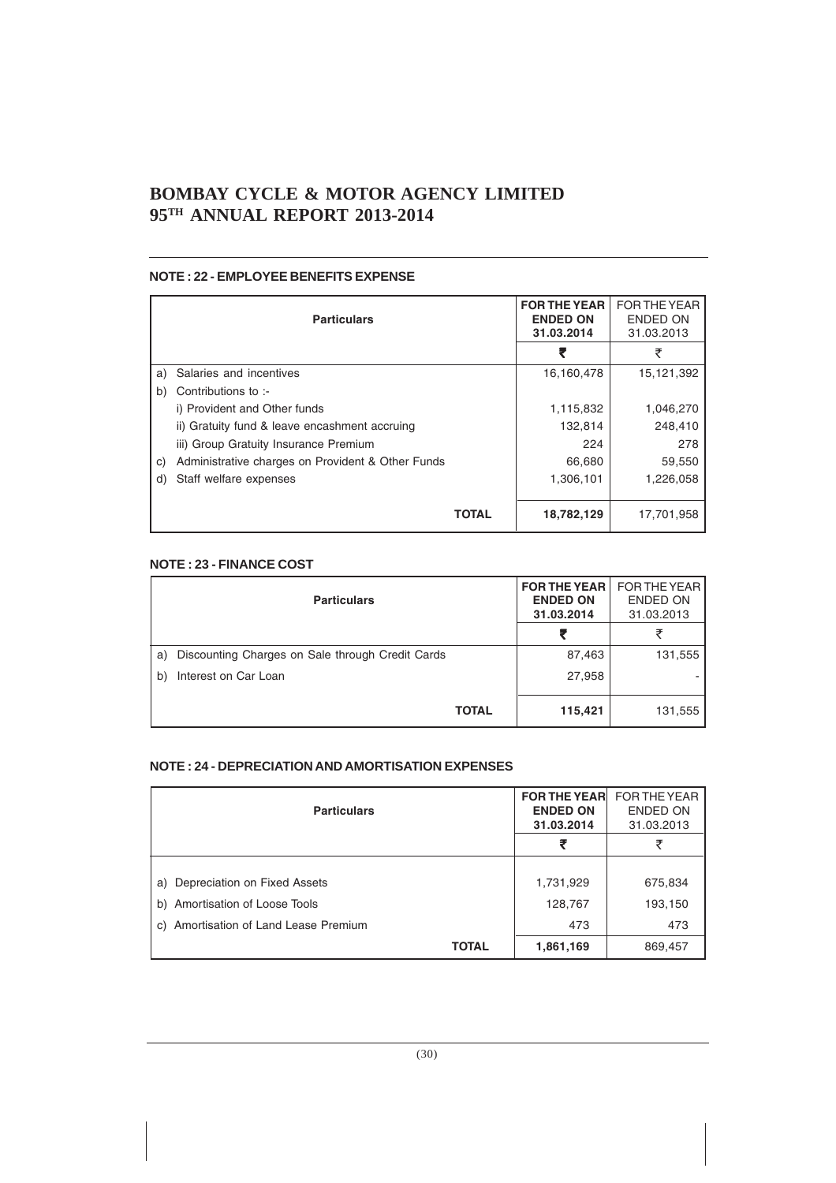#### **NOTE : 22 - EMPLOYEE BENEFITS EXPENSE**

| <b>Particulars</b> |                                                   | <b>FOR THE YEAR</b><br><b>ENDED ON</b><br>31.03.2014 | FOR THE YEAR<br><b>ENDED ON</b><br>31.03.2013 |
|--------------------|---------------------------------------------------|------------------------------------------------------|-----------------------------------------------|
|                    |                                                   |                                                      | ₹                                             |
| a)                 | Salaries and incentives                           | 16,160,478                                           | 15,121,392                                    |
| b)                 | Contributions to :-                               |                                                      |                                               |
|                    | i) Provident and Other funds                      | 1,115,832                                            | 1,046,270                                     |
|                    | ii) Gratuity fund & leave encashment accruing     | 132,814                                              | 248,410                                       |
|                    | iii) Group Gratuity Insurance Premium             | 224                                                  | 278                                           |
| C)                 | Administrative charges on Provident & Other Funds | 66,680                                               | 59,550                                        |
| d)                 | Staff welfare expenses                            | 1,306,101                                            | 1,226,058                                     |
|                    |                                                   |                                                      |                                               |
|                    | <b>TOTAL</b>                                      | 18,782,129                                           | 17.701.958                                    |

#### **NOTE : 23 - FINANCE COST**

|    | <b>Particulars</b>                               | <b>FOR THE YEAR  </b><br><b>ENDED ON</b><br>31.03.2014 | FOR THE YEAR<br><b>ENDED ON</b><br>31.03.2013 |
|----|--------------------------------------------------|--------------------------------------------------------|-----------------------------------------------|
|    |                                                  | ₹                                                      |                                               |
| a) | Discounting Charges on Sale through Credit Cards | 87,463                                                 | 131,555                                       |
| b) | Interest on Car Loan                             | 27,958                                                 |                                               |
|    | <b>TOTAL</b>                                     | 115,421                                                | 131,555                                       |

#### **NOTE : 24 - DEPRECIATION AND AMORTISATION EXPENSES**

| <b>Particulars</b>                    | <b>FOR THE YEARL</b><br><b>ENDED ON</b><br>31.03.2014 | FOR THE YEAR<br><b>ENDED ON</b><br>31.03.2013 |
|---------------------------------------|-------------------------------------------------------|-----------------------------------------------|
|                                       | ₹                                                     | ₹                                             |
|                                       |                                                       |                                               |
| a) Depreciation on Fixed Assets       | 1,731,929                                             | 675,834                                       |
| b) Amortisation of Loose Tools        | 128,767                                               | 193,150                                       |
| c) Amortisation of Land Lease Premium | 473                                                   | 473                                           |
| <b>TOTAL</b>                          | 1,861,169                                             | 869,457                                       |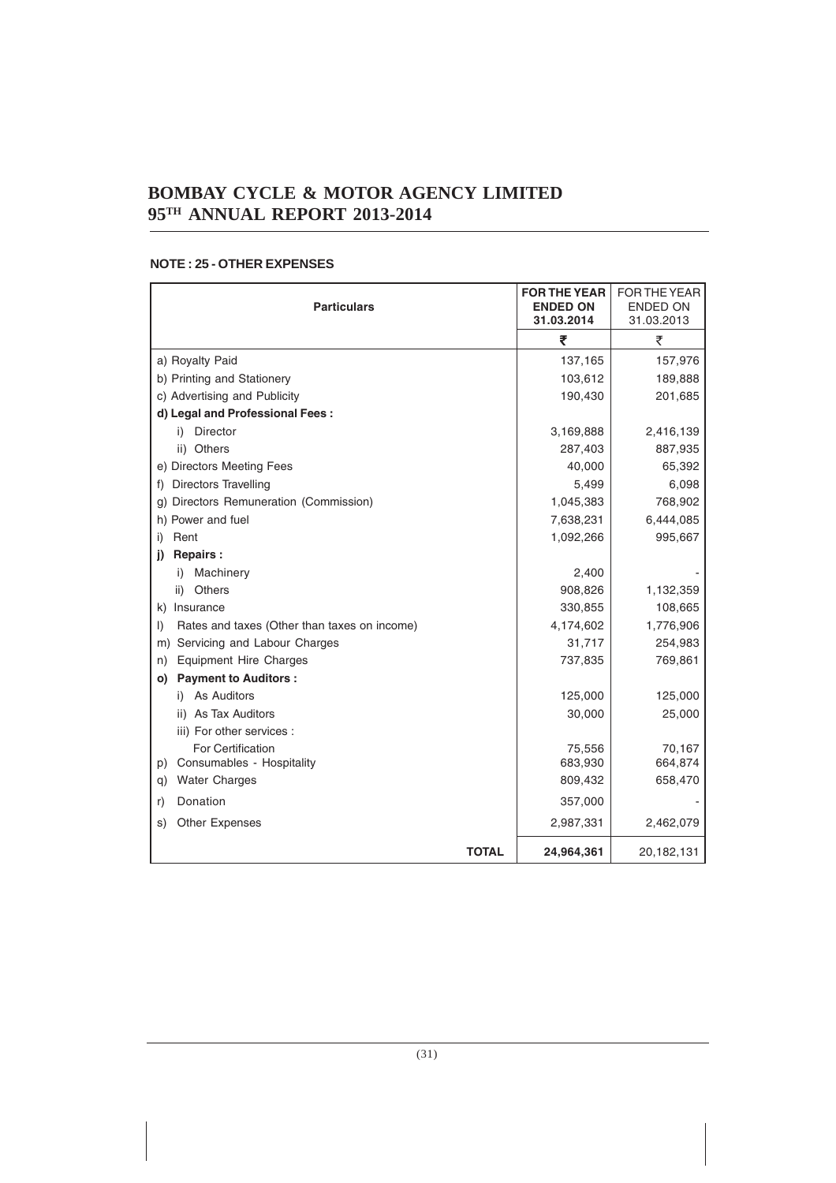| <b>Particulars</b>                                      | <b>FOR THE YEAR</b><br><b>ENDED ON</b><br>31.03.2014 | <b>FOR THE YEAR</b><br><b>ENDED ON</b><br>31.03.2013 |
|---------------------------------------------------------|------------------------------------------------------|------------------------------------------------------|
|                                                         | ₹                                                    | ₹                                                    |
| a) Royalty Paid                                         | 137,165                                              | 157,976                                              |
| b) Printing and Stationery                              | 103,612                                              | 189,888                                              |
| c) Advertising and Publicity                            | 190,430                                              | 201,685                                              |
| d) Legal and Professional Fees:                         |                                                      |                                                      |
| i) Director                                             | 3,169,888                                            | 2,416,139                                            |
| ii) Others                                              | 287,403                                              | 887,935                                              |
| e) Directors Meeting Fees                               | 40,000                                               | 65,392                                               |
| Directors Travelling<br>f)                              | 5,499                                                | 6,098                                                |
| Directors Remuneration (Commission)<br>g)               | 1,045,383                                            | 768,902                                              |
| h) Power and fuel                                       | 7,638,231                                            | 6,444,085                                            |
| Rent<br>i)                                              | 1,092,266                                            | 995,667                                              |
| <b>Repairs:</b><br>i)                                   |                                                      |                                                      |
| Machinery<br>i)                                         | 2,400                                                |                                                      |
| Others<br>ii)                                           | 908,826                                              | 1,132,359                                            |
| k) Insurance                                            | 330,855                                              | 108,665                                              |
| Rates and taxes (Other than taxes on income)<br>$\vert$ | 4,174,602                                            | 1,776,906                                            |
| Servicing and Labour Charges<br>m)                      | 31,717                                               | 254,983                                              |
| <b>Equipment Hire Charges</b><br>n)                     | 737,835                                              | 769,861                                              |
| <b>Payment to Auditors:</b><br>O)                       |                                                      |                                                      |
| i) As Auditors                                          | 125,000                                              | 125,000                                              |
| ii) As Tax Auditors                                     | 30,000                                               | 25,000                                               |
| iii) For other services :                               |                                                      |                                                      |
| For Certification                                       | 75,556                                               | 70,167                                               |
| Consumables - Hospitality<br>p)                         | 683,930                                              | 664,874                                              |
| <b>Water Charges</b><br>q)                              | 809,432                                              | 658,470                                              |
| Donation<br>r)                                          | 357,000                                              |                                                      |
| <b>Other Expenses</b><br>S)                             | 2,987,331                                            | 2,462,079                                            |
| <b>TOTAL</b>                                            | 24,964,361                                           | 20,182,131                                           |

#### **NOTE : 25 - OTHER EXPENSES**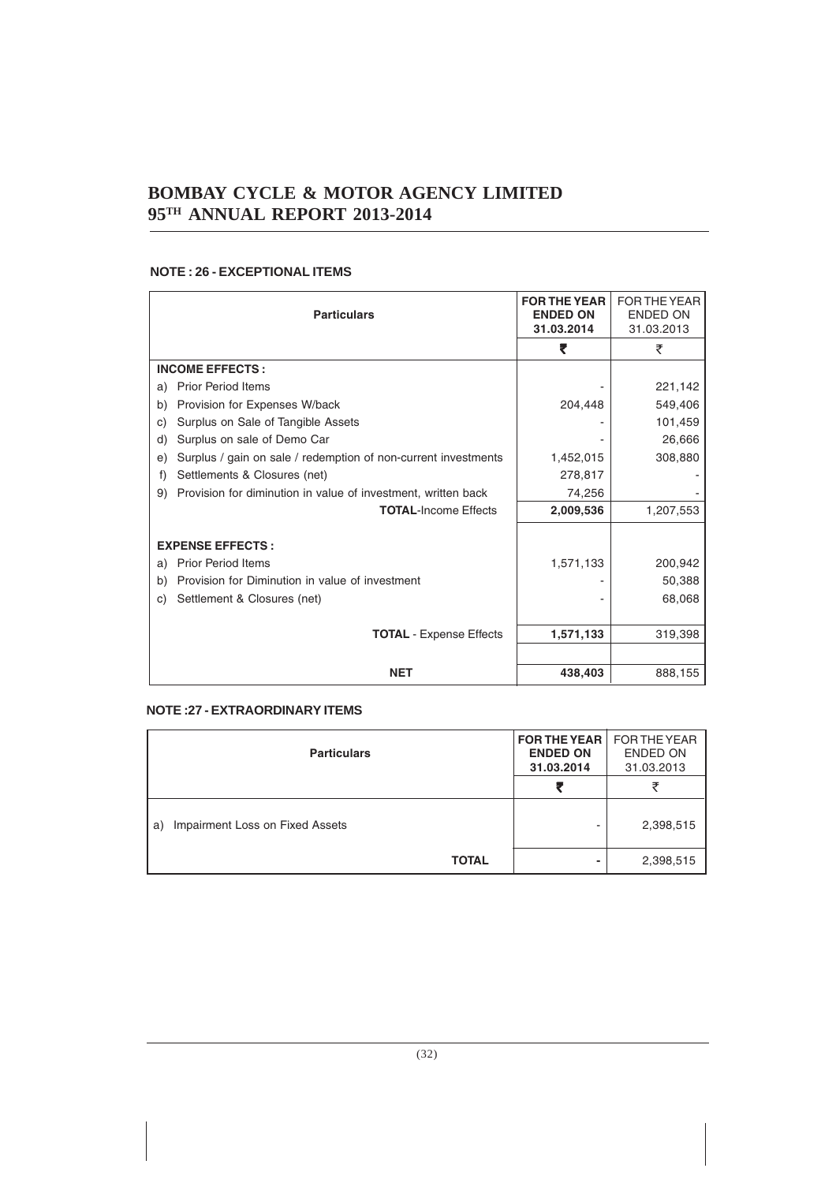#### **NOTE : 26 - EXCEPTIONAL ITEMS**

| <b>Particulars</b>                                                   | <b>FOR THE YEAR</b><br><b>ENDED ON</b><br>31.03.2014 | FOR THE YEAR<br><b>ENDED ON</b><br>31.03.2013 |
|----------------------------------------------------------------------|------------------------------------------------------|-----------------------------------------------|
|                                                                      | ₹                                                    | ₹                                             |
| <b>INCOME EFFECTS:</b>                                               |                                                      |                                               |
| <b>Prior Period Items</b><br>a)                                      |                                                      | 221,142                                       |
| Provision for Expenses W/back<br>b)                                  | 204,448                                              | 549,406                                       |
| Surplus on Sale of Tangible Assets<br>C)                             |                                                      | 101,459                                       |
| Surplus on sale of Demo Car<br>d)                                    |                                                      | 26,666                                        |
| Surplus / gain on sale / redemption of non-current investments<br>e) | 1,452,015                                            | 308,880                                       |
| Settlements & Closures (net)<br>f)                                   | 278,817                                              |                                               |
| Provision for diminution in value of investment, written back<br>9)  | 74,256                                               |                                               |
| <b>TOTAL-Income Effects</b>                                          | 2,009,536                                            | 1,207,553                                     |
| <b>EXPENSE EFFECTS:</b>                                              |                                                      |                                               |
| <b>Prior Period Items</b><br>a)                                      | 1,571,133                                            | 200,942                                       |
| Provision for Diminution in value of investment<br>b)                |                                                      | 50,388                                        |
| Settlement & Closures (net)<br>C)                                    |                                                      | 68,068                                        |
|                                                                      |                                                      |                                               |
| <b>TOTAL</b> - Expense Effects                                       | 1,571,133                                            | 319,398                                       |
|                                                                      |                                                      |                                               |
| <b>NET</b>                                                           | 438,403                                              | 888,155                                       |

#### **NOTE :27 - EXTRAORDINARY ITEMS**

| <b>Particulars</b>                    | <b>FOR THE YEAR</b><br><b>ENDED ON</b><br>31.03.2014 | FOR THE YEAR<br><b>ENDED ON</b><br>31.03.2013 |
|---------------------------------------|------------------------------------------------------|-----------------------------------------------|
|                                       |                                                      |                                               |
| Impairment Loss on Fixed Assets<br>a) |                                                      | 2,398,515                                     |
| <b>TOTAL</b>                          |                                                      | 2,398,515                                     |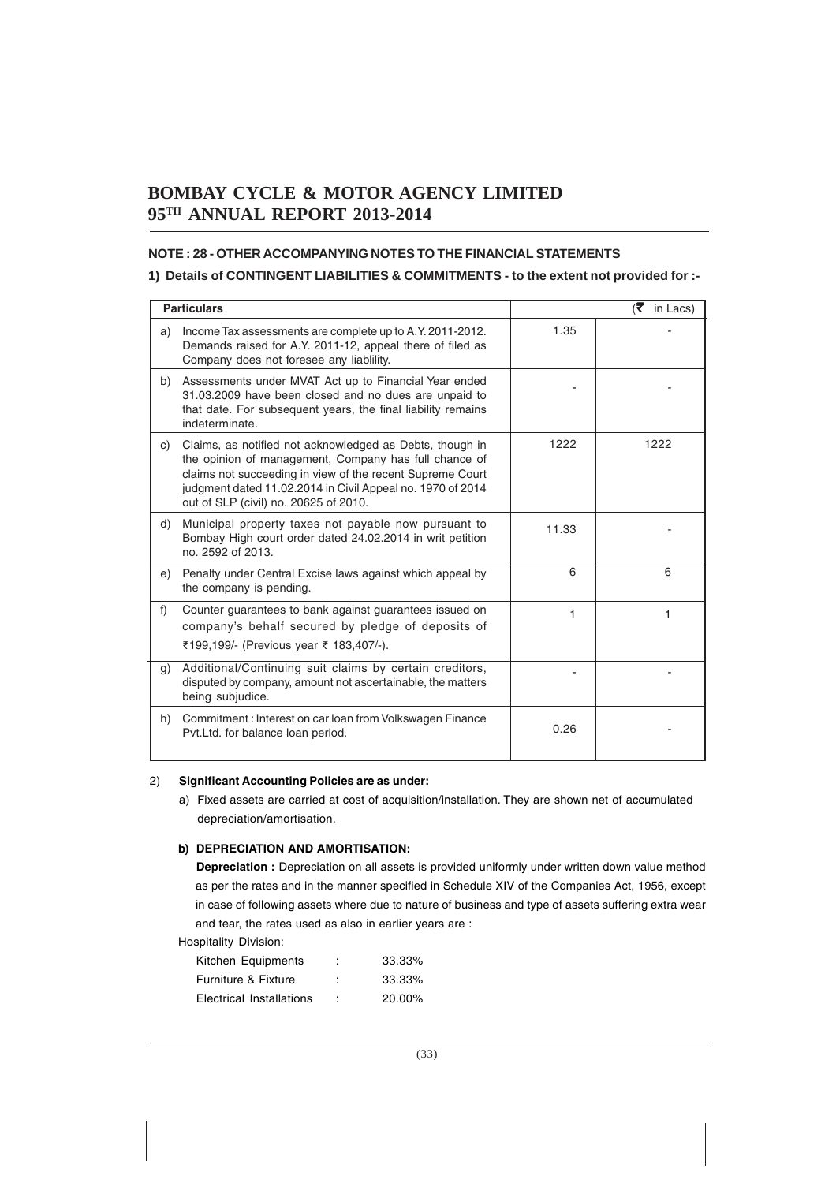#### **NOTE : 28 - OTHER ACCOMPANYING NOTES TO THE FINANCIAL STATEMENTS**

#### **1) Details of CONTINGENT LIABILITIES & COMMITMENTS - to the extent not provided for :-**

|    | <b>Particulars</b>                                                                                                                                                                                                                                                                    |       | (₹ in Lacs) |
|----|---------------------------------------------------------------------------------------------------------------------------------------------------------------------------------------------------------------------------------------------------------------------------------------|-------|-------------|
| a) | Income Tax assessments are complete up to A.Y. 2011-2012.<br>Demands raised for A.Y. 2011-12, appeal there of filed as<br>Company does not foresee any liablility.                                                                                                                    | 1.35  |             |
| b) | Assessments under MVAT Act up to Financial Year ended<br>31.03.2009 have been closed and no dues are unpaid to<br>that date. For subsequent years, the final liability remains<br>indeterminate.                                                                                      |       |             |
| C) | Claims, as notified not acknowledged as Debts, though in<br>the opinion of management, Company has full chance of<br>claims not succeeding in view of the recent Supreme Court<br>judgment dated 11.02.2014 in Civil Appeal no. 1970 of 2014<br>out of SLP (civil) no. 20625 of 2010. | 1222  | 1222        |
| d) | Municipal property taxes not payable now pursuant to<br>Bombay High court order dated 24.02.2014 in writ petition<br>no. 2592 of 2013.                                                                                                                                                | 11.33 |             |
| e) | Penalty under Central Excise laws against which appeal by<br>the company is pending.                                                                                                                                                                                                  | 6     | 6           |
| f) | Counter quarantees to bank against quarantees issued on<br>company's behalf secured by pledge of deposits of<br>₹199,199/- (Previous year ₹ 183,407/-).                                                                                                                               | 1     | 1           |
| g) | Additional/Continuing suit claims by certain creditors,<br>disputed by company, amount not ascertainable, the matters<br>being subjudice.                                                                                                                                             |       |             |
| h) | Commitment: Interest on car loan from Volkswagen Finance<br>Pvt.Ltd. for balance loan period.                                                                                                                                                                                         | 0.26  |             |

#### 2) **Significant Accounting Policies are as under:**

a) Fixed assets are carried at cost of acquisition/installation. They are shown net of accumulated depreciation/amortisation.

#### **b) DEPRECIATION AND AMORTISATION:**

**Depreciation :** Depreciation on all assets is provided uniformly under written down value method as per the rates and in the manner specified in Schedule XIV of the Companies Act, 1956, except in case of following assets where due to nature of business and type of assets suffering extra wear and tear, the rates used as also in earlier years are :

Hospitality Division:

| Kitchen Equipments       | ٠<br>٠ | 33.33% |
|--------------------------|--------|--------|
| Furniture & Fixture      | ٠      | 33.33% |
| Electrical Installations | t      | 20.00% |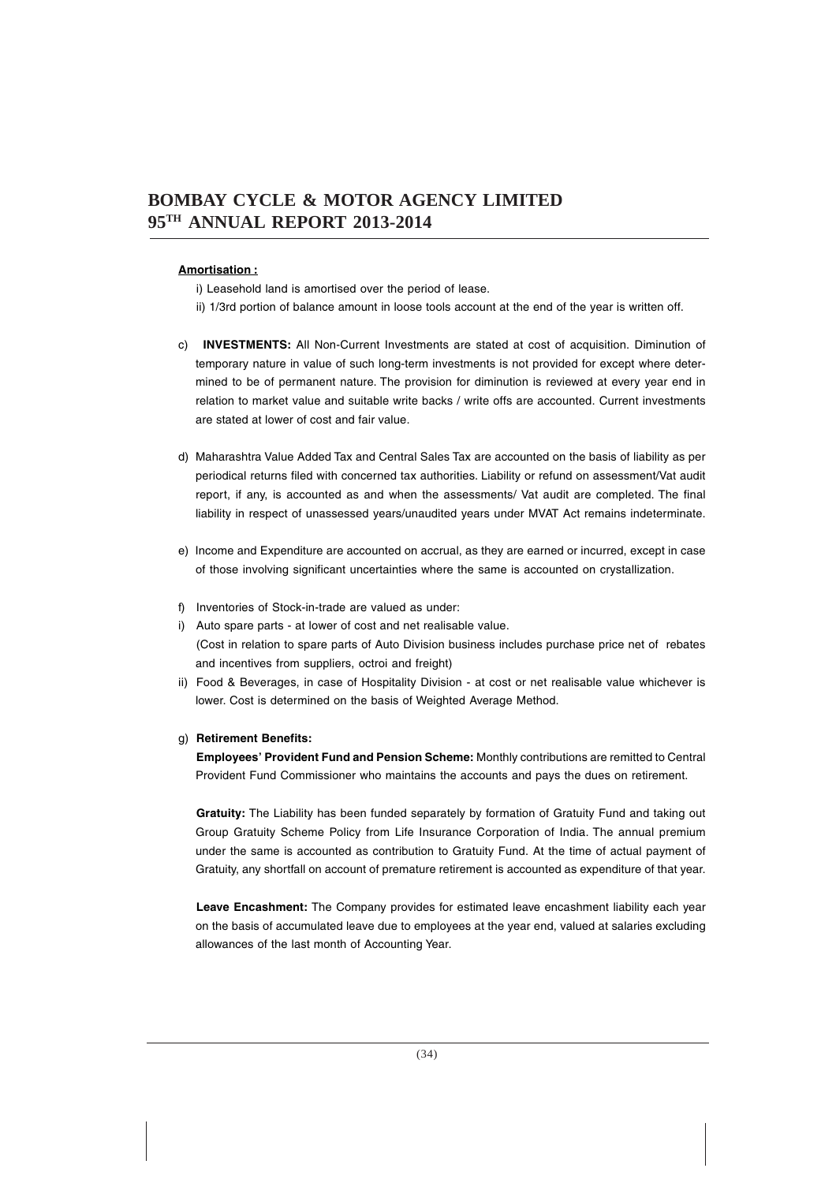#### **Amortisation :**

i) Leasehold land is amortised over the period of lease.

- ii) 1/3rd portion of balance amount in loose tools account at the end of the year is written off.
- c) **INVESTMENTS:** All Non-Current Investments are stated at cost of acquisition. Diminution of temporary nature in value of such long-term investments is not provided for except where determined to be of permanent nature. The provision for diminution is reviewed at every year end in relation to market value and suitable write backs / write offs are accounted. Current investments are stated at lower of cost and fair value.
- d) Maharashtra Value Added Tax and Central Sales Tax are accounted on the basis of liability as per periodical returns filed with concerned tax authorities. Liability or refund on assessment/Vat audit report, if any, is accounted as and when the assessments/ Vat audit are completed. The final liability in respect of unassessed years/unaudited years under MVAT Act remains indeterminate.
- e) Income and Expenditure are accounted on accrual, as they are earned or incurred, except in case of those involving significant uncertainties where the same is accounted on crystallization.
- f) Inventories of Stock-in-trade are valued as under:
- i) Auto spare parts at lower of cost and net realisable value. (Cost in relation to spare parts of Auto Division business includes purchase price net of rebates and incentives from suppliers, octroi and freight)
- ii) Food & Beverages, in case of Hospitality Division at cost or net realisable value whichever is lower. Cost is determined on the basis of Weighted Average Method.

#### g) **Retirement Benefits:**

**Employees' Provident Fund and Pension Scheme:** Monthly contributions are remitted to Central Provident Fund Commissioner who maintains the accounts and pays the dues on retirement.

**Gratuity:** The Liability has been funded separately by formation of Gratuity Fund and taking out Group Gratuity Scheme Policy from Life Insurance Corporation of India. The annual premium under the same is accounted as contribution to Gratuity Fund. At the time of actual payment of Gratuity, any shortfall on account of premature retirement is accounted as expenditure of that year.

**Leave Encashment:** The Company provides for estimated leave encashment liability each year on the basis of accumulated leave due to employees at the year end, valued at salaries excluding allowances of the last month of Accounting Year.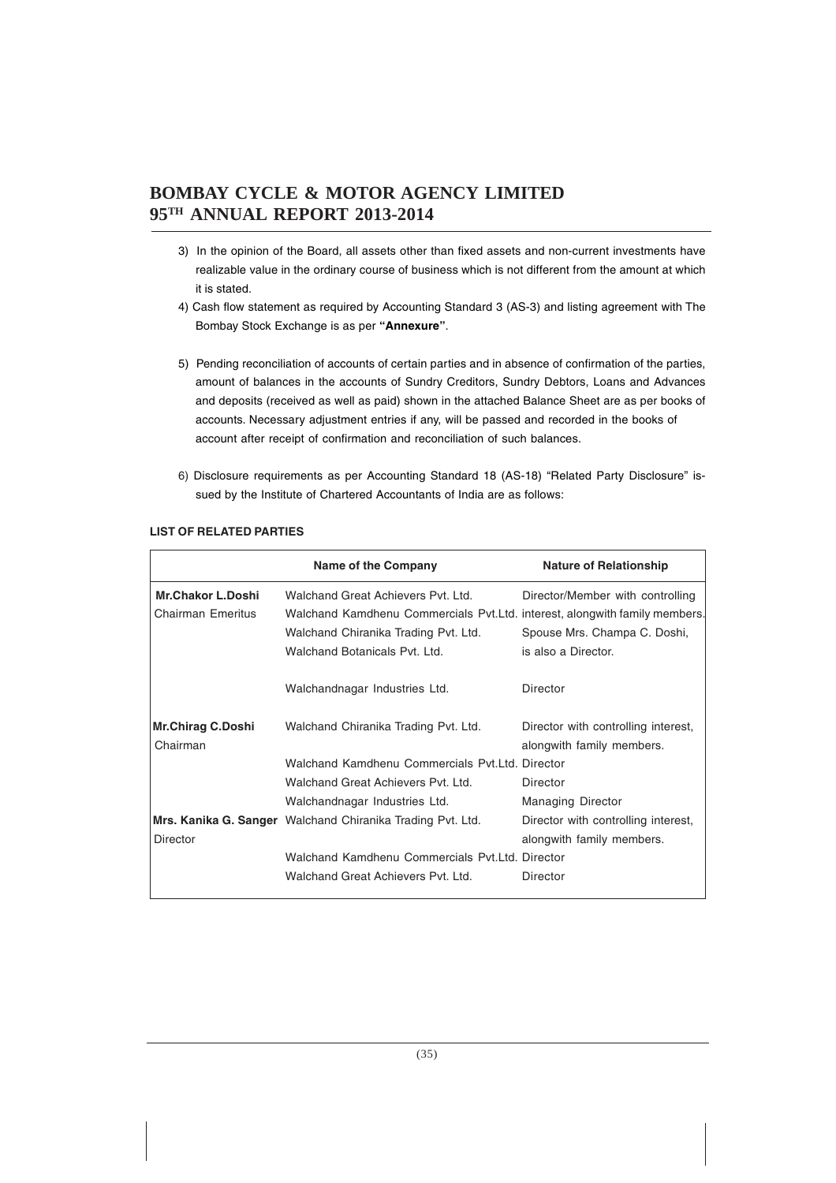- 3) In the opinion of the Board, all assets other than fixed assets and non-current investments have realizable value in the ordinary course of business which is not different from the amount at which it is stated.
- 4) Cash flow statement as required by Accounting Standard 3 (AS-3) and listing agreement with The Bombay Stock Exchange is as per **"Annexure"**.
- 5) Pending reconciliation of accounts of certain parties and in absence of confirmation of the parties, amount of balances in the accounts of Sundry Creditors, Sundry Debtors, Loans and Advances and deposits (received as well as paid) shown in the attached Balance Sheet are as per books of accounts. Necessary adjustment entries if any, will be passed and recorded in the books of account after receipt of confirmation and reconciliation of such balances.
- 6) Disclosure requirements as per Accounting Standard 18 (AS-18) "Related Party Disclosure" issued by the Institute of Chartered Accountants of India are as follows:

|                          | Name of the Company                                                         | <b>Nature of Relationship</b>       |
|--------------------------|-----------------------------------------------------------------------------|-------------------------------------|
| <b>Mr.Chakor L.Doshi</b> | Walchand Great Achievers Pyt. Ltd.                                          | Director/Member with controlling    |
| <b>Chairman Emeritus</b> | Walchand Kamdhenu Commercials Pvt. Ltd. interest, alongwith family members. |                                     |
|                          | Walchand Chiranika Trading Pvt. Ltd.                                        | Spouse Mrs. Champa C. Doshi,        |
|                          | Walchand Botanicals Pyt. Ltd.                                               | is also a Director.                 |
|                          | Walchandnagar Industries Ltd.                                               | Director                            |
| <b>Mr.Chirag C.Doshi</b> | Walchand Chiranika Trading Pvt. Ltd.                                        | Director with controlling interest, |
| Chairman                 |                                                                             | alongwith family members.           |
|                          | Walchand Kamdhenu Commercials Pyt.Ltd. Director                             |                                     |
|                          | Walchand Great Achievers Pyt. Ltd.                                          | Director                            |
|                          | Walchandnagar Industries Ltd.                                               | <b>Managing Director</b>            |
|                          | Mrs. Kanika G. Sanger Walchand Chiranika Trading Pvt. Ltd.                  | Director with controlling interest, |
| <b>Director</b>          |                                                                             | alongwith family members.           |
|                          | Walchand Kamdhenu Commercials Pyt.Ltd. Director                             |                                     |
|                          | Walchand Great Achievers Pvt. Ltd.                                          | Director                            |

#### **LIST OF RELATED PARTIES**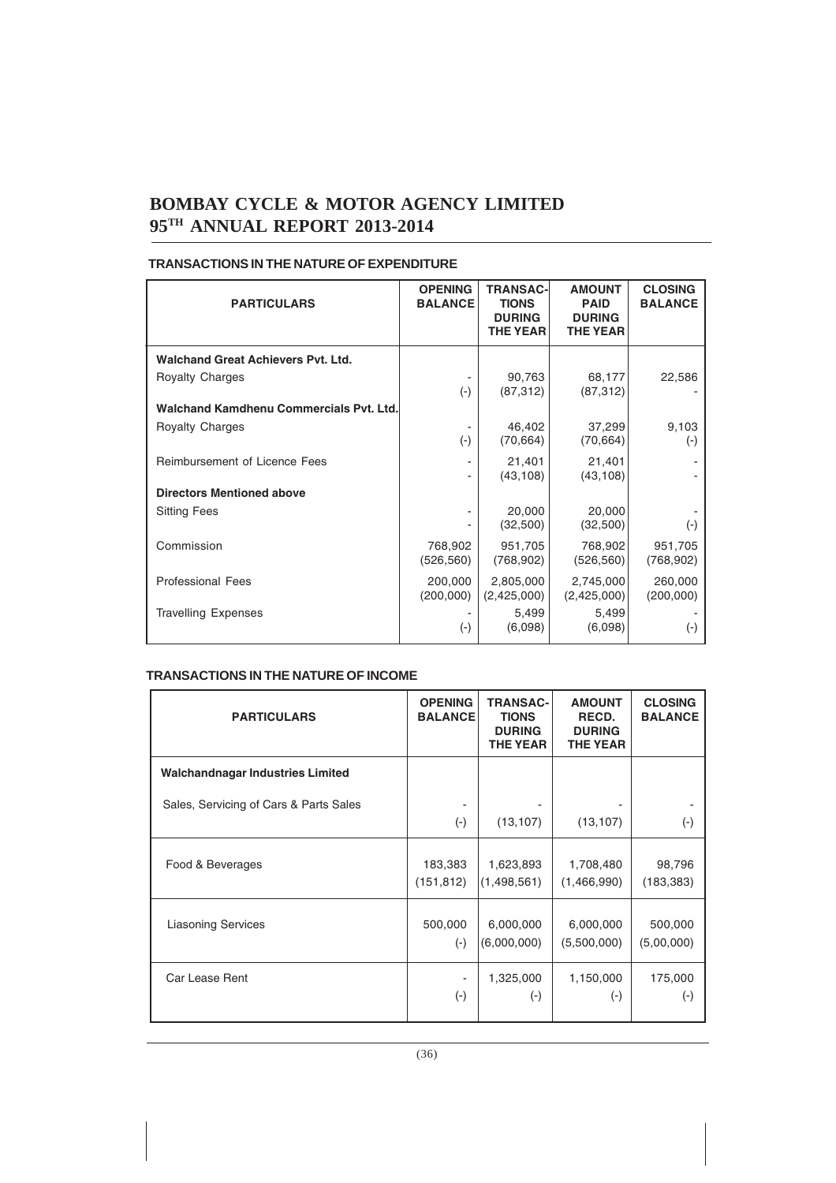| <b>PARTICULARS</b>                        | <b>OPENING</b><br><b>BALANCE</b> | <b>TRANSAC-</b><br><b>TIONS</b><br><b>DURING</b><br><b>THE YEAR</b> | <b>AMOUNT</b><br><b>PAID</b><br><b>DURING</b><br><b>THE YEAR</b> | <b>CLOSING</b><br><b>BALANCE</b> |
|-------------------------------------------|----------------------------------|---------------------------------------------------------------------|------------------------------------------------------------------|----------------------------------|
| <b>Walchand Great Achievers Pvt. Ltd.</b> |                                  |                                                                     |                                                                  |                                  |
| <b>Royalty Charges</b>                    | $(\cdot)$                        | 90,763<br>(87, 312)                                                 | 68,177<br>(87, 312)                                              | 22,586                           |
| Walchand Kamdhenu Commercials Pvt. Ltd.   |                                  |                                                                     |                                                                  |                                  |
| <b>Royalty Charges</b>                    | $(-)$                            | 46,402<br>(70, 664)                                                 | 37,299<br>(70, 664)                                              | 9,103<br>$(\cdot)$               |
| Reimbursement of Licence Fees             |                                  | 21,401<br>(43, 108)                                                 | 21,401<br>(43, 108)                                              |                                  |
| <b>Directors Mentioned above</b>          |                                  |                                                                     |                                                                  |                                  |
| <b>Sitting Fees</b>                       |                                  | 20,000<br>(32,500)                                                  | 20,000<br>(32,500)                                               | $(\cdot)$                        |
| Commission                                | 768,902<br>(526, 560)            | 951,705<br>(768, 902)                                               | 768,902<br>(526, 560)                                            | 951,705<br>(768, 902)            |
| <b>Professional Fees</b>                  | 200,000<br>(200,000)             | 2,805,000<br>(2,425,000)                                            | 2,745,000<br>(2,425,000)                                         | 260,000<br>(200,000)             |
| <b>Travelling Expenses</b>                | $(\textnormal{-})$               | 5,499<br>(6,098)                                                    | 5,499<br>(6,098)                                                 | $(-)$                            |

#### **TRANSACTIONS IN THE NATURE OF EXPENDITURE**

#### **TRANSACTIONS IN THE NATURE OF INCOME**

| <b>PARTICULARS</b>                      | <b>OPENING</b><br><b>BALANCE</b> | <b>TRANSAC-</b><br><b>TIONS</b><br><b>DURING</b><br><b>THE YEAR</b> | <b>AMOUNT</b><br>RECD.<br><b>DURING</b><br><b>THE YEAR</b> | <b>CLOSING</b><br><b>BALANCE</b> |
|-----------------------------------------|----------------------------------|---------------------------------------------------------------------|------------------------------------------------------------|----------------------------------|
| <b>Walchandnagar Industries Limited</b> |                                  |                                                                     |                                                            |                                  |
| Sales, Servicing of Cars & Parts Sales  | $(\cdot)$                        | (13, 107)                                                           | (13, 107)                                                  | $(\cdot)$                        |
| Food & Beverages                        | 183,383                          | 1,623,893                                                           | 1,708,480                                                  | 98,796                           |
|                                         | (151, 812)                       | (1,498,561)                                                         | (1,466,990)                                                | (183, 383)                       |
| <b>Liasoning Services</b>               | 500,000                          | 6,000,000                                                           | 6,000,000                                                  | 500,000                          |
|                                         | $(-)$                            | (6,000,000)                                                         | (5,500,000)                                                | (5,00,000)                       |
| Car Lease Rent                          | -                                | 1,325,000                                                           | 1,150,000                                                  | 175,000                          |
|                                         | $(\cdot)$                        | $(-)$                                                               | $(\cdot)$                                                  | $(\textnormal{-})$               |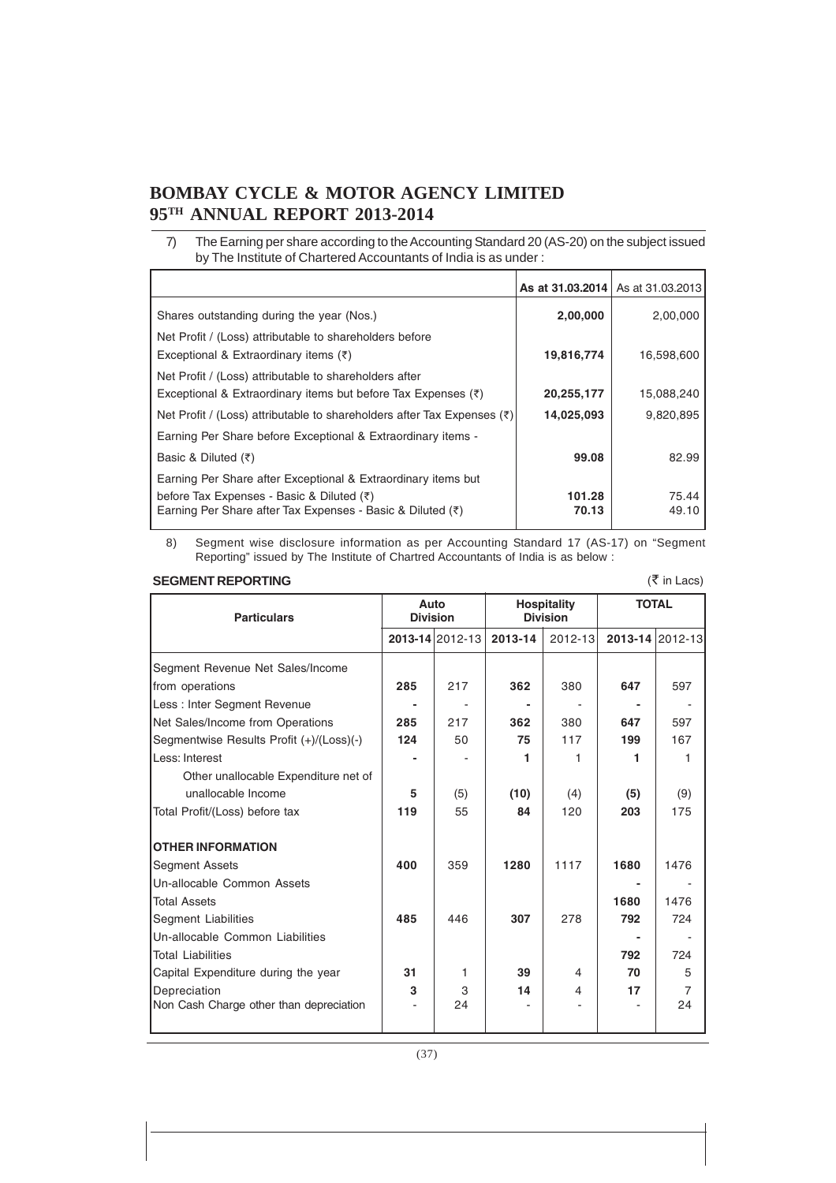7) The Earning per share according to the Accounting Standard 20 (AS-20) on the subject issued by The Institute of Chartered Accountants of India is as under :

|                                                                                                                           |                 | As at 31.03.2014   As at 31.03.2013 |
|---------------------------------------------------------------------------------------------------------------------------|-----------------|-------------------------------------|
| Shares outstanding during the year (Nos.)                                                                                 | 2,00,000        | 2,00,000                            |
| Net Profit / (Loss) attributable to shareholders before<br>Exceptional & Extraordinary items $(\bar{\tau})$               | 19,816,774      | 16,598,600                          |
| Net Profit / (Loss) attributable to shareholders after<br>Exceptional & Extraordinary items but before Tax Expenses $(3)$ | 20,255,177      | 15,088,240                          |
| Net Profit / (Loss) attributable to shareholders after Tax Expenses $(3)$                                                 | 14,025,093      | 9,820,895                           |
| Earning Per Share before Exceptional & Extraordinary items -                                                              |                 |                                     |
| Basic & Diluted $(\bar{\tau})$                                                                                            | 99.08           | 82.99                               |
| Earning Per Share after Exceptional & Extraordinary items but                                                             |                 |                                     |
| before Tax Expenses - Basic & Diluted (₹)<br>Earning Per Share after Tax Expenses - Basic & Diluted $(3)$                 | 101.28<br>70.13 | 75.44<br>49.10                      |

8) Segment wise disclosure information as per Accounting Standard 17 (AS-17) on "Segment Reporting" issued by The Institute of Chartred Accountants of India is as below :

#### **SEGMENT REPORTING**

| $(5 \nvert$ in Lacs)<br><b>SEGMENT REPORTING</b> |                         |                 |                                       |         |              |                 |
|--------------------------------------------------|-------------------------|-----------------|---------------------------------------|---------|--------------|-----------------|
| <b>Particulars</b>                               | Auto<br><b>Division</b> |                 | <b>Hospitality</b><br><b>Division</b> |         | <b>TOTAL</b> |                 |
|                                                  |                         | 2013-14 2012-13 | 2013-14                               | 2012-13 |              | 2013-14 2012-13 |
| Segment Revenue Net Sales/Income                 |                         |                 |                                       |         |              |                 |
| from operations                                  | 285                     | 217             | 362                                   | 380     | 647          | 597             |
| Less: Inter Segment Revenue                      |                         |                 |                                       |         |              |                 |
| Net Sales/Income from Operations                 | 285                     | 217             | 362                                   | 380     | 647          | 597             |
| Segmentwise Results Profit (+)/(Loss)(-)         | 124                     | 50              | 75                                    | 117     | 199          | 167             |
| Less: Interest                                   |                         |                 | 1                                     | 1       | 1            | 1               |
| Other unallocable Expenditure net of             |                         |                 |                                       |         |              |                 |
| unallocable Income                               | 5                       | (5)             | (10)                                  | (4)     | (5)          | (9)             |
| Total Profit/(Loss) before tax                   | 119                     | 55              | 84                                    | 120     | 203          | 175             |
| <b>OTHER INFORMATION</b>                         |                         |                 |                                       |         |              |                 |
| <b>Segment Assets</b>                            | 400                     | 359             | 1280                                  | 1117    | 1680         | 1476            |
| Un-allocable Common Assets                       |                         |                 |                                       |         |              |                 |
| <b>Total Assets</b>                              |                         |                 |                                       |         | 1680         | 1476            |
| Segment Liabilities                              | 485                     | 446             | 307                                   | 278     | 792          | 724             |
| Un-allocable Common Liabilities                  |                         |                 |                                       |         |              |                 |
| <b>Total Liabilities</b>                         |                         |                 |                                       |         | 792          | 724             |
| Capital Expenditure during the year              | 31                      | 1               | 39                                    | 4       | 70           | 5               |
| Depreciation                                     | 3                       | 3               | 14                                    | 4       | 17           | $\overline{7}$  |
| Non Cash Charge other than depreciation          |                         | 24              |                                       |         |              | 24              |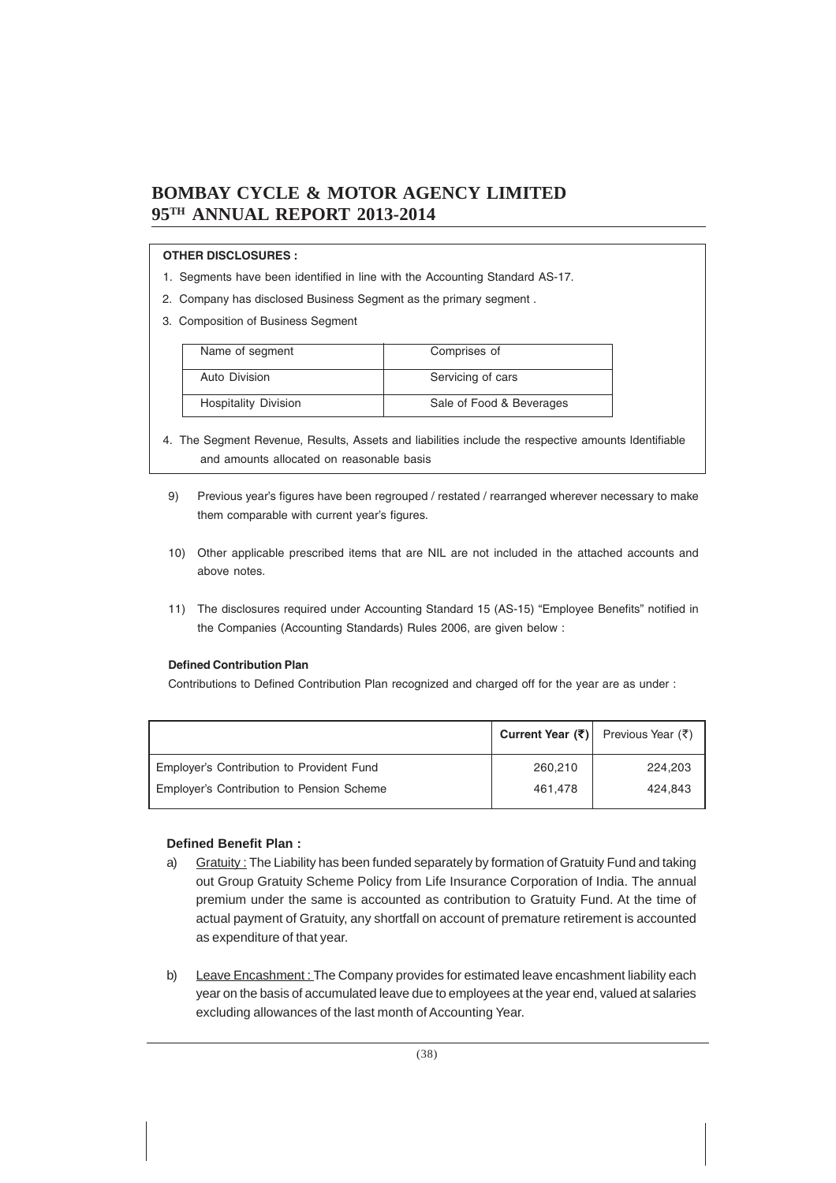#### **OTHER DISCLOSURES :**

- 1. Segments have been identified in line with the Accounting Standard AS-17.
- 2. Company has disclosed Business Segment as the primary segment .
- 3. Composition of Business Segment

| Name of segment             | Comprises of             |
|-----------------------------|--------------------------|
|                             |                          |
| Auto Division               | Servicing of cars        |
|                             |                          |
| <b>Hospitality Division</b> | Sale of Food & Beverages |
|                             |                          |

- 4. The Segment Revenue, Results, Assets and liabilities include the respective amounts ldentifiable and amounts allocated on reasonable basis
- 9) Previous year's figures have been regrouped / restated / rearranged wherever necessary to make them comparable with current year's figures.
- 10) Other applicable prescribed items that are NIL are not included in the attached accounts and above notes.
- 11) The disclosures required under Accounting Standard 15 (AS-15) "Employee Benefits" notified in the Companies (Accounting Standards) Rules 2006, are given below :

#### **Defined Contribution Plan**

Contributions to Defined Contribution Plan recognized and charged off for the year are as under :

|                                           |         | Current Year (₹) Previous Year (₹) |
|-------------------------------------------|---------|------------------------------------|
| Employer's Contribution to Provident Fund | 260,210 | 224.203                            |
| Employer's Contribution to Pension Scheme | 461.478 | 424.843                            |

#### **Defined Benefit Plan :**

- a) Gratuity: The Liability has been funded separately by formation of Gratuity Fund and taking out Group Gratuity Scheme Policy from Life Insurance Corporation of India. The annual premium under the same is accounted as contribution to Gratuity Fund. At the time of actual payment of Gratuity, any shortfall on account of premature retirement is accounted as expenditure of that year.
- b) Leave Encashment: The Company provides for estimated leave encashment liability each year on the basis of accumulated leave due to employees at the year end, valued at salaries excluding allowances of the last month of Accounting Year.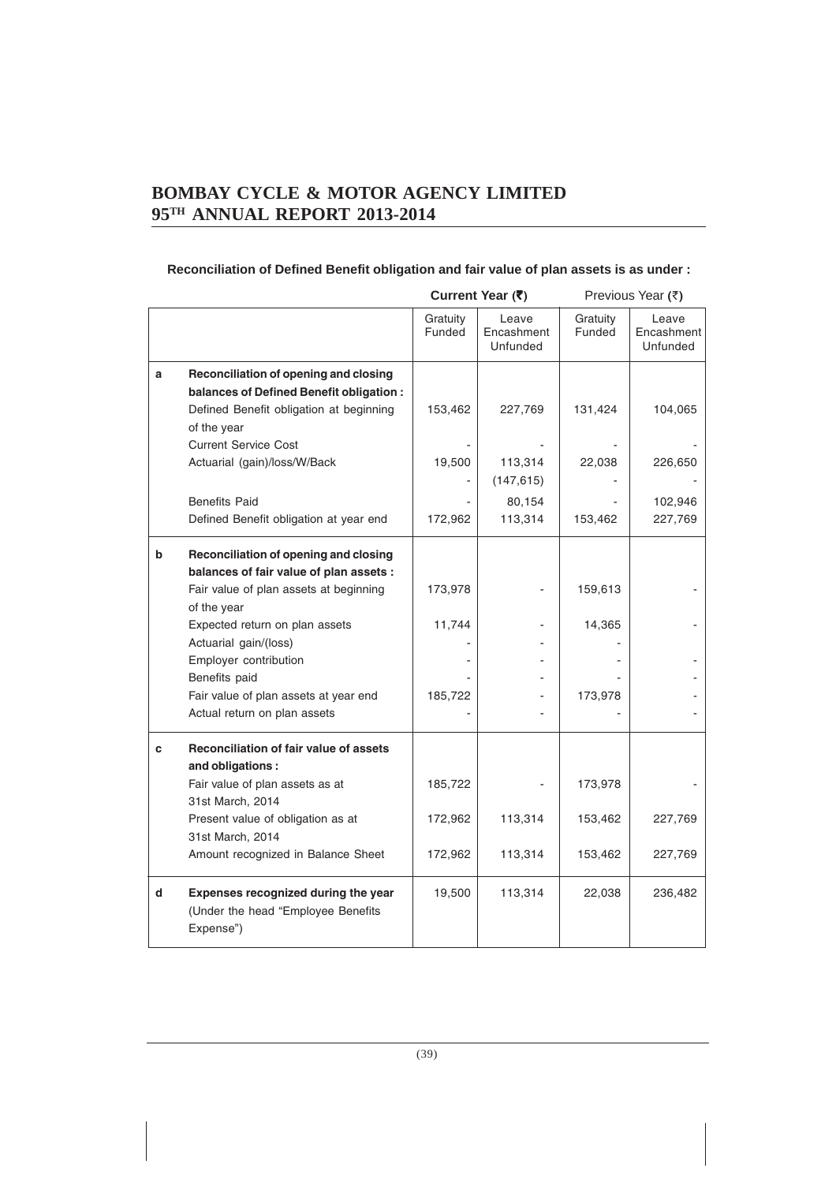### **Reconciliation of Defined Benefit obligation and fair value of plan assets is as under :**

|   |                                                                                                                                                                                                                                                                                                                         | Current Year (₹)              |                                 | Previous Year (₹)             |                                 |  |
|---|-------------------------------------------------------------------------------------------------------------------------------------------------------------------------------------------------------------------------------------------------------------------------------------------------------------------------|-------------------------------|---------------------------------|-------------------------------|---------------------------------|--|
|   |                                                                                                                                                                                                                                                                                                                         | Gratuity<br>Funded            | Leave<br>Encashment<br>Unfunded | Gratuity<br>Funded            | Leave<br>Encashment<br>Unfunded |  |
| a | Reconciliation of opening and closing<br>balances of Defined Benefit obligation :<br>Defined Benefit obligation at beginning<br>of the year                                                                                                                                                                             | 153,462                       | 227,769                         | 131,424                       | 104,065                         |  |
|   | <b>Current Service Cost</b><br>Actuarial (gain)/loss/W/Back                                                                                                                                                                                                                                                             | 19,500                        | 113,314<br>(147, 615)           | 22,038                        | 226,650                         |  |
|   | <b>Benefits Paid</b><br>Defined Benefit obligation at year end                                                                                                                                                                                                                                                          | 172,962                       | 80,154<br>113,314               | 153,462                       | 102,946<br>227,769              |  |
| b | Reconciliation of opening and closing<br>balances of fair value of plan assets :<br>Fair value of plan assets at beginning<br>of the year<br>Expected return on plan assets<br>Actuarial gain/(loss)<br>Employer contribution<br>Benefits paid<br>Fair value of plan assets at year end<br>Actual return on plan assets | 173,978<br>11,744<br>185,722  |                                 | 159,613<br>14,365<br>173,978  |                                 |  |
| c | <b>Reconciliation of fair value of assets</b><br>and obligations:<br>Fair value of plan assets as at<br>31st March, 2014<br>Present value of obligation as at<br>31st March, 2014<br>Amount recognized in Balance Sheet                                                                                                 | 185,722<br>172,962<br>172,962 | 113,314<br>113,314              | 173,978<br>153,462<br>153,462 | 227,769<br>227,769              |  |
| d | Expenses recognized during the year<br>(Under the head "Employee Benefits<br>Expense")                                                                                                                                                                                                                                  | 19,500                        | 113,314                         | 22,038                        | 236,482                         |  |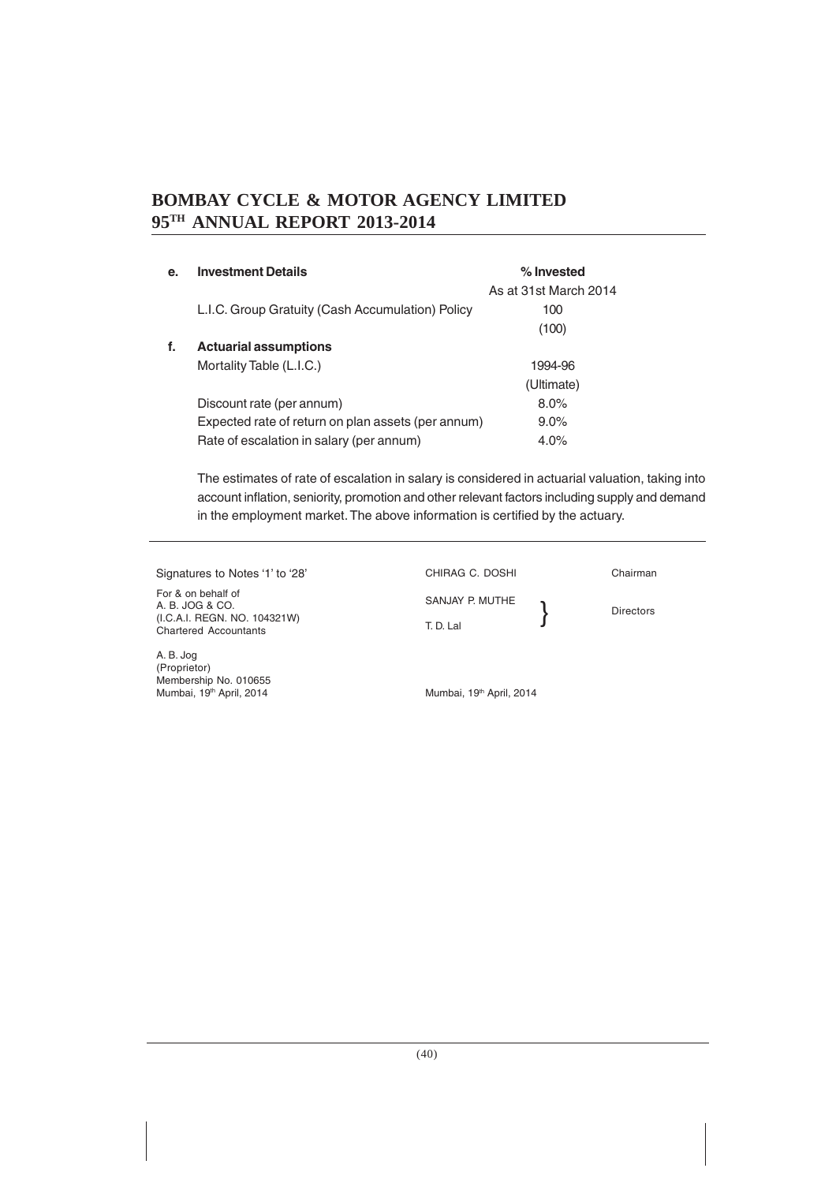| e. | <b>Investment Details</b>                          | % Invested            |
|----|----------------------------------------------------|-----------------------|
|    |                                                    | As at 31st March 2014 |
|    | L.I.C. Group Gratuity (Cash Accumulation) Policy   | 100                   |
|    |                                                    | (100)                 |
| f. | <b>Actuarial assumptions</b>                       |                       |
|    | Mortality Table (L.I.C.)                           | 1994-96               |
|    |                                                    | (Ultimate)            |
|    | Discount rate (per annum)                          | 8.0%                  |
|    | Expected rate of return on plan assets (per annum) | $9.0\%$               |
|    | Rate of escalation in salary (per annum)           | $4.0\%$               |

The estimates of rate of escalation in salary is considered in actuarial valuation, taking into account inflation, seniority, promotion and other relevant factors including supply and demand in the employment market. The above information is certified by the actuary.

Signatures to Notes '1' to '28'

For & on behalf of A. B. JOG & CO. (I.C.A.I. REGN. NO. 104321W) Chartered Accountants

A. B. Jog (Proprietor) Membership No. 010655 Mumbai, 19<sup>th</sup> April, 2014

SANJAY P. MUTHE T. D. Lal

}

CHIRAG C. DOSHI Chairman

Directors

Mumbai, 19<sup>th</sup> April, 2014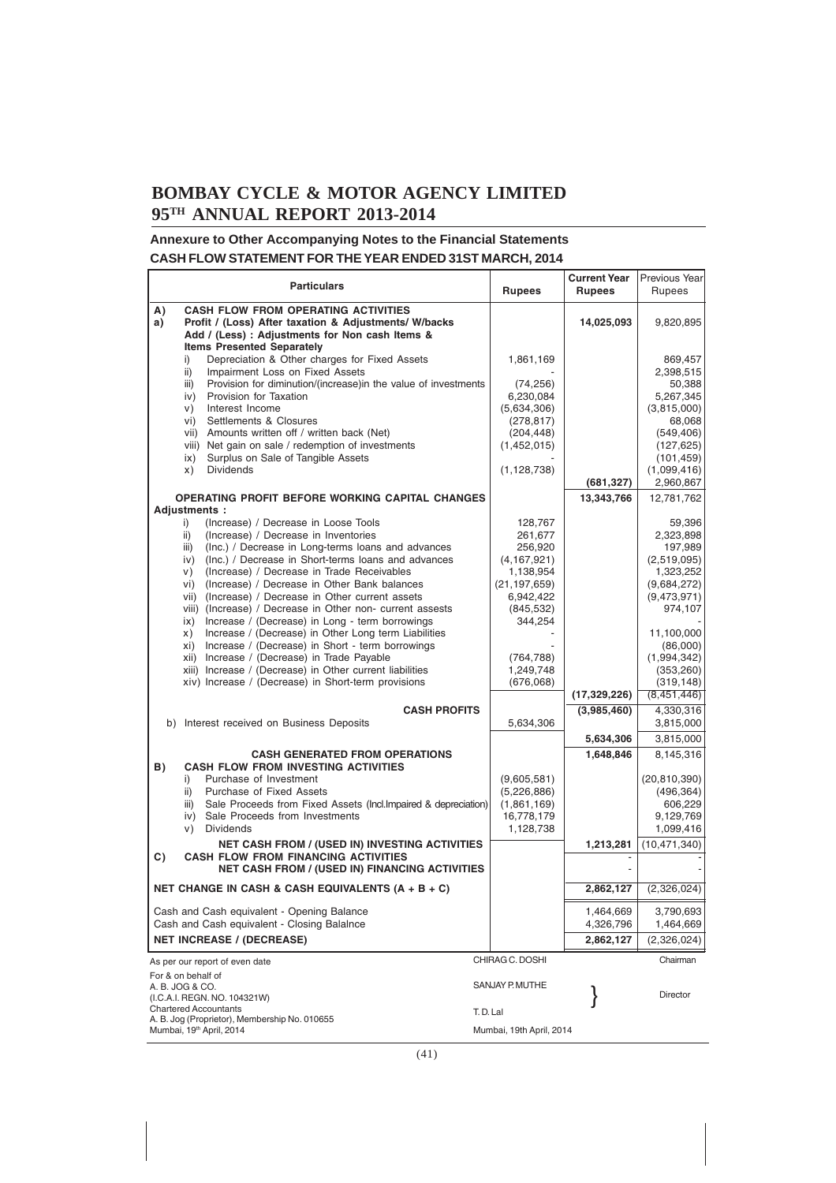#### **Annexure to Other Accompanying Notes to the Financial Statements CASH FLOW STATEMENT FOR THE YEAR ENDED 31ST MARCH, 2014**

|                                                                       | <b>Particulars</b>                                                                                                                                                                                                                                                                                                                                                                                                                                                                                                                                                                                                                                                                                                                                                                                 | <b>Rupees</b>                                                                                                                                               | <b>Current Year</b><br><b>Rupees</b> | Previous Year<br>Rupees                                                                                                                                                                               |
|-----------------------------------------------------------------------|----------------------------------------------------------------------------------------------------------------------------------------------------------------------------------------------------------------------------------------------------------------------------------------------------------------------------------------------------------------------------------------------------------------------------------------------------------------------------------------------------------------------------------------------------------------------------------------------------------------------------------------------------------------------------------------------------------------------------------------------------------------------------------------------------|-------------------------------------------------------------------------------------------------------------------------------------------------------------|--------------------------------------|-------------------------------------------------------------------------------------------------------------------------------------------------------------------------------------------------------|
| A)<br>a)                                                              | <b>CASH FLOW FROM OPERATING ACTIVITIES</b><br>Profit / (Loss) After taxation & Adjustments/ W/backs                                                                                                                                                                                                                                                                                                                                                                                                                                                                                                                                                                                                                                                                                                |                                                                                                                                                             | 14,025,093                           | 9,820,895                                                                                                                                                                                             |
| i)<br>ii)<br>iii)<br>iv)<br>V)<br>vi)<br>vii)<br>ix)<br>x)            | Add / (Less) : Adjustments for Non cash Items &<br><b>Items Presented Separately</b><br>Depreciation & Other charges for Fixed Assets<br>Impairment Loss on Fixed Assets<br>Provision for diminution/(increase)in the value of investments<br>Provision for Taxation<br>Interest Income<br>Settlements & Closures<br>Amounts written off / written back (Net)<br>viii) Net gain on sale / redemption of investments<br>Surplus on Sale of Tangible Assets<br><b>Dividends</b>                                                                                                                                                                                                                                                                                                                      | 1,861,169<br>(74, 256)<br>6,230,084<br>(5,634,306)<br>(278, 817)<br>(204, 448)<br>(1,452,015)<br>(1, 128, 738)                                              |                                      | 869,457<br>2,398,515<br>50,388<br>5,267,345<br>(3,815,000)<br>68,068<br>(549, 406)<br>(127, 625)<br>(101, 459)<br>(1,099,416)                                                                         |
|                                                                       |                                                                                                                                                                                                                                                                                                                                                                                                                                                                                                                                                                                                                                                                                                                                                                                                    |                                                                                                                                                             | (681, 327)                           | 2,960,867                                                                                                                                                                                             |
| Adjustments:<br>i)<br>ii)<br>iii)<br>iv)<br>v)<br>vi)<br>ix)<br>X)    | OPERATING PROFIT BEFORE WORKING CAPITAL CHANGES<br>(Increase) / Decrease in Loose Tools<br>(Increase) / Decrease in Inventories<br>(Inc.) / Decrease in Long-terms loans and advances<br>(Inc.) / Decrease in Short-terms loans and advances<br>(Increase) / Decrease in Trade Receivables<br>(Increase) / Decrease in Other Bank balances<br>vii) (Increase) / Decrease in Other current assets<br>viii) (Increase) / Decrease in Other non- current assests<br>Increase / (Decrease) in Long - term borrowings<br>Increase / (Decrease) in Other Long term Liabilities<br>xi) Increase / (Decrease) in Short - term borrowings<br>xii) Increase / (Decrease) in Trade Payable<br>xiii) Increase / (Decrease) in Other current liabilities<br>xiv) Increase / (Decrease) in Short-term provisions | 128,767<br>261,677<br>256,920<br>(4, 167, 921)<br>1,138,954<br>(21, 197, 659)<br>6,942,422<br>(845, 532)<br>344,254<br>(764, 788)<br>1,249,748<br>(676,068) | 13,343,766<br>(17,329,226)           | 12,781,762<br>59,396<br>2,323,898<br>197,989<br>(2,519,095)<br>1,323,252<br>(9,684,272)<br>(9,473,971)<br>974,107<br>11,100,000<br>(86,000)<br>(1,994,342)<br>(353, 260)<br>(319, 148)<br>(8,451,446) |
|                                                                       | <b>CASH PROFITS</b><br>b) Interest received on Business Deposits                                                                                                                                                                                                                                                                                                                                                                                                                                                                                                                                                                                                                                                                                                                                   | 5,634,306                                                                                                                                                   | (3,985,460)                          | 4,330,316<br>3,815,000                                                                                                                                                                                |
|                                                                       |                                                                                                                                                                                                                                                                                                                                                                                                                                                                                                                                                                                                                                                                                                                                                                                                    |                                                                                                                                                             | 5,634,306                            | 3,815,000                                                                                                                                                                                             |
| B)<br>i)<br>ii)<br>iii)<br>V)                                         | <b>CASH GENERATED FROM OPERATIONS</b><br><b>CASH FLOW FROM INVESTING ACTIVITIES</b><br>Purchase of Investment<br>Purchase of Fixed Assets<br>Sale Proceeds from Fixed Assets (Incl. Impaired & depreciation)<br>iv) Sale Proceeds from Investments<br><b>Dividends</b>                                                                                                                                                                                                                                                                                                                                                                                                                                                                                                                             | (9,605,581)<br>(5,226,886)<br>(1,861,169)<br>16,778,179<br>1,128,738                                                                                        | 1,648,846                            | 8,145,316<br>(20, 810, 390)<br>(496, 364)<br>606,229<br>9,129,769<br>1,099,416                                                                                                                        |
| C)                                                                    | NET CASH FROM / (USED IN) INVESTING ACTIVITIES<br><b>CASH FLOW FROM FINANCING ACTIVITIES</b>                                                                                                                                                                                                                                                                                                                                                                                                                                                                                                                                                                                                                                                                                                       |                                                                                                                                                             | 1,213,281                            | (10, 471, 340)                                                                                                                                                                                        |
|                                                                       | NET CASH FROM / (USED IN) FINANCING ACTIVITIES                                                                                                                                                                                                                                                                                                                                                                                                                                                                                                                                                                                                                                                                                                                                                     |                                                                                                                                                             |                                      |                                                                                                                                                                                                       |
|                                                                       | NET CHANGE IN CASH & CASH EQUIVALENTS $(A + B + C)$                                                                                                                                                                                                                                                                                                                                                                                                                                                                                                                                                                                                                                                                                                                                                |                                                                                                                                                             | 2,862,127                            | (2,326,024)                                                                                                                                                                                           |
|                                                                       | Cash and Cash equivalent - Opening Balance<br>Cash and Cash equivalent - Closing BalaInce<br><b>NET INCREASE / (DECREASE)</b>                                                                                                                                                                                                                                                                                                                                                                                                                                                                                                                                                                                                                                                                      |                                                                                                                                                             | 1,464,669<br>4,326,796<br>2,862,127  | 3,790,693<br>1,464,669<br>(2,326,024)                                                                                                                                                                 |
|                                                                       | As per our report of even date                                                                                                                                                                                                                                                                                                                                                                                                                                                                                                                                                                                                                                                                                                                                                                     | CHIRAG C. DOSHI                                                                                                                                             |                                      | Chairman                                                                                                                                                                                              |
| For & on behalf of<br>A. B. JOG & CO.<br><b>Chartered Accountants</b> | (I.C.A.I. REGN. NO. 104321W)<br>A. B. Jog (Proprietor), Membership No. 010655                                                                                                                                                                                                                                                                                                                                                                                                                                                                                                                                                                                                                                                                                                                      | SANJAY P. MUTHE<br>T.D.Lal                                                                                                                                  |                                      | Director                                                                                                                                                                                              |
| Mumbai, 19 <sup>th</sup> April, 2014                                  |                                                                                                                                                                                                                                                                                                                                                                                                                                                                                                                                                                                                                                                                                                                                                                                                    | Mumbai, 19th April, 2014                                                                                                                                    |                                      |                                                                                                                                                                                                       |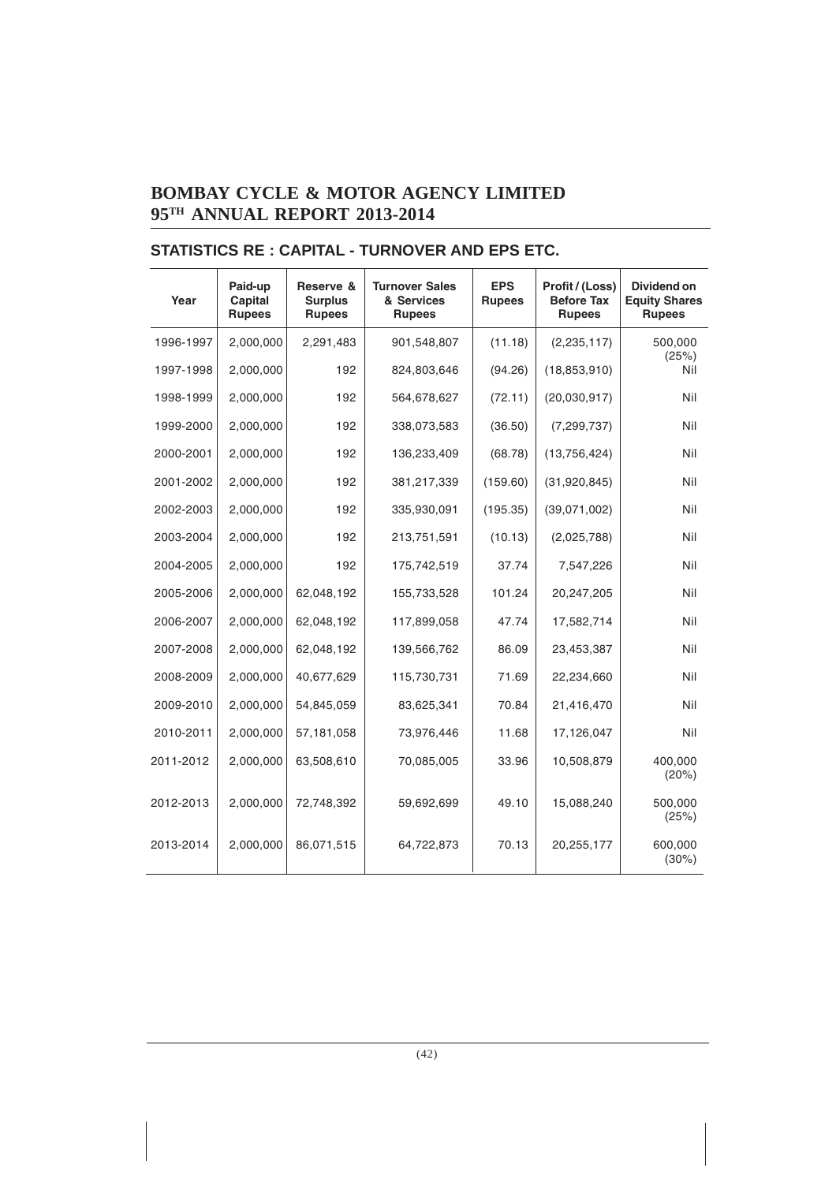| Year      | Paid-up<br>Capital<br><b>Rupees</b> | Reserve &<br><b>Surplus</b><br><b>Rupees</b> | <b>Turnover Sales</b><br>& Services<br><b>Rupees</b> | <b>EPS</b><br><b>Rupees</b> | Profit / (Loss)<br><b>Before Tax</b><br><b>Rupees</b> | <b>Dividend on</b><br><b>Equity Shares</b><br><b>Rupees</b> |
|-----------|-------------------------------------|----------------------------------------------|------------------------------------------------------|-----------------------------|-------------------------------------------------------|-------------------------------------------------------------|
| 1996-1997 | 2,000,000                           | 2,291,483                                    | 901,548,807                                          | (11.18)                     | (2, 235, 117)                                         | 500,000<br>(25%)                                            |
| 1997-1998 | 2,000,000                           | 192                                          | 824,803,646                                          | (94.26)                     | (18, 853, 910)                                        | Nil                                                         |
| 1998-1999 | 2,000,000                           | 192                                          | 564,678,627                                          | (72.11)                     | (20,030,917)                                          | Nil                                                         |
| 1999-2000 | 2,000,000                           | 192                                          | 338,073,583                                          | (36.50)                     | (7, 299, 737)                                         | Nil                                                         |
| 2000-2001 | 2,000,000                           | 192                                          | 136,233,409                                          | (68.78)                     | (13,756,424)                                          | Nil                                                         |
| 2001-2002 | 2,000,000                           | 192                                          | 381,217,339                                          | (159.60)                    | (31,920,845)                                          | Nil                                                         |
| 2002-2003 | 2,000,000                           | 192                                          | 335,930,091                                          | (195.35)                    | (39,071,002)                                          | Nil                                                         |
| 2003-2004 | 2,000,000                           | 192                                          | 213,751,591                                          | (10.13)                     | (2,025,788)                                           | Nil                                                         |
| 2004-2005 | 2,000,000                           | 192                                          | 175,742,519                                          | 37.74                       | 7,547,226                                             | Nil                                                         |
| 2005-2006 | 2,000,000                           | 62,048,192                                   | 155,733,528                                          | 101.24                      | 20,247,205                                            | Nil                                                         |
| 2006-2007 | 2,000,000                           | 62,048,192                                   | 117,899,058                                          | 47.74                       | 17,582,714                                            | Nil                                                         |
| 2007-2008 | 2,000,000                           | 62,048,192                                   | 139,566,762                                          | 86.09                       | 23,453,387                                            | Nil                                                         |
| 2008-2009 | 2,000,000                           | 40,677,629                                   | 115,730,731                                          | 71.69                       | 22,234,660                                            | Nil                                                         |
| 2009-2010 | 2,000,000                           | 54,845,059                                   | 83,625,341                                           | 70.84                       | 21,416,470                                            | Nil                                                         |
| 2010-2011 | 2,000,000                           | 57,181,058                                   | 73,976,446                                           | 11.68                       | 17,126,047                                            | Nil                                                         |
| 2011-2012 | 2,000,000                           | 63,508,610                                   | 70,085,005                                           | 33.96                       | 10,508,879                                            | 400,000<br>(20%)                                            |
| 2012-2013 | 2,000,000                           | 72,748,392                                   | 59,692,699                                           | 49.10                       | 15,088,240                                            | 500,000<br>(25%)                                            |
| 2013-2014 | 2,000,000                           | 86,071,515                                   | 64,722,873                                           | 70.13                       | 20,255,177                                            | 600,000<br>(30%)                                            |

# **STATISTICS RE : CAPITAL - TURNOVER AND EPS ETC.**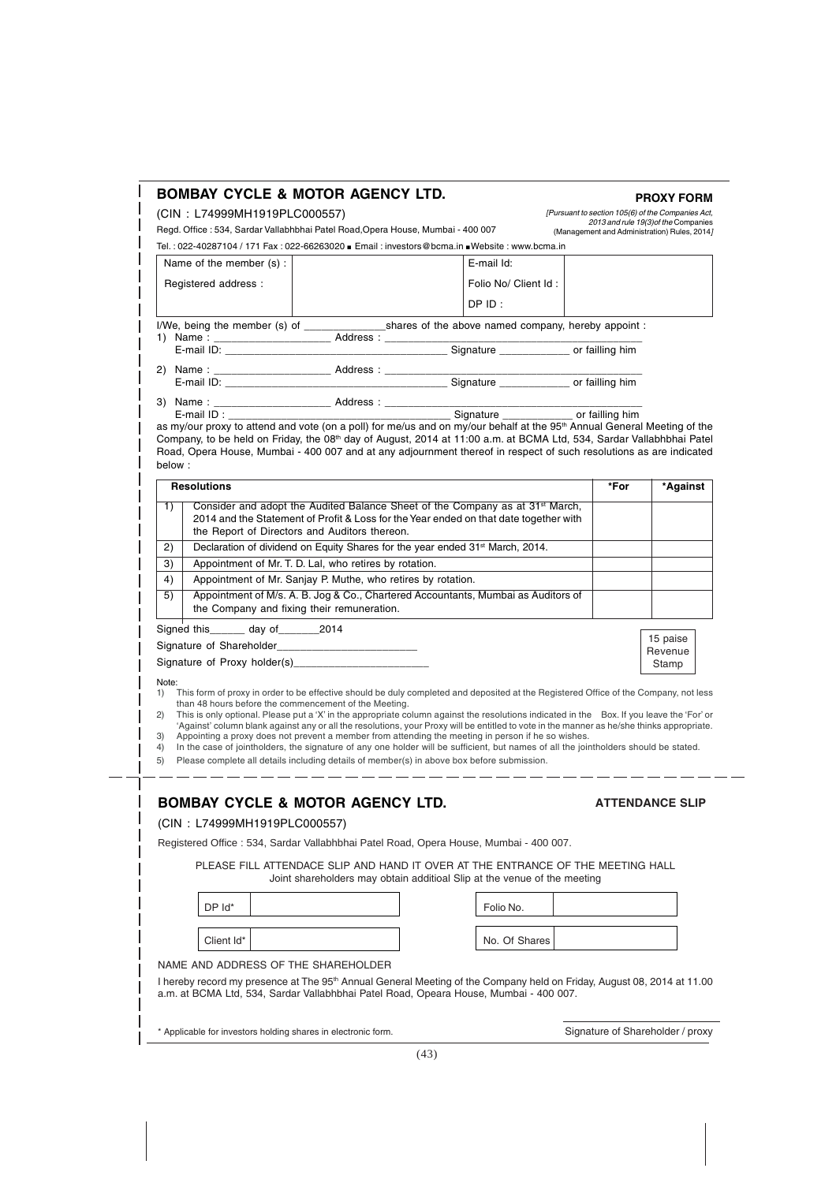|                                                                                                                                      | (CIN: L74999MH1919PLC000557)                                 |                                                                                                                                                                                                                                                                                                                                                                                                                                                                                                                                       | [Pursuant to section 105(6) of the Companies Act,                                    |          |
|--------------------------------------------------------------------------------------------------------------------------------------|--------------------------------------------------------------|---------------------------------------------------------------------------------------------------------------------------------------------------------------------------------------------------------------------------------------------------------------------------------------------------------------------------------------------------------------------------------------------------------------------------------------------------------------------------------------------------------------------------------------|--------------------------------------------------------------------------------------|----------|
| Regd. Office : 534, Sardar Vallabhbhai Patel Road, Opera House, Mumbai - 400 007                                                     |                                                              |                                                                                                                                                                                                                                                                                                                                                                                                                                                                                                                                       | 2013 and rule 19(3) of the Companies<br>(Management and Administration) Rules, 2014] |          |
|                                                                                                                                      |                                                              | Tel.: 022-40287104 / 171 Fax: 022-66263020 ■ Email: investors@bcma.in ■Website: www.bcma.in                                                                                                                                                                                                                                                                                                                                                                                                                                           |                                                                                      |          |
| Name of the member (s) :                                                                                                             |                                                              | E-mail Id:                                                                                                                                                                                                                                                                                                                                                                                                                                                                                                                            |                                                                                      |          |
| Registered address :                                                                                                                 |                                                              | Folio No/ Client Id:                                                                                                                                                                                                                                                                                                                                                                                                                                                                                                                  |                                                                                      |          |
|                                                                                                                                      |                                                              |                                                                                                                                                                                                                                                                                                                                                                                                                                                                                                                                       |                                                                                      |          |
|                                                                                                                                      |                                                              | $DP$ ID:                                                                                                                                                                                                                                                                                                                                                                                                                                                                                                                              |                                                                                      |          |
|                                                                                                                                      |                                                              | I/We, being the member (s) of _______________________shares of the above named company, hereby appoint :                                                                                                                                                                                                                                                                                                                                                                                                                              |                                                                                      |          |
|                                                                                                                                      |                                                              |                                                                                                                                                                                                                                                                                                                                                                                                                                                                                                                                       |                                                                                      |          |
|                                                                                                                                      |                                                              |                                                                                                                                                                                                                                                                                                                                                                                                                                                                                                                                       |                                                                                      |          |
|                                                                                                                                      |                                                              |                                                                                                                                                                                                                                                                                                                                                                                                                                                                                                                                       |                                                                                      |          |
|                                                                                                                                      |                                                              |                                                                                                                                                                                                                                                                                                                                                                                                                                                                                                                                       |                                                                                      |          |
| E-mail ID : E-mail ID :                                                                                                              |                                                              | Signature ______________ or failling him                                                                                                                                                                                                                                                                                                                                                                                                                                                                                              |                                                                                      |          |
|                                                                                                                                      |                                                              | as my/our proxy to attend and vote (on a poll) for me/us and on my/our behalf at the 95 <sup>th</sup> Annual General Meeting of the                                                                                                                                                                                                                                                                                                                                                                                                   |                                                                                      |          |
| below:<br><b>Resolutions</b>                                                                                                         |                                                              |                                                                                                                                                                                                                                                                                                                                                                                                                                                                                                                                       | *For                                                                                 | *Against |
|                                                                                                                                      |                                                              |                                                                                                                                                                                                                                                                                                                                                                                                                                                                                                                                       |                                                                                      |          |
| 1)                                                                                                                                   |                                                              | Consider and adopt the Audited Balance Sheet of the Company as at 31 <sup>st</sup> March,<br>2014 and the Statement of Profit & Loss for the Year ended on that date together with                                                                                                                                                                                                                                                                                                                                                    |                                                                                      |          |
|                                                                                                                                      | the Report of Directors and Auditors thereon.                |                                                                                                                                                                                                                                                                                                                                                                                                                                                                                                                                       |                                                                                      |          |
| 2)                                                                                                                                   |                                                              | Declaration of dividend on Equity Shares for the year ended 31 <sup>st</sup> March, 2014.                                                                                                                                                                                                                                                                                                                                                                                                                                             |                                                                                      |          |
| 3)                                                                                                                                   | Appointment of Mr. T. D. Lal, who retires by rotation.       |                                                                                                                                                                                                                                                                                                                                                                                                                                                                                                                                       |                                                                                      |          |
| 4)                                                                                                                                   | Appointment of Mr. Sanjay P. Muthe, who retires by rotation. |                                                                                                                                                                                                                                                                                                                                                                                                                                                                                                                                       |                                                                                      |          |
| 5)                                                                                                                                   |                                                              | Appointment of M/s. A. B. Jog & Co., Chartered Accountants, Mumbai as Auditors of                                                                                                                                                                                                                                                                                                                                                                                                                                                     |                                                                                      |          |
|                                                                                                                                      | the Company and fixing their remuneration.                   |                                                                                                                                                                                                                                                                                                                                                                                                                                                                                                                                       |                                                                                      |          |
| Signed this______ day of________2014                                                                                                 |                                                              |                                                                                                                                                                                                                                                                                                                                                                                                                                                                                                                                       |                                                                                      | 15 paise |
|                                                                                                                                      |                                                              |                                                                                                                                                                                                                                                                                                                                                                                                                                                                                                                                       |                                                                                      | Revenue  |
| Signature of Proxy holder(s)___________                                                                                              |                                                              |                                                                                                                                                                                                                                                                                                                                                                                                                                                                                                                                       |                                                                                      | Stamp    |
| 1)<br>than 48 hours before the commencement of the Meeting.<br>2)                                                                    |                                                              | This form of proxy in order to be effective should be duly completed and deposited at the Registered Office of the Company, not less<br>This is only optional. Please put a 'X' in the appropriate column against the resolutions indicated in the Box. If you leave the 'For' or<br>'Against' column blank against any or all the resolutions, your Proxy will be entitled to vote in the manner as he/she thinks appropriate.<br>Appointing a proxy does not prevent a member from attending the meeting in person if he so wishes. |                                                                                      |          |
| In the case of jointholders, the signature of any one holder will be sufficient, but names of all the jointholders should be stated. |                                                              | Please complete all details including details of member(s) in above box before submission.                                                                                                                                                                                                                                                                                                                                                                                                                                            |                                                                                      |          |
|                                                                                                                                      |                                                              |                                                                                                                                                                                                                                                                                                                                                                                                                                                                                                                                       | <b>ATTENDANCE SLIP</b>                                                               |          |
|                                                                                                                                      |                                                              | Registered Office: 534, Sardar Vallabhbhai Patel Road, Opera House, Mumbai - 400 007.                                                                                                                                                                                                                                                                                                                                                                                                                                                 |                                                                                      |          |
| 3)<br>4)<br>5)<br><b>BOMBAY CYCLE &amp; MOTOR AGENCY LTD.</b><br>(CIN: L74999MH1919PLC000557)                                        |                                                              | PLEASE FILL ATTENDACE SLIP AND HAND IT OVER AT THE ENTRANCE OF THE MEETING HALL<br>Joint shareholders may obtain additioal Slip at the venue of the meeting                                                                                                                                                                                                                                                                                                                                                                           |                                                                                      |          |
| DP Id*                                                                                                                               |                                                              | Folio No.                                                                                                                                                                                                                                                                                                                                                                                                                                                                                                                             |                                                                                      |          |
|                                                                                                                                      |                                                              |                                                                                                                                                                                                                                                                                                                                                                                                                                                                                                                                       |                                                                                      |          |
| Client Id*                                                                                                                           |                                                              | No. Of Shares                                                                                                                                                                                                                                                                                                                                                                                                                                                                                                                         |                                                                                      |          |
|                                                                                                                                      |                                                              |                                                                                                                                                                                                                                                                                                                                                                                                                                                                                                                                       |                                                                                      |          |
| NAME AND ADDRESS OF THE SHAREHOLDER                                                                                                  |                                                              | I hereby record my presence at The 95 <sup>th</sup> Annual General Meeting of the Company held on Friday, August 08, 2014 at 11.00<br>a.m. at BCMA Ltd, 534, Sardar Vallabhbhai Patel Road, Opeara House, Mumbai - 400 007.                                                                                                                                                                                                                                                                                                           |                                                                                      |          |

 $\overline{\phantom{a}}$